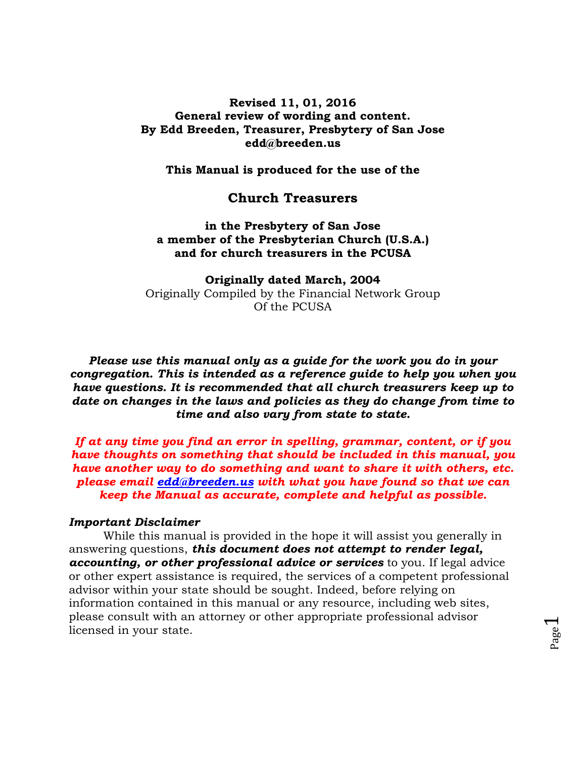## **Revised 11, 01, 2016 General review of wording and content. By Edd Breeden, Treasurer, Presbytery of San Jose edd@breeden.us**

**This Manual is produced for the use of the**

## **Church Treasurers**

**in the Presbytery of San Jose a member of the Presbyterian Church (U.S.A.) and for church treasurers in the PCUSA**

**Originally dated March, 2004** Originally Compiled by the Financial Network Group Of the PCUSA

*Please use this manual only as a guide for the work you do in your congregation. This is intended as a reference guide to help you when you have questions. It is recommended that all church treasurers keep up to date on changes in the laws and policies as they do change from time to time and also vary from state to state.*

*If at any time you find an error in spelling, grammar, content, or if you have thoughts on something that should be included in this manual, you have another way to do something and want to share it with others, etc. please email [edd@breeden.us](mailto:edd@breeden.us) with what you have found so that we can keep the Manual as accurate, complete and helpful as possible.* 

#### *Important Disclaimer*

While this manual is provided in the hope it will assist you generally in answering questions, *this document does not attempt to render legal, accounting, or other professional advice or services* to you. If legal advice or other expert assistance is required, the services of a competent professional advisor within your state should be sought. Indeed, before relying on information contained in this manual or any resource, including web sites, please consult with an attorney or other appropriate professional advisor licensed in your state.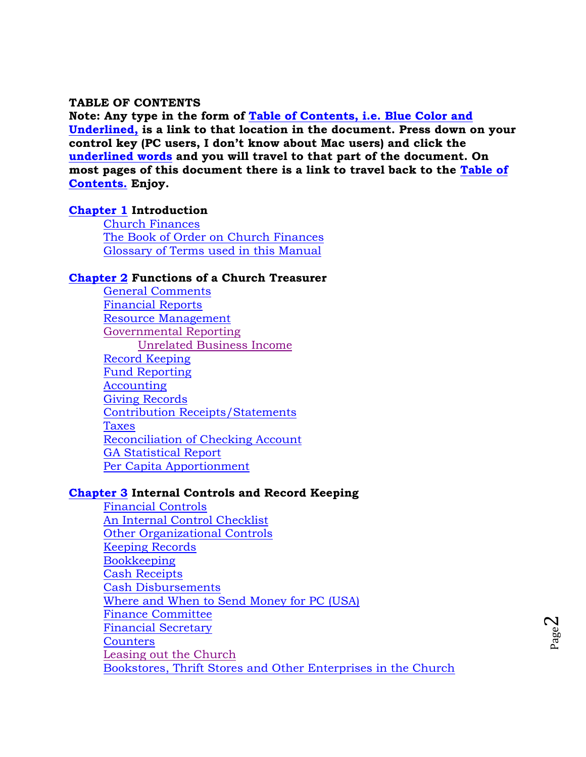### <span id="page-1-0"></span>**TABLE OF CONTENTS**

**Note: Any type in the form of [Table of Contents,](#page-1-0) i.e. Blue Color and Underlined, is a link to that location in the document. Press down on your control key (PC users, I don't know about Mac users) and click the underlined words and you will travel to that part of the document. On most pages of this document there is a link to travel back to the Table of Contents. Enjoy.** 

## **[Chapter 1](#page-4-0) Introduction**

[Church Finances](#page-4-1) [The Book of Order on Church Finances](#page-4-2) [Glossary of Terms used in this Manual](#page-5-0)

## **[Chapter 2](#page-7-0) Functions of a Church Treasurer**

[General Comments](#page-7-1) [Financial Reports](#page-8-0) [Resource Management](#page-8-1) [Governmental Reporting](#page-9-0) [Unrelated Business Income](#page-9-1) [Record Keeping](#page-10-0) [Fund Reporting](#page-10-1) [Accounting](#page-11-0) [Giving Records](#page-12-0) [Contribution Receipts/Statements](#page-12-1) [Taxes](#page-13-0) [Reconciliation of Checking Account](#page-14-0) GA [Statistical Report](#page-14-1) [Per Capita Apportionment](#page-14-2)

#### **[Chapter 3](#page-17-0) Internal Controls and Record Keeping**

[Financial Controls](#page-17-1) [An Internal Control Checklist](#page-17-2) [Other Organizational Controls](#page-18-0) [Keeping Records](#page-19-0) **[Bookkeeping](#page-20-0)** [Cash Receipts](#page-21-0) [Cash Disbursements](#page-22-0) [Where and When to Send Money for PC \(USA\)](#page-24-0) [Finance Committee](#page-24-1) [Financial Secretary](#page-25-0) **[Counters](#page-26-0)** [Leasing out the Church](#page-26-1) [Bookstores, Thrift Stores and Other Enterprises in the Church](#page-27-0)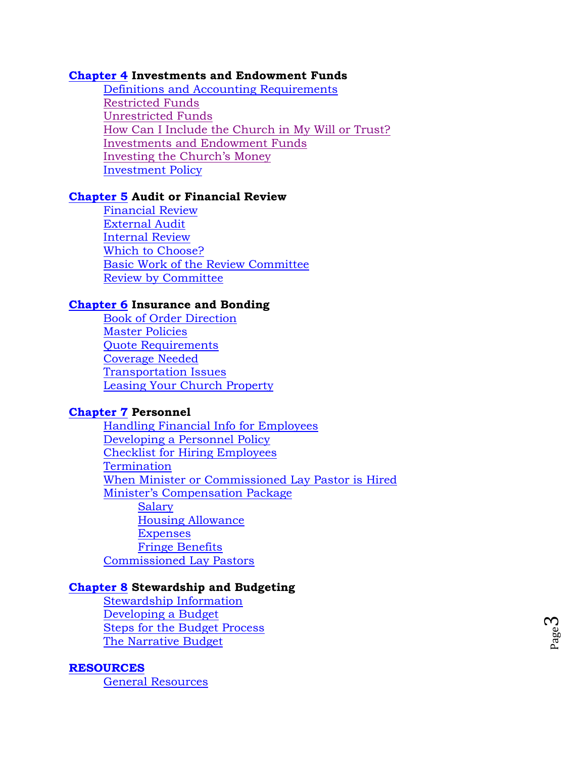### **[Chapter 4](#page-28-0) Investments and Endowment Funds**

Definitions [and Accounting Requirements](#page-28-1) [Restricted Funds](#page-28-2) [Unrestricted Funds](#page-29-0) How Can I Include the Church in My Will or Trust? [Investments and Endowment Funds](#page-29-1) [Investing the Church](#page-31-0)'s Money [Investment Policy](#page-32-0)

#### **[Chapter 5](#page-36-0) Audit or Financial Review**

[Financial Review](#page-36-1) [External Audit](#page-37-0) [Internal Review](#page-37-1) [Which to Choose?](#page-37-2) [Basic Work of the Review Committee](#page-38-0) [Review by Committee](#page-38-0)

## **[Chapter 6](#page-40-0) Insurance and Bonding**

[Book of Order Direction](#page-40-1) [Master Policies](#page-40-2) [Quote Requirements](#page-41-0) [Coverage Needed](#page-42-0) [Transportation Issues](#page-43-0) [Leasing Your Church Property](#page-43-1)

## **[Chapter 7](#page-44-0) Personnel**

[Handling Financial Info for Employees](#page-44-1) [Developing a Personnel Policy](#page-44-2) [Checklist for Hiring Employees](#page-45-0) [Termination](#page-46-0) [When Minister or Commissioned Lay Pastor is Hired](#page-46-1) [Minister's Compensation Package](#page-47-0) **[Salary](#page-48-0)** Housing [Allowance](#page-48-1) [Expenses](#page-49-0) [Fringe Benefits](#page-50-0) [Commissioned Lay Pastors](#page-52-0)

#### **[Chapter 8](#page-53-0) Stewardship and Budgeting**

[Stewardship Information](#page-53-1) [Developing a Budget](#page-53-2) [Steps for the Budget Process](#page-54-0) [The Narrative Budget](#page-55-0)

#### **[RESOURCES](#page-58-0)**

[General Resources](#page-58-1)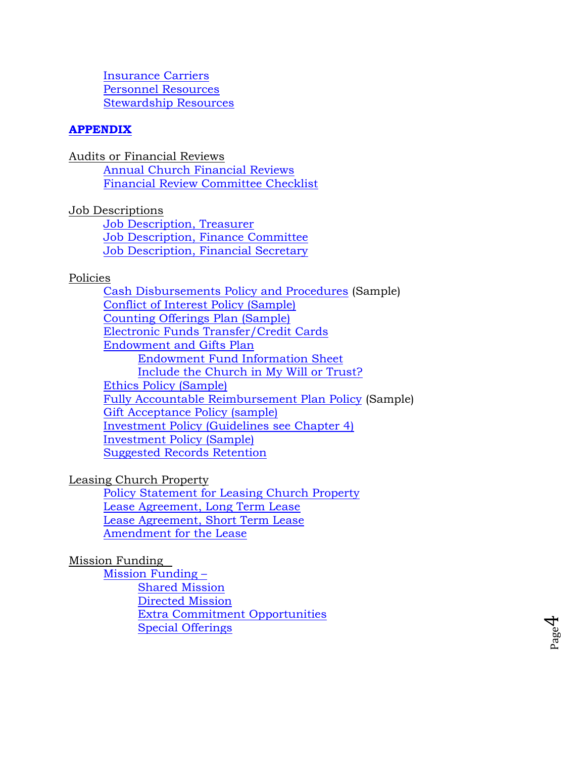[Insurance Carriers](#page-59-0) [Personnel Resources](#page-59-1) [Stewardship Resources](#page-59-2)

# **[APPENDIX](#page-61-0)**

Audits or Financial Reviews

[Annual Church Financial Reviews](#page-62-0) [Financial Review Committee Checklist](#page-64-0)

Job Descriptions

[Job Description, Treasurer](#page-65-0) [Job Description, Finance Committee](#page-67-0) [Job Description, Financial Secretary](#page-69-0)

# Policies

[Cash Disbursements Policy and Procedures](#page-71-0) (Sample) [Conflict of Interest Policy \(Sample\)](#page-72-0) [Counting Offerings Plan \(Sample\)](#page-76-0) [Electronic Funds Transfer/Credit Cards](#page-77-0) [Endowment and Gifts Plan](#page-78-0) [Endowment Fund Information Sheet](#page-83-0) [Include the Church in My Will or Trust?](#page-83-1) [Ethics Policy \(Sample\)](#page-84-0) [Fully Accountable Reimbursement Plan Policy](#page-85-0) (Sample) [Gift Acceptance Policy \(sample\)](#page-87-0) [Investment Policy \(Guidelines see Chapter 4\)](#page-32-0) [Investment Policy \(Sample\)](#page-90-0) [Suggested Records Retention](#page-92-0)

# Leasing Church Property

[Policy Statement for Leasing Church Property](#page-94-0) [Lease Agreement, Long Term Lease](#page-96-0) [Lease Agreement, Short Term Lease](#page-102-0) [Amendment for the Lease](#page-105-0)

# Mission Funding

[Mission Funding](#page-106-0) – [Shared Mission](#page-106-1) [Directed Mission](#page-106-2) [Extra Commitment Opportunities](#page-107-0) [Special Offerings](#page-107-1)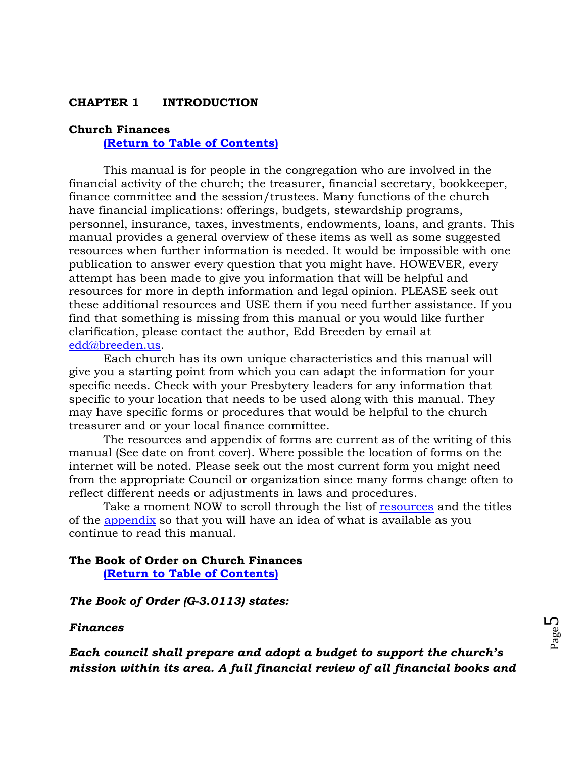## <span id="page-4-0"></span>**CHAPTER 1 INTRODUCTION**

#### <span id="page-4-1"></span>**Church Finances**

**[\(Return to Table of Contents\)](#page-1-0)**

This manual is for people in the congregation who are involved in the financial activity of the church; the treasurer, financial secretary, bookkeeper, finance committee and the session/trustees. Many functions of the church have financial implications: offerings, budgets, stewardship programs, personnel, insurance, taxes, investments, endowments, loans, and grants. This manual provides a general overview of these items as well as some suggested resources when further information is needed. It would be impossible with one publication to answer every question that you might have. HOWEVER, every attempt has been made to give you information that will be helpful and resources for more in depth information and legal opinion. PLEASE seek out these additional resources and USE them if you need further assistance. If you find that something is missing from this manual or you would like further clarification, please contact the author, Edd Breeden by email at [edd@breeden.us.](mailto:edd@breeden.us)

Each church has its own unique characteristics and this manual will give you a starting point from which you can adapt the information for your specific needs. Check with your Presbytery leaders for any information that specific to your location that needs to be used along with this manual. They may have specific forms or procedures that would be helpful to the church treasurer and or your local finance committee.

The resources and appendix of forms are current as of the writing of this manual (See date on front cover). Where possible the location of forms on the internet will be noted. Please seek out the most current form you might need from the appropriate Council or organization since many forms change often to reflect different needs or adjustments in laws and procedures.

Take a moment NOW to scroll through the list of [resources](#page-58-0) and the titles of the [appendix](#page-61-0) so that you will have an idea of what is available as you continue to read this manual.

# <span id="page-4-2"></span>**The Book of Order on Church Finances [\(Return to Table of Contents\)](#page-1-0)**

#### *The Book of Order (G-3.0113) states:*

#### *Finances*

*Each council shall prepare and adopt a budget to support the church's mission within its area. A full financial review of all financial books and*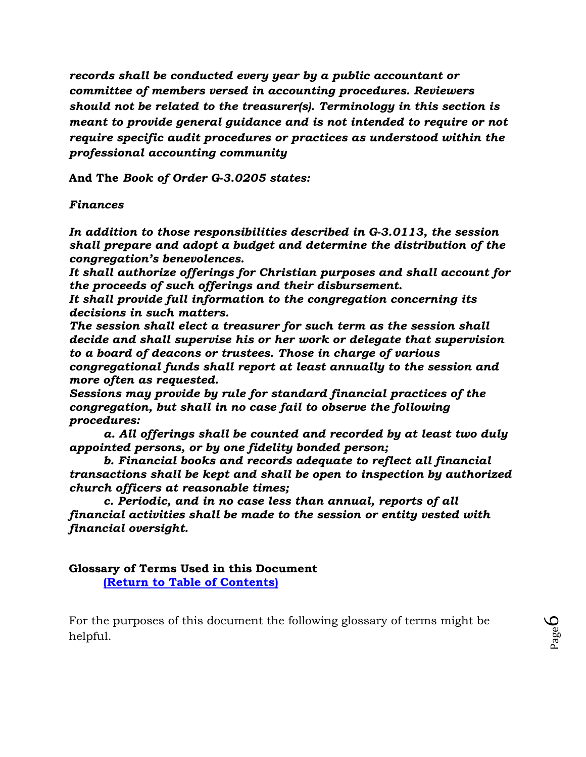*records shall be conducted every year by a public accountant or committee of members versed in accounting procedures. Reviewers should not be related to the treasurer(s). Terminology in this section is meant to provide general guidance and is not intended to require or not require specific audit procedures or practices as understood within the professional accounting community*

**And The** *Book of Order G-3.0205 states:* 

*Finances* 

*In addition to those responsibilities described in G-3.0113, the session shall prepare and adopt a budget and determine the distribution of the congregation's benevolences.* 

*It shall authorize offerings for Christian purposes and shall account for the proceeds of such offerings and their disbursement.* 

*It shall provide full information to the congregation concerning its decisions in such matters.* 

*The session shall elect a treasurer for such term as the session shall decide and shall supervise his or her work or delegate that supervision to a board of deacons or trustees. Those in charge of various congregational funds shall report at least annually to the session and more often as requested.* 

*Sessions may provide by rule for standard financial practices of the congregation, but shall in no case fail to observe the following procedures:* 

*a. All offerings shall be counted and recorded by at least two duly appointed persons, or by one fidelity bonded person;* 

*b. Financial books and records adequate to reflect all financial transactions shall be kept and shall be open to inspection by authorized church officers at reasonable times;* 

*c. Periodic, and in no case less than annual, reports of all financial activities shall be made to the session or entity vested with financial oversight.*

<span id="page-5-0"></span>**Glossary of Terms Used in this Document [\(Return to Table of Contents\)](#page-1-0)**

For the purposes of this document the following glossary of terms might be helpful.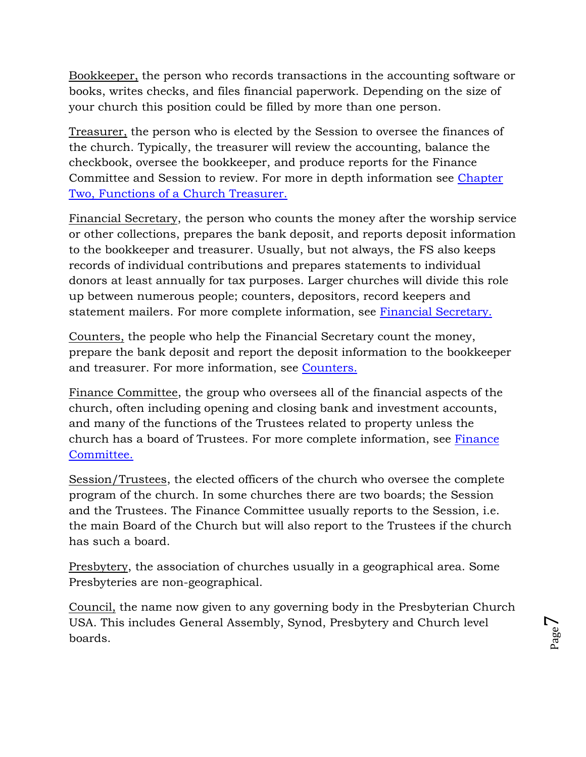Bookkeeper, the person who records transactions in the accounting software or books, writes checks, and files financial paperwork. Depending on the size of your church this position could be filled by more than one person.

Treasurer, the person who is elected by the Session to oversee the finances of the church. Typically, the treasurer will review the accounting, balance the checkbook, oversee the bookkeeper, and produce reports for the Finance Committee and Session to review. For more in depth information see [Chapter](#page-7-0)  [Two, Functions of a Church Treasurer.](#page-7-0)

Financial Secretary, the person who counts the money after the worship service or other collections, prepares the bank deposit, and reports deposit information to the bookkeeper and treasurer. Usually, but not always, the FS also keeps records of individual contributions and prepares statements to individual donors at least annually for tax purposes. Larger churches will divide this role up between numerous people; counters, depositors, record keepers and statement mailers. For more complete information, see [Financial Secretary.](#page-25-0)

Counters, the people who help the Financial Secretary count the money, prepare the bank deposit and report the deposit information to the bookkeeper and treasurer. For more information, see [Counters.](#page-26-0)

Finance Committee, the group who oversees all of the financial aspects of the church, often including opening and closing bank and investment accounts, and many of the functions of the Trustees related to property unless the church has a board of Trustees. For more complete information, see [Finance](#page-24-1)  [Committee.](#page-24-1)

Session/Trustees, the elected officers of the church who oversee the complete program of the church. In some churches there are two boards; the Session and the Trustees. The Finance Committee usually reports to the Session, i.e. the main Board of the Church but will also report to the Trustees if the church has such a board.

Presbytery, the association of churches usually in a geographical area. Some Presbyteries are non-geographical.

Council, the name now given to any governing body in the Presbyterian Church USA. This includes General Assembly, Synod, Presbytery and Church level boards.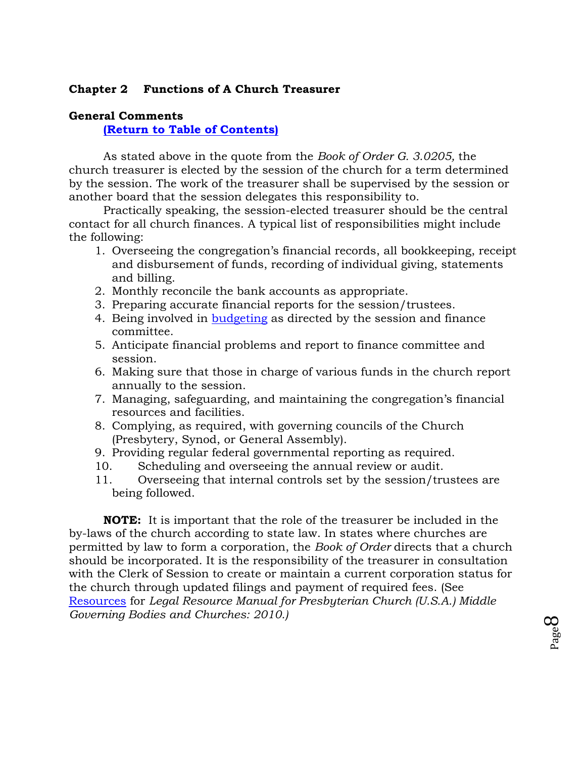# <span id="page-7-0"></span>**Chapter 2 Functions of A Church Treasurer**

# <span id="page-7-1"></span>**General Comments**

**[\(Return to Table of Contents\)](#page-1-0)**

As stated above in the quote from the *Book of Order G. 3.0205,* the church treasurer is elected by the session of the church for a term determined by the session. The work of the treasurer shall be supervised by the session or another board that the session delegates this responsibility to.

Practically speaking, the session-elected treasurer should be the central contact for all church finances. A typical list of responsibilities might include the following:

- 1. Overseeing the congregation's financial records, all bookkeeping, receipt and disbursement of funds, recording of individual giving, statements and billing.
- 2. Monthly reconcile the bank accounts as appropriate.
- 3. Preparing accurate financial reports for the session/trustees.
- 4. Being involved in [budgeting](#page-53-2) as directed by the session and finance committee.
- 5. Anticipate financial problems and report to finance committee and session.
- 6. Making sure that those in charge of various funds in the church report annually to the session.
- 7. Managing, safeguarding, and maintaining the congregation's financial resources and facilities.
- 8. Complying, as required, with governing councils of the Church (Presbytery, Synod, or General Assembly).
- 9. Providing regular federal governmental reporting as required.
- 10. Scheduling and overseeing the annual review or audit.
- 11. Overseeing that internal controls set by the session/trustees are being followed.

**NOTE:** It is important that the role of the treasurer be included in the by-laws of the church according to state law. In states where churches are permitted by law to form a corporation, the *Book of Order* directs that a church should be incorporated. It is the responsibility of the treasurer in consultation with the Clerk of Session to create or maintain a current corporation status for the church through updated filings and payment of required fees. (See [Resources](#page-58-0) for *Legal Resource Manual for Presbyterian Church (U.S.A.) Middle Governing Bodies and Churches: 2010.)*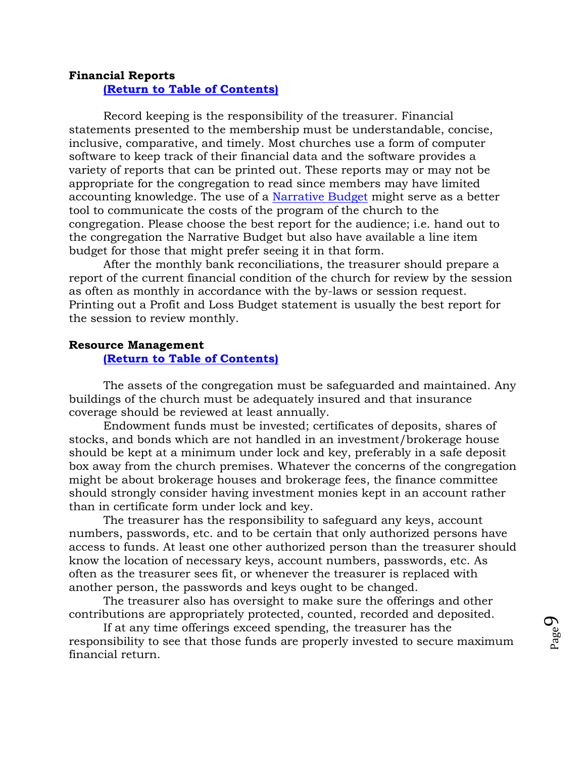## <span id="page-8-0"></span>**Financial Reports [\(Return to Table of Contents\)](#page-1-0)**

Record keeping is the responsibility of the treasurer. Financial statements presented to the membership must be understandable, concise, inclusive, comparative, and timely. Most churches use a form of computer software to keep track of their financial data and the software provides a variety of reports that can be printed out. These reports may or may not be appropriate for the congregation to read since members may have limited accounting knowledge. The use of a [Narrative Budget](#page-55-0) might serve as a better tool to communicate the costs of the program of the church to the congregation. Please choose the best report for the audience; i.e. hand out to the congregation the Narrative Budget but also have available a line item budget for those that might prefer seeing it in that form.

After the monthly bank reconciliations, the treasurer should prepare a report of the current financial condition of the church for review by the session as often as monthly in accordance with the by-laws or session request. Printing out a Profit and Loss Budget statement is usually the best report for the session to review monthly.

# <span id="page-8-1"></span>**Resource Management [\(Return to Table of Contents\)](#page-1-0)**

The assets of the congregation must be safeguarded and maintained. Any buildings of the church must be adequately insured and that insurance coverage should be reviewed at least annually.

Endowment funds must be invested; certificates of deposits, shares of stocks, and bonds which are not handled in an investment/brokerage house should be kept at a minimum under lock and key, preferably in a safe deposit box away from the church premises. Whatever the concerns of the congregation might be about brokerage houses and brokerage fees, the finance committee should strongly consider having investment monies kept in an account rather than in certificate form under lock and key.

The treasurer has the responsibility to safeguard any keys, account numbers, passwords, etc. and to be certain that only authorized persons have access to funds. At least one other authorized person than the treasurer should know the location of necessary keys, account numbers, passwords, etc. As often as the treasurer sees fit, or whenever the treasurer is replaced with another person, the passwords and keys ought to be changed.

The treasurer also has oversight to make sure the offerings and other contributions are appropriately protected, counted, recorded and deposited.

If at any time offerings exceed spending, the treasurer has the responsibility to see that those funds are properly invested to secure maximum financial return.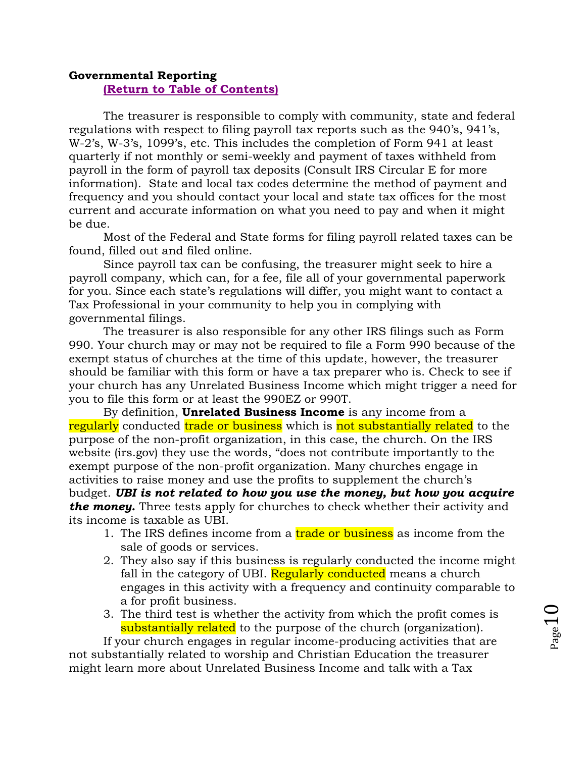# <span id="page-9-0"></span>**Governmental Reporting [\(Return to Table of Contents\)](#page-1-0)**

The treasurer is responsible to comply with community, state and federal regulations with respect to filing payroll tax reports such as the 940's, 941's, W-2's, W-3's, 1099's, etc. This includes the completion of Form 941 at least quarterly if not monthly or semi-weekly and payment of taxes withheld from payroll in the form of payroll tax deposits (Consult IRS Circular E for more information). State and local tax codes determine the method of payment and frequency and you should contact your local and state tax offices for the most current and accurate information on what you need to pay and when it might be due.

Most of the Federal and State forms for filing payroll related taxes can be found, filled out and filed online.

Since payroll tax can be confusing, the treasurer might seek to hire a payroll company, which can, for a fee, file all of your governmental paperwork for you. Since each state's regulations will differ, you might want to contact a Tax Professional in your community to help you in complying with governmental filings.

The treasurer is also responsible for any other IRS filings such as Form 990. Your church may or may not be required to file a Form 990 because of the exempt status of churches at the time of this update, however, the treasurer should be familiar with this form or have a tax preparer who is. Check to see if your church has any Unrelated Business Income which might trigger a need for you to file this form or at least the 990EZ or 990T.

<span id="page-9-1"></span>By definition, **Unrelated Business Income** is any income from a regularly conducted trade or business which is not substantially related to the purpose of the non-profit organization, in this case, the church. On the IRS website (irs.gov) they use the words, "does not contribute importantly to the exempt purpose of the non-profit organization. Many churches engage in activities to raise money and use the profits to supplement the church's budget. *UBI is not related to how you use the money, but how you acquire the money.* Three tests apply for churches to check whether their activity and its income is taxable as UBI.

- 1. The IRS defines income from a trade or business as income from the sale of goods or services.
- 2. They also say if this business is regularly conducted the income might fall in the category of UBI. Regularly conducted means a church engages in this activity with a frequency and continuity comparable to a for profit business.
- 3. The third test is whether the activity from which the profit comes is substantially related to the purpose of the church (organization).

If your church engages in regular income-producing activities that are not substantially related to worship and Christian Education the treasurer might learn more about Unrelated Business Income and talk with a Tax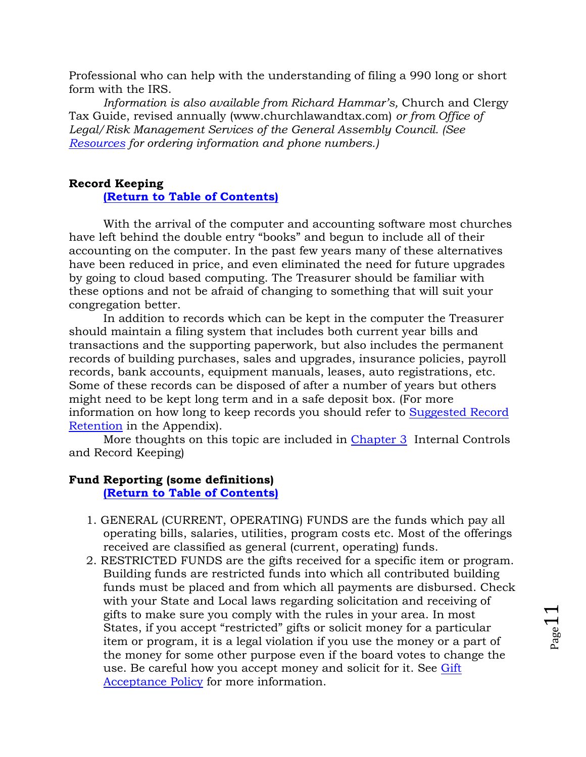Professional who can help with the understanding of filing a 990 long or short form with the IRS.

*Information is also available from Richard Hammar's,* Church and Clergy Tax Guide, revised annually (www.churchlawandtax.com) *or from Office of Legal/Risk Management Services of the General Assembly Council. (See [Resources](#page-58-0) for ordering information and phone numbers.)*

## <span id="page-10-0"></span>**Record Keeping**

### **[\(Return to Table of Contents\)](#page-1-0)**

With the arrival of the computer and accounting software most churches have left behind the double entry "books" and begun to include all of their accounting on the computer. In the past few years many of these alternatives have been reduced in price, and even eliminated the need for future upgrades by going to cloud based computing. The Treasurer should be familiar with these options and not be afraid of changing to something that will suit your congregation better.

In addition to records which can be kept in the computer the Treasurer should maintain a filing system that includes both current year bills and transactions and the supporting paperwork, but also includes the permanent records of building purchases, sales and upgrades, insurance policies, payroll records, bank accounts, equipment manuals, leases, auto registrations, etc. Some of these records can be disposed of after a number of years but others might need to be kept long term and in a safe deposit box. (For more information on how long to keep records you should refer to [Suggested Record](#page-92-0)  [Retention](#page-92-0) in the Appendix).

More thoughts on this topic are included in [Chapter 3](#page-17-0) Internal Controls and Record Keeping)

## <span id="page-10-1"></span>**Fund Reporting (some definitions)**

## **[\(Return to Table of Contents\)](#page-1-0)**

- 1. GENERAL (CURRENT, OPERATING) FUNDS are the funds which pay all operating bills, salaries, utilities, program costs etc. Most of the offerings received are classified as general (current, operating) funds.
- 2. RESTRICTED FUNDS are the gifts received for a specific item or program. Building funds are restricted funds into which all contributed building funds must be placed and from which all payments are disbursed. Check with your State and Local laws regarding solicitation and receiving of gifts to make sure you comply with the rules in your area. In most States, if you accept "restricted" gifts or solicit money for a particular item or program, it is a legal violation if you use the money or a part of the money for some other purpose even if the board votes to change the use. Be careful how you accept money and solicit for it. See [Gift](#page-87-0)  [Acceptance Policy](#page-87-0) for more information.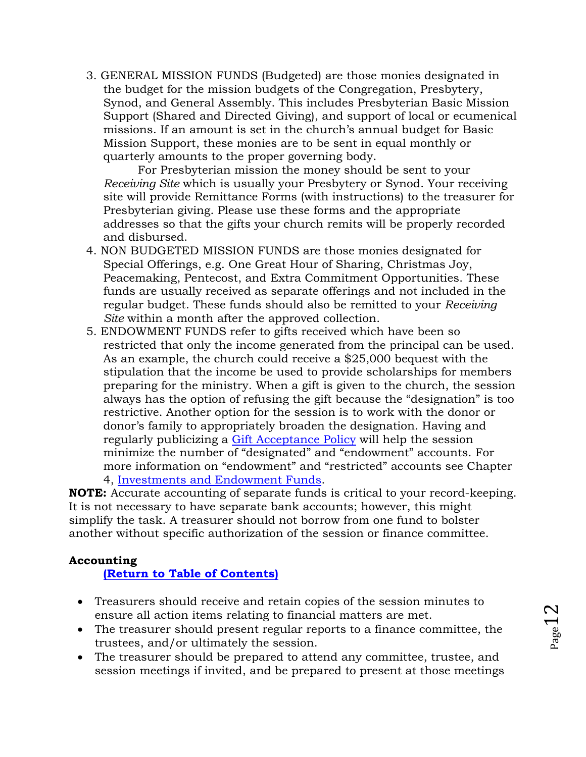3. GENERAL MISSION FUNDS (Budgeted) are those monies designated in the budget for the mission budgets of the Congregation, Presbytery, Synod, and General Assembly. This includes Presbyterian Basic Mission Support (Shared and Directed Giving), and support of local or ecumenical missions. If an amount is set in the church's annual budget for Basic Mission Support, these monies are to be sent in equal monthly or quarterly amounts to the proper governing body.

For Presbyterian mission the money should be sent to your *Receiving Site* which is usually your Presbytery or Synod. Your receiving site will provide Remittance Forms (with instructions) to the treasurer for Presbyterian giving. Please use these forms and the appropriate addresses so that the gifts your church remits will be properly recorded and disbursed.

- 4. NON BUDGETED MISSION FUNDS are those monies designated for Special Offerings, e.g. One Great Hour of Sharing, Christmas Joy, Peacemaking, Pentecost, and Extra Commitment Opportunities. These funds are usually received as separate offerings and not included in the regular budget. These funds should also be remitted to your *Receiving Site* within a month after the approved collection.
- 5. ENDOWMENT FUNDS refer to gifts received which have been so restricted that only the income generated from the principal can be used. As an example, the church could receive a \$25,000 bequest with the stipulation that the income be used to provide scholarships for members preparing for the ministry. When a gift is given to the church, the session always has the option of refusing the gift because the "designation" is too restrictive. Another option for the session is to work with the donor or donor's family to appropriately broaden the designation. Having and regularly publicizing a [Gift Acceptance Policy](#page-87-0) will help the session minimize the number of "designated" and "endowment" accounts. For more information on "endowment" and "restricted" accounts see Chapter 4, [Investments and Endowment Funds.](#page-28-0)

**NOTE:** Accurate accounting of separate funds is critical to your record-keeping. It is not necessary to have separate bank accounts; however, this might simplify the task. A treasurer should not borrow from one fund to bolster another without specific authorization of the session or finance committee.

# <span id="page-11-0"></span>**Accounting**

# **[\(Return to Table of Contents\)](#page-1-0)**

- Treasurers should receive and retain copies of the session minutes to ensure all action items relating to financial matters are met.
- The treasurer should present regular reports to a finance committee, the trustees, and/or ultimately the session.
- The treasurer should be prepared to attend any committee, trustee, and session meetings if invited, and be prepared to present at those meetings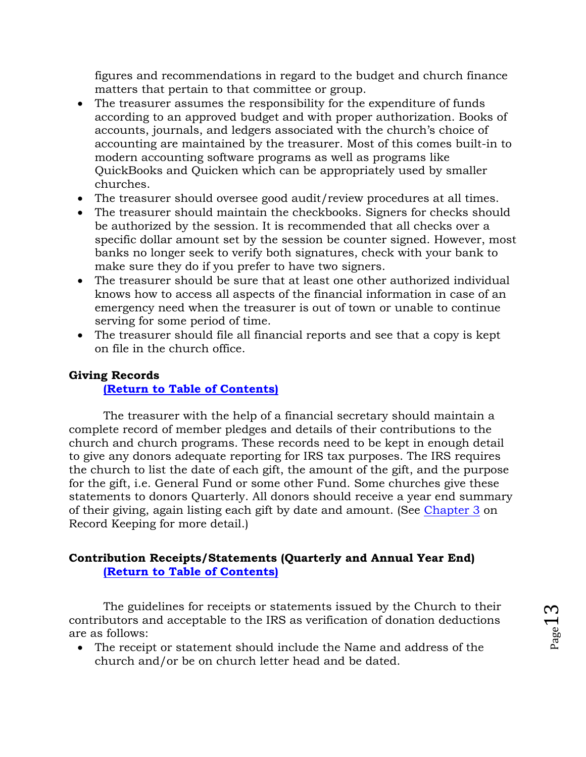figures and recommendations in regard to the budget and church finance matters that pertain to that committee or group.

- The treasurer assumes the responsibility for the expenditure of funds according to an approved budget and with proper authorization. Books of accounts, journals, and ledgers associated with the church's choice of accounting are maintained by the treasurer. Most of this comes built-in to modern accounting software programs as well as programs like QuickBooks and Quicken which can be appropriately used by smaller churches.
- The treasurer should oversee good audit/review procedures at all times.
- The treasurer should maintain the checkbooks. Signers for checks should be authorized by the session. It is recommended that all checks over a specific dollar amount set by the session be counter signed. However, most banks no longer seek to verify both signatures, check with your bank to make sure they do if you prefer to have two signers.
- The treasurer should be sure that at least one other authorized individual knows how to access all aspects of the financial information in case of an emergency need when the treasurer is out of town or unable to continue serving for some period of time.
- The treasurer should file all financial reports and see that a copy is kept on file in the church office.

# **Giving Records**

# <span id="page-12-0"></span>**[\(Return to Table of Contents\)](#page-1-0)**

The treasurer with the help of a financial secretary should maintain a complete record of member pledges and details of their contributions to the church and church programs. These records need to be kept in enough detail to give any donors adequate reporting for IRS tax purposes. The IRS requires the church to list the date of each gift, the amount of the gift, and the purpose for the gift, i.e. General Fund or some other Fund. Some churches give these statements to donors Quarterly. All donors should receive a year end summary of their giving, again listing each gift by date and amount. (See [Chapter](#page-17-0) 3 on Record Keeping for more detail.)

# <span id="page-12-1"></span>**Contribution Receipts/Statements (Quarterly and Annual Year End) [\(Return to Table of Contents\)](#page-1-0)**

The guidelines for receipts or statements issued by the Church to their contributors and acceptable to the IRS as verification of donation deductions are as follows:

 The receipt or statement should include the Name and address of the church and/or be on church letter head and be dated.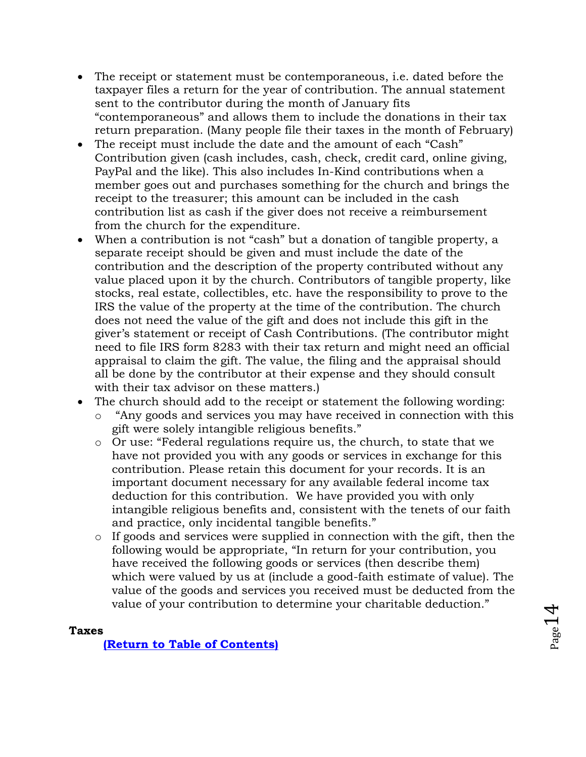- The receipt or statement must be contemporaneous, i.e. dated before the taxpayer files a return for the year of contribution. The annual statement sent to the contributor during the month of January fits "contemporaneous" and allows them to include the donations in their tax return preparation. (Many people file their taxes in the month of February)
- The receipt must include the date and the amount of each "Cash" Contribution given (cash includes, cash, check, credit card, online giving, PayPal and the like). This also includes In-Kind contributions when a member goes out and purchases something for the church and brings the receipt to the treasurer; this amount can be included in the cash contribution list as cash if the giver does not receive a reimbursement from the church for the expenditure.
- When a contribution is not "cash" but a donation of tangible property, a separate receipt should be given and must include the date of the contribution and the description of the property contributed without any value placed upon it by the church. Contributors of tangible property, like stocks, real estate, collectibles, etc. have the responsibility to prove to the IRS the value of the property at the time of the contribution. The church does not need the value of the gift and does not include this gift in the giver's statement or receipt of Cash Contributions. (The contributor might need to file IRS form 8283 with their tax return and might need an official appraisal to claim the gift. The value, the filing and the appraisal should all be done by the contributor at their expense and they should consult with their tax advisor on these matters.)
- The church should add to the receipt or statement the following wording:
	- o "Any goods and services you may have received in connection with this gift were solely intangible religious benefits."
	- o Or use: "Federal regulations require us, the church, to state that we have not provided you with any goods or services in exchange for this contribution. Please retain this document for your records. It is an important document necessary for any available federal income tax deduction for this contribution. We have provided you with only intangible religious benefits and, consistent with the tenets of our faith and practice, only incidental tangible benefits."
	- o If goods and services were supplied in connection with the gift, then the following would be appropriate, "In return for your contribution, you have received the following goods or services (then describe them) which were valued by us at (include a good-faith estimate of value). The value of the goods and services you received must be deducted from the value of your contribution to determine your charitable deduction."

# <span id="page-13-0"></span>**Taxes**

**[\(Return to Table of Contents\)](#page-1-0)**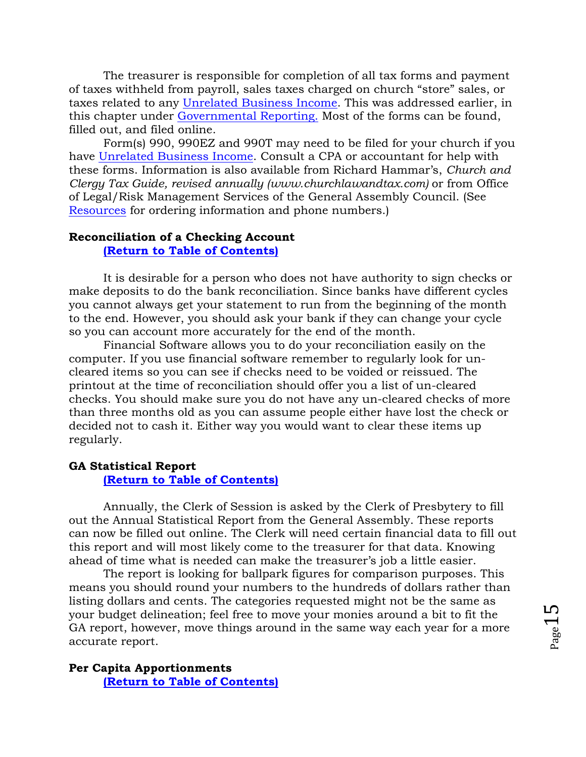The treasurer is responsible for completion of all tax forms and payment of taxes withheld from payroll, sales taxes charged on church "store" sales, or taxes related to any [Unrelated Business Income.](#page-9-1) This was addressed earlier, in this chapter under [Governmental Reporting.](#page-9-0) Most of the forms can be found, filled out, and filed online.

Form(s) 990, 990EZ and 990T may need to be filed for your church if you have Unrelated [Business Income.](#page-9-1) Consult a CPA or accountant for help with these forms. Information is also available from Richard Hammar's, *Church and Clergy Tax Guide, revised annually (www.churchlawandtax.com)* or from Office of Legal/Risk Management Services of the General Assembly Council. (See [Resources](#page-58-0) for ordering information and phone numbers.)

### <span id="page-14-0"></span>**Reconciliation of a Checking Account**

**[\(Return to Table of Contents\)](#page-1-0)**

It is desirable for a person who does not have authority to sign checks or make deposits to do the bank reconciliation. Since banks have different cycles you cannot always get your statement to run from the beginning of the month to the end. However, you should ask your bank if they can change your cycle so you can account more accurately for the end of the month.

Financial Software allows you to do your reconciliation easily on the computer. If you use financial software remember to regularly look for uncleared items so you can see if checks need to be voided or reissued. The printout at the time of reconciliation should offer you a list of un-cleared checks. You should make sure you do not have any un-cleared checks of more than three months old as you can assume people either have lost the check or decided not to cash it. Either way you would want to clear these items up regularly.

#### <span id="page-14-1"></span>**GA Statistical Report**

#### **[\(Return to Table of Contents\)](#page-1-0)**

Annually, the Clerk of Session is asked by the Clerk of Presbytery to fill out the Annual Statistical Report from the General Assembly. These reports can now be filled out online. The Clerk will need certain financial data to fill out this report and will most likely come to the treasurer for that data. Knowing ahead of time what is needed can make the treasurer's job a little easier.

The report is looking for ballpark figures for comparison purposes. This means you should round your numbers to the hundreds of dollars rather than listing dollars and cents. The categories requested might not be the same as your budget delineation; feel free to move your monies around a bit to fit the GA report, however, move things around in the same way each year for a more accurate report.

<span id="page-14-2"></span>**Per Capita Apportionments [\(Return to Table of Contents\)](#page-1-0)**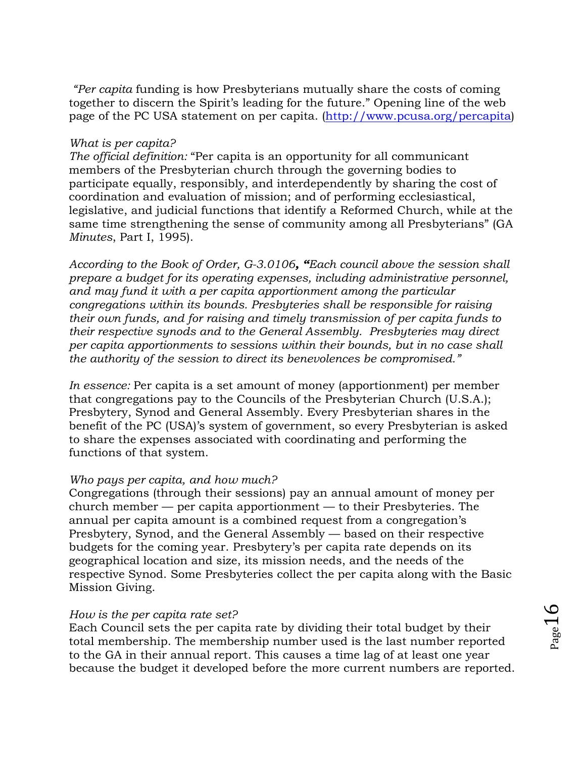*"Per capita* funding is how Presbyterians mutually share the costs of coming together to discern the Spirit's leading for the future." Opening line of the web page of the PC USA statement on per capita. [\(http://www.pcusa.org/percapita\)](http://www.pcusa.org/percapita/)

### *What is per capita?*

*The official definition:* "Per capita is an opportunity for all communicant members of the Presbyterian church through the governing bodies to participate equally, responsibly, and interdependently by sharing the cost of coordination and evaluation of mission; and of performing ecclesiastical, legislative, and judicial functions that identify a Reformed Church, while at the same time strengthening the sense of community among all Presbyterians" (GA *Minutes*, Part I, 1995).

*According to the Book of Order, G-3.0106, "Each council above the session shall prepare a budget for its operating expenses, including administrative personnel, and may fund it with a per capita apportionment among the particular congregations within its bounds. Presbyteries shall be responsible for raising their own funds, and for raising and timely transmission of per capita funds to their respective synods and to the General Assembly. Presbyteries may direct per capita apportionments to sessions within their bounds, but in no case shall the authority of the session to direct its benevolences be compromised."*

*In essence:* Per capita is a set amount of money (apportionment) per member that congregations pay to the Councils of the Presbyterian Church (U.S.A.); Presbytery, Synod and General Assembly. Every Presbyterian shares in the benefit of the PC (USA)'s system of government, so every Presbyterian is asked to share the expenses associated with coordinating and performing the functions of that system.

## *Who pays per capita, and how much?*

Congregations (through their sessions) pay an annual amount of money per church member — per capita apportionment — to their Presbyteries. The annual per capita amount is a combined request from a congregation's Presbytery, Synod, and the General Assembly — based on their respective budgets for the coming year. Presbytery's per capita rate depends on its geographical location and size, its mission needs, and the needs of the respective Synod. Some Presbyteries collect the per capita along with the Basic Mission Giving.

## *How is the per capita rate set?*

Each Council sets the per capita rate by dividing their total budget by their total membership. The membership number used is the last number reported to the GA in their annual report. This causes a time lag of at least one year because the budget it developed before the more current numbers are reported.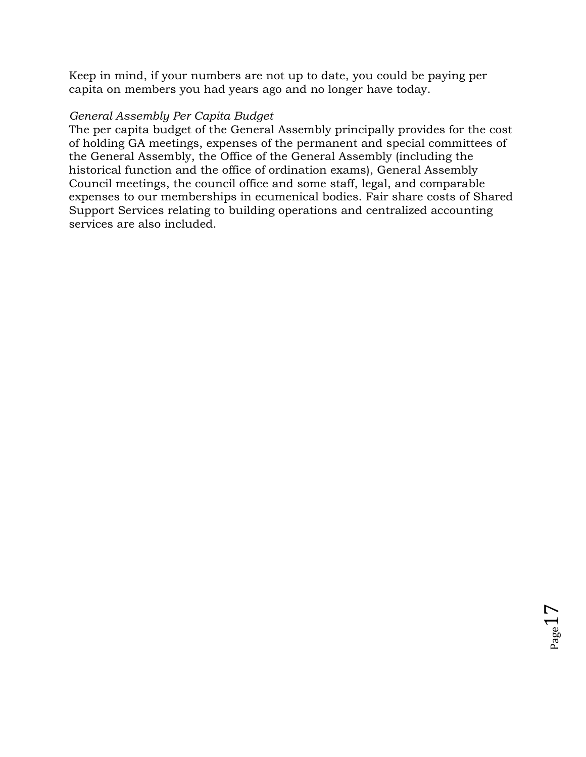Keep in mind, if your numbers are not up to date, you could be paying per capita on members you had years ago and no longer have today.

# *General Assembly Per Capita Budget*

The per capita budget of the General Assembly principally provides for the cost of holding GA meetings, expenses of the permanent and special committees of the General Assembly, the Office of the General Assembly (including the historical function and the office of ordination exams), General Assembly Council meetings, the council office and some staff, legal, and comparable expenses to our memberships in ecumenical bodies. Fair share costs of Shared Support Services relating to building operations and centralized accounting services are also included.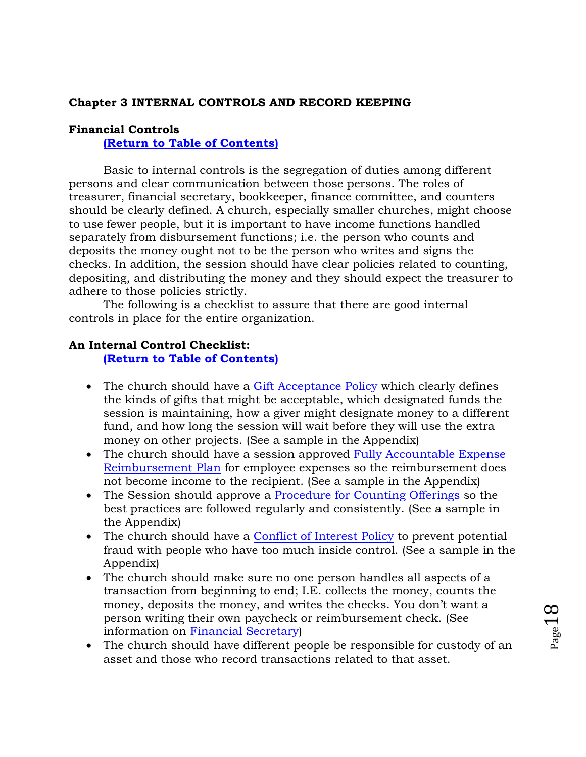## <span id="page-17-0"></span>**Chapter 3 INTERNAL CONTROLS AND RECORD KEEPING**

### <span id="page-17-1"></span>**Financial Controls**

**[\(Return to Table of Contents\)](#page-1-0)**

Basic to internal controls is the segregation of duties among different persons and clear communication between those persons. The roles of treasurer, financial secretary, bookkeeper, finance committee, and counters should be clearly defined. A church, especially smaller churches, might choose to use fewer people, but it is important to have income functions handled separately from disbursement functions; i.e. the person who counts and deposits the money ought not to be the person who writes and signs the checks. In addition, the session should have clear policies related to counting, depositing, and distributing the money and they should expect the treasurer to adhere to those policies strictly.

The following is a checklist to assure that there are good internal controls in place for the entire organization.

# <span id="page-17-2"></span>**An Internal Control Checklist:**

### **[\(Return to Table of Contents\)](#page-1-0)**

- The church should have a [Gift Acceptance Policy](#page-87-0) which clearly defines the kinds of gifts that might be acceptable, which designated funds the session is maintaining, how a giver might designate money to a different fund, and how long the session will wait before they will use the extra money on other projects. (See a sample in the Appendix)
- The church should have a session approved Fully Accountable Expense [Reimbursement Plan](#page-85-0) for employee expenses so the reimbursement does not become income to the recipient. (See a sample in the Appendix)
- The Session should approve a [Procedure for Counting Offerings](#page-76-0) so the best practices are followed regularly and consistently. (See a sample in the Appendix)
- The church should have a [Conflict of Interest Policy](#page-72-0) to prevent potential fraud with people who have too much inside control. (See a sample in the Appendix)
- The church should make sure no one person handles all aspects of a transaction from beginning to end; I.E. collects the money, counts the money, deposits the money, and writes the checks. You don't want a person writing their own paycheck or reimbursement check. (See information on [Financial Secretary\)](#page-25-0)
- The church should have different people be responsible for custody of an asset and those who record transactions related to that asset.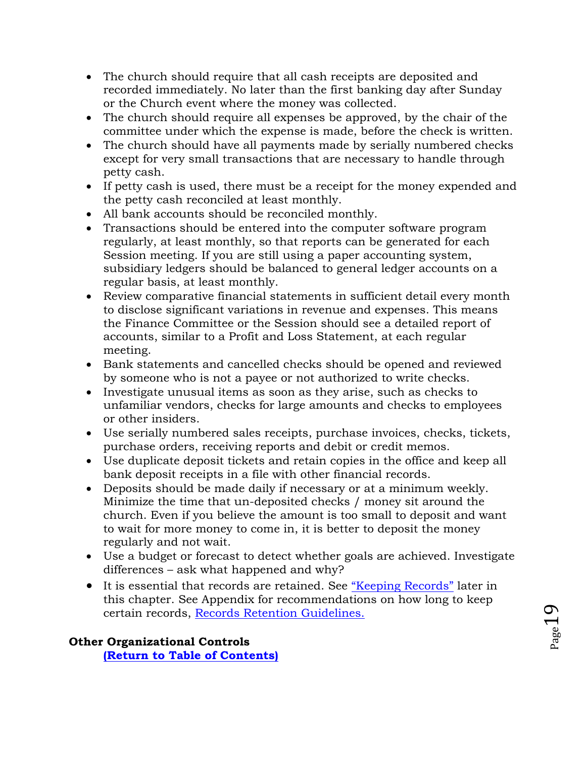- The church should require that all cash receipts are deposited and recorded immediately. No later than the first banking day after Sunday or the Church event where the money was collected.
- The church should require all expenses be approved, by the chair of the committee under which the expense is made, before the check is written.
- The church should have all payments made by serially numbered checks except for very small transactions that are necessary to handle through petty cash.
- If petty cash is used, there must be a receipt for the money expended and the petty cash reconciled at least monthly.
- All bank accounts should be reconciled monthly.
- Transactions should be entered into the computer software program regularly, at least monthly, so that reports can be generated for each Session meeting. If you are still using a paper accounting system, subsidiary ledgers should be balanced to general ledger accounts on a regular basis, at least monthly.
- Review comparative financial statements in sufficient detail every month to disclose significant variations in revenue and expenses. This means the Finance Committee or the Session should see a detailed report of accounts, similar to a Profit and Loss Statement, at each regular meeting.
- Bank statements and cancelled checks should be opened and reviewed by someone who is not a payee or not authorized to write checks.
- Investigate unusual items as soon as they arise, such as checks to unfamiliar vendors, checks for large amounts and checks to employees or other insiders.
- Use serially numbered sales receipts, purchase invoices, checks, tickets, purchase orders, receiving reports and debit or credit memos.
- Use duplicate deposit tickets and retain copies in the office and keep all bank deposit receipts in a file with other financial records.
- Deposits should be made daily if necessary or at a minimum weekly. Minimize the time that un-deposited checks / money sit around the church. Even if you believe the amount is too small to deposit and want to wait for more money to come in, it is better to deposit the money regularly and not wait.
- Use a budget or forecast to detect whether goals are achieved. Investigate differences – ask what happened and why?
- It is essential that records are retained. See ["Keeping Records"](#page-19-0) later in this chapter. See Appendix for recommendations on how long to keep certain records, [Records Retention Guidelines.](#page-92-0)

<span id="page-18-0"></span>**Other Organizational Controls [\(Return to Table of Contents\)](#page-1-0)**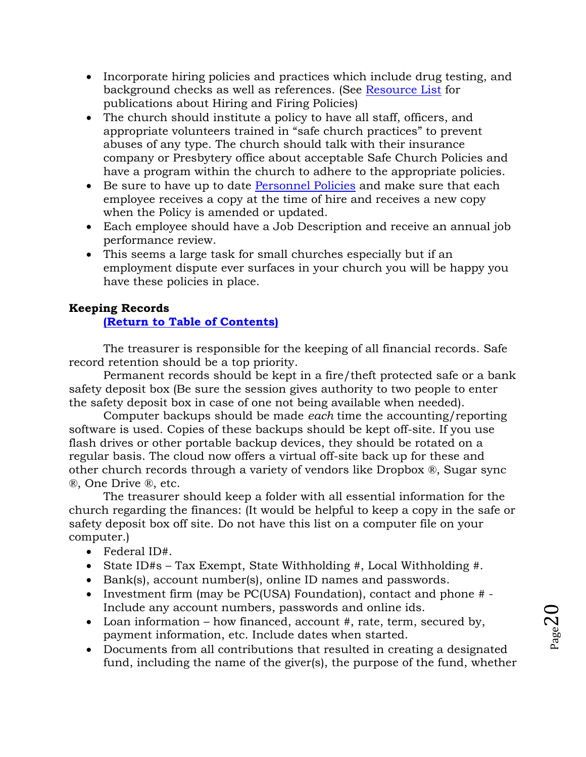- Incorporate hiring policies and practices which include drug testing, and background checks as well as references. (See [Resource List](#page-58-0) for publications about Hiring and Firing Policies)
- The church should institute a policy to have all staff, officers, and appropriate volunteers trained in "safe church practices" to prevent abuses of any type. The church should talk with their insurance company or Presbytery office about acceptable Safe Church Policies and have a program within the church to adhere to the appropriate policies.
- Execute to have up to date [Personnel Policies](#page-44-2) and make sure that each employee receives a copy at the time of hire and receives a new copy when the Policy is amended or updated.
- Each employee should have a Job Description and receive an annual job performance review.
- This seems a large task for small churches especially but if an employment dispute ever surfaces in your church you will be happy you have these policies in place.

# <span id="page-19-0"></span>**Keeping Records**

# **[\(Return to Table of Contents\)](#page-1-0)**

The treasurer is responsible for the keeping of all financial records. Safe record retention should be a top priority.

Permanent records should be kept in a fire/theft protected safe or a bank safety deposit box (Be sure the session gives authority to two people to enter the safety deposit box in case of one not being available when needed).

Computer backups should be made *each* time the accounting/reporting software is used. Copies of these backups should be kept off-site. If you use flash drives or other portable backup devices, they should be rotated on a regular basis. The cloud now offers a virtual off-site back up for these and other church records through a variety of vendors like Dropbox ®, Sugar sync ®, One Drive ®, etc.

The treasurer should keep a folder with all essential information for the church regarding the finances: (It would be helpful to keep a copy in the safe or safety deposit box off site. Do not have this list on a computer file on your computer.)

- Federal ID#.
- State ID#s Tax Exempt, State Withholding #, Local Withholding #.
- Bank(s), account number(s), online ID names and passwords.
- Investment firm (may be PC(USA) Foundation), contact and phone # -Include any account numbers, passwords and online ids.
- Loan information how financed, account  $#$ , rate, term, secured by, payment information, etc. Include dates when started.
- Documents from all contributions that resulted in creating a designated fund, including the name of the giver(s), the purpose of the fund, whether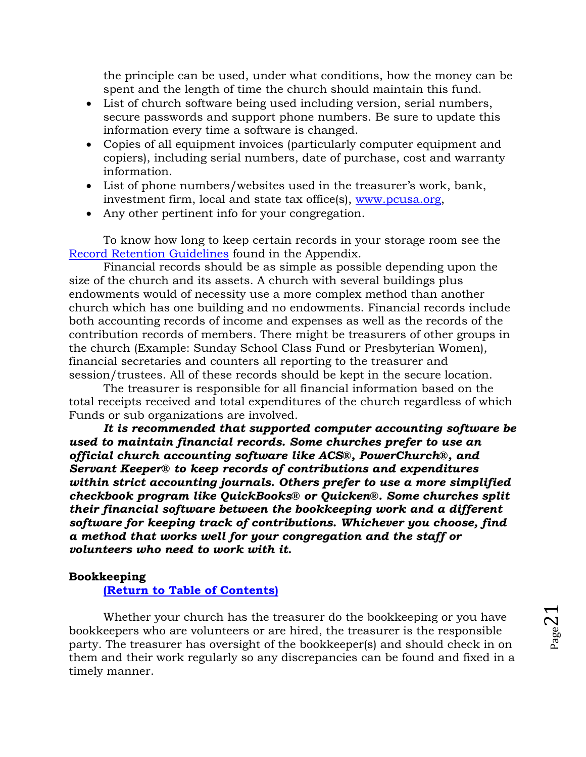the principle can be used, under what conditions, how the money can be spent and the length of time the church should maintain this fund.

- List of church software being used including version, serial numbers, secure passwords and support phone numbers. Be sure to update this information every time a software is changed.
- Copies of all equipment invoices (particularly computer equipment and copiers), including serial numbers, date of purchase, cost and warranty information.
- List of phone numbers/websites used in the treasurer's work, bank, investment firm, local and state tax office(s), [www.pcusa.org,](http://www.pcusa.org/)
- Any other pertinent info for your congregation.

To know how long to keep certain records in your storage room see the [Record Retention Guidelines](#page-92-0) found in the Appendix.

Financial records should be as simple as possible depending upon the size of the church and its assets. A church with several buildings plus endowments would of necessity use a more complex method than another church which has one building and no endowments. Financial records include both accounting records of income and expenses as well as the records of the contribution records of members. There might be treasurers of other groups in the church (Example: Sunday School Class Fund or Presbyterian Women), financial secretaries and counters all reporting to the treasurer and session/trustees. All of these records should be kept in the secure location.

The treasurer is responsible for all financial information based on the total receipts received and total expenditures of the church regardless of which Funds or sub organizations are involved.

*It is recommended that supported computer accounting software be used to maintain financial records. Some churches prefer to use an official church accounting software like ACS®, PowerChurch®, and Servant Keeper® to keep records of contributions and expenditures within strict accounting journals. Others prefer to use a more simplified checkbook program like QuickBooks® or Quicken®. Some churches split their financial software between the bookkeeping work and a different software for keeping track of contributions. Whichever you choose, find a method that works well for your congregation and the staff or volunteers who need to work with it.* 

#### <span id="page-20-0"></span>**Bookkeeping**

**[\(Return to Table of Contents\)](#page-1-0)**

Whether your church has the treasurer do the bookkeeping or you have bookkeepers who are volunteers or are hired, the treasurer is the responsible party. The treasurer has oversight of the bookkeeper(s) and should check in on them and their work regularly so any discrepancies can be found and fixed in a timely manner.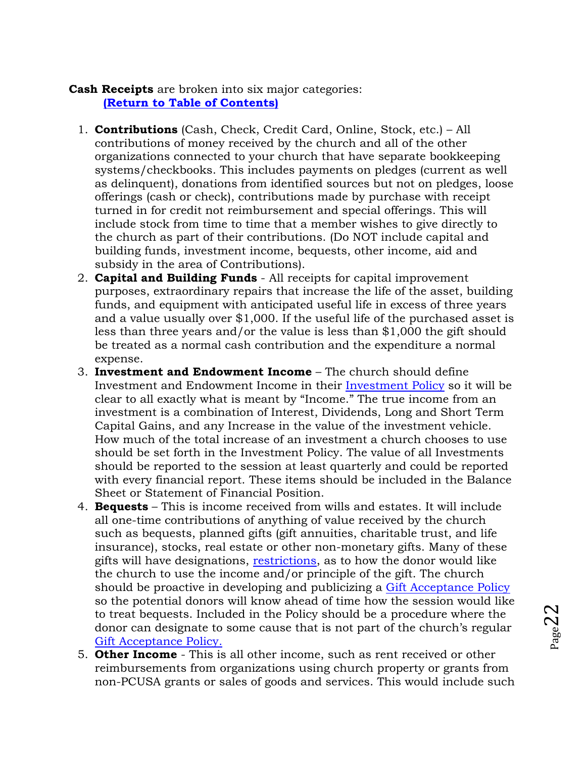# <span id="page-21-0"></span>**Cash Receipts** are broken into six major categories: **[\(Return to Table of Contents\)](#page-1-0)**

- 1. **Contributions** (Cash, Check, Credit Card, Online, Stock, etc.) All contributions of money received by the church and all of the other organizations connected to your church that have separate bookkeeping systems/checkbooks. This includes payments on pledges (current as well as delinquent), donations from identified sources but not on pledges, loose offerings (cash or check), contributions made by purchase with receipt turned in for credit not reimbursement and special offerings. This will include stock from time to time that a member wishes to give directly to the church as part of their contributions. (Do NOT include capital and building funds, investment income, bequests, other income, aid and subsidy in the area of Contributions).
- 2. **Capital and Building Funds** All receipts for capital improvement purposes, extraordinary repairs that increase the life of the asset, building funds, and equipment with anticipated useful life in excess of three years and a value usually over \$1,000. If the useful life of the purchased asset is less than three years and/or the value is less than \$1,000 the gift should be treated as a normal cash contribution and the expenditure a normal expense.
- 3. **Investment and Endowment Income** The church should define Investment and Endowment Income in their [Investment Policy](#page-32-0) so it will be clear to all exactly what is meant by "Income." The true income from an investment is a combination of Interest, Dividends, Long and Short Term Capital Gains, and any Increase in the value of the investment vehicle. How much of the total increase of an investment a church chooses to use should be set forth in the Investment Policy. The value of all Investments should be reported to the session at least quarterly and could be reported with every financial report. These items should be included in the Balance Sheet or Statement of Financial Position.
- 4. **Bequests** This is income received from wills and estates. It will include all one-time contributions of anything of value received by the church such as bequests, planned gifts (gift annuities, charitable trust, and life insurance), stocks, real estate or other non-monetary gifts. Many of these gifts will have designations, [restrictions,](#page-28-2) as to how the donor would like the church to use the income and/or principle of the gift. The church should be proactive in developing and publicizing a [Gift Acceptance Policy](#page-87-0) so the potential donors will know ahead of time how the session would like to treat bequests. Included in the Policy should be a procedure where the donor can designate to some cause that is not part of the church's regular [Gift Acceptance Policy.](#page-87-0)
- 5. **Other Income** This is all other income, such as rent received or other reimbursements from organizations using church property or grants from non-PCUSA grants or sales of goods and services. This would include such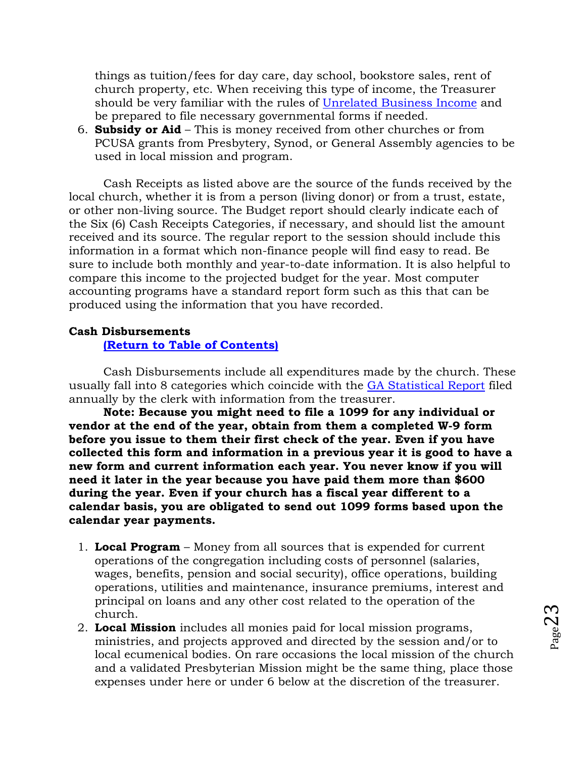things as tuition/fees for day care, day school, bookstore sales, rent of church property, etc. When receiving this type of income, the Treasurer should be very familiar with the rules of [Unrelated Business Income](#page-9-1) and be prepared to file necessary governmental forms if needed.

6. **Subsidy or Aid** – This is money received from other churches or from PCUSA grants from Presbytery, Synod, or General Assembly agencies to be used in local mission and program.

Cash Receipts as listed above are the source of the funds received by the local church, whether it is from a person (living donor) or from a trust, estate, or other non-living source. The Budget report should clearly indicate each of the Six (6) Cash Receipts Categories, if necessary, and should list the amount received and its source. The regular report to the session should include this information in a format which non-finance people will find easy to read. Be sure to include both monthly and year-to-date information. It is also helpful to compare this income to the projected budget for the year. Most computer accounting programs have a standard report form such as this that can be produced using the information that you have recorded.

## <span id="page-22-0"></span>**Cash Disbursements**

#### **[\(Return to Table of Contents\)](#page-1-0)**

Cash Disbursements include all expenditures made by the church. These usually fall into 8 categories which coincide with the [GA Statistical Report](#page-14-1) filed annually by the clerk with information from the treasurer.

**Note: Because you might need to file a 1099 for any individual or vendor at the end of the year, obtain from them a completed W-9 form before you issue to them their first check of the year. Even if you have collected this form and information in a previous year it is good to have a new form and current information each year. You never know if you will need it later in the year because you have paid them more than \$600 during the year. Even if your church has a fiscal year different to a calendar basis, you are obligated to send out 1099 forms based upon the calendar year payments.**

- 1. **Local Program** Money from all sources that is expended for current operations of the congregation including costs of personnel (salaries, wages, benefits, pension and social security), office operations, building operations, utilities and maintenance, insurance premiums, interest and principal on loans and any other cost related to the operation of the church.
- 2. **Local Mission** includes all monies paid for local mission programs, ministries, and projects approved and directed by the session and/or to local ecumenical bodies. On rare occasions the local mission of the church and a validated Presbyterian Mission might be the same thing, place those expenses under here or under 6 below at the discretion of the treasurer.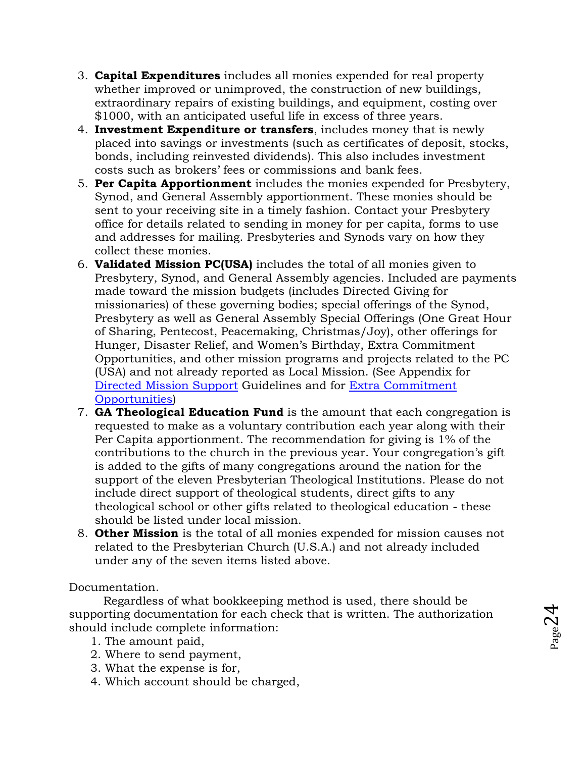- 3. **Capital Expenditures** includes all monies expended for real property whether improved or unimproved, the construction of new buildings, extraordinary repairs of existing buildings, and equipment, costing over \$1000, with an anticipated useful life in excess of three years.
- 4. **Investment Expenditure or transfers**, includes money that is newly placed into savings or investments (such as certificates of deposit, stocks, bonds, including reinvested dividends). This also includes investment costs such as brokers' fees or commissions and bank fees.
- 5. **Per Capita Apportionment** includes the monies expended for Presbytery, Synod, and General Assembly apportionment. These monies should be sent to your receiving site in a timely fashion. Contact your Presbytery office for details related to sending in money for per capita, forms to use and addresses for mailing. Presbyteries and Synods vary on how they collect these monies.
- 6. **Validated Mission PC(USA)** includes the total of all monies given to Presbytery, Synod, and General Assembly agencies. Included are payments made toward the mission budgets (includes Directed Giving for missionaries) of these governing bodies; special offerings of the Synod, Presbytery as well as General Assembly Special Offerings (One Great Hour of Sharing, Pentecost, Peacemaking, Christmas/Joy), other offerings for Hunger, Disaster Relief, and Women's Birthday, Extra Commitment Opportunities, and other mission programs and projects related to the PC (USA) and not already reported as Local Mission. (See Appendix for [Directed Mission Support](#page-106-2) Guidelines and for [Extra Commitment](#page-107-0)  [Opportunities\)](#page-107-0)
- 7. **GA Theological Education Fund** is the amount that each congregation is requested to make as a voluntary contribution each year along with their Per Capita apportionment. The recommendation for giving is 1% of the contributions to the church in the previous year. Your congregation's gift is added to the gifts of many congregations around the nation for the support of the eleven Presbyterian Theological Institutions. Please do not include direct support of theological students, direct gifts to any theological school or other gifts related to theological education - these should be listed under local mission.
- 8. **Other Mission** is the total of all monies expended for mission causes not related to the Presbyterian Church (U.S.A.) and not already included under any of the seven items listed above.

# Documentation.

Regardless of what bookkeeping method is used, there should be supporting documentation for each check that is written. The authorization should include complete information:

 $P_{\text{age}}24$ 

- 1. The amount paid,
- 2. Where to send payment,
- 3. What the expense is for,
- 4. Which account should be charged,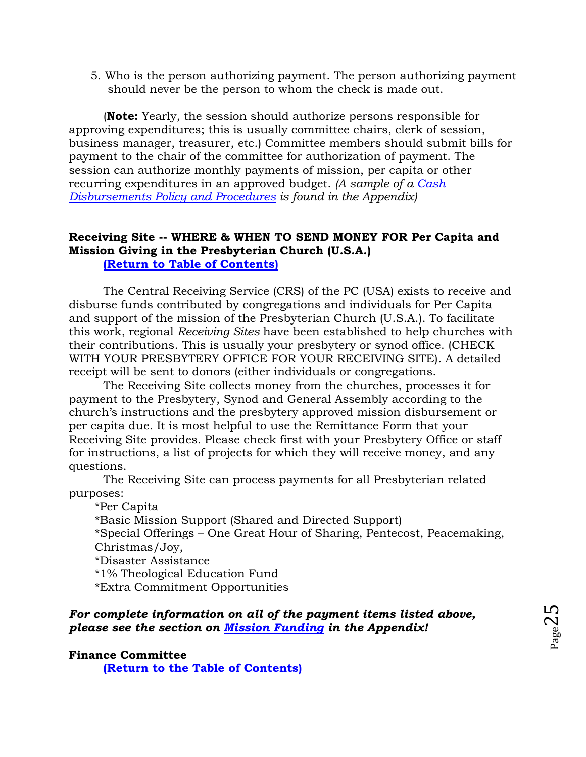5. Who is the person authorizing payment. The person authorizing payment should never be the person to whom the check is made out.

(**Note:** Yearly, the session should authorize persons responsible for approving expenditures; this is usually committee chairs, clerk of session, business manager, treasurer, etc.) Committee members should submit bills for payment to the chair of the committee for authorization of payment. The session can authorize monthly payments of mission, per capita or other recurring expenditures in an approved budget. *(A sample of a [Cash](#page-71-0)  [Disbursements Policy and Procedures](#page-71-0) is found in the Appendix)*

## <span id="page-24-0"></span>**Receiving Site -- WHERE & WHEN TO SEND MONEY FOR Per Capita and Mission Giving in the Presbyterian Church (U.S.A.) [\(Return to Table of Contents\)](#page-1-0)**

The Central Receiving Service (CRS) of the PC (USA) exists to receive and disburse funds contributed by congregations and individuals for Per Capita and support of the mission of the Presbyterian Church (U.S.A.). To facilitate this work, regional *Receiving Sites* have been established to help churches with their contributions. This is usually your presbytery or synod office. (CHECK WITH YOUR PRESBYTERY OFFICE FOR YOUR RECEIVING SITE). A detailed receipt will be sent to donors (either individuals or congregations.

The Receiving Site collects money from the churches, processes it for payment to the Presbytery, Synod and General Assembly according to the church's instructions and the presbytery approved mission disbursement or per capita due. It is most helpful to use the Remittance Form that your Receiving Site provides. Please check first with your Presbytery Office or staff for instructions, a list of projects for which they will receive money, and any questions.

The Receiving Site can process payments for all Presbyterian related purposes:

\*Per Capita \*Basic Mission Support (Shared and Directed Support) \*Special Offerings – One Great Hour of Sharing, Pentecost, Peacemaking, Christmas/Joy, \*Disaster Assistance \*1% Theological Education Fund \*Extra Commitment Opportunities

# *For complete information on all of the payment items listed above, please see the section on Mission [Funding](#page-106-0) in the Appendix!*

## <span id="page-24-1"></span>**Finance Committee**

**[\(Return to the Table of Contents\)](#page-1-0)**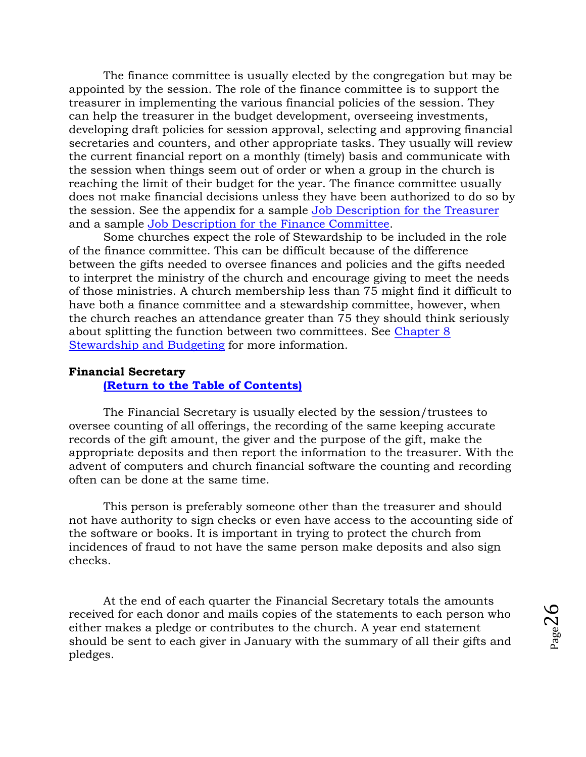The finance committee is usually elected by the congregation but may be appointed by the session. The role of the finance committee is to support the treasurer in implementing the various financial policies of the session. They can help the treasurer in the budget development, overseeing investments, developing draft policies for session approval, selecting and approving financial secretaries and counters, and other appropriate tasks. They usually will review the current financial report on a monthly (timely) basis and communicate with the session when things seem out of order or when a group in the church is reaching the limit of their budget for the year. The finance committee usually does not make financial decisions unless they have been authorized to do so by the session. See the appendix for a sample [Job Description for the Treasurer](#page-65-0)  and a sample [Job Description for the Finance Committee.](#page-67-0)

Some churches expect the role of Stewardship to be included in the role of the finance committee. This can be difficult because of the difference between the gifts needed to oversee finances and policies and the gifts needed to interpret the ministry of the church and encourage giving to meet the needs of those ministries. A church membership less than 75 might find it difficult to have both a finance committee and a stewardship committee, however, when the church reaches an attendance greater than 75 they should think seriously about splitting the function between two committees. See [Chapter 8](#page-53-0)  [Stewardship and Budgeting](#page-53-0) for more information.

## <span id="page-25-0"></span>**Financial Secretary**

# **[\(Return to the Table of Contents\)](#page-1-0)**

The Financial Secretary is usually elected by the session/trustees to oversee counting of all offerings, the recording of the same keeping accurate records of the gift amount, the giver and the purpose of the gift, make the appropriate deposits and then report the information to the treasurer. With the advent of computers and church financial software the counting and recording often can be done at the same time.

This person is preferably someone other than the treasurer and should not have authority to sign checks or even have access to the accounting side of the software or books. It is important in trying to protect the church from incidences of fraud to not have the same person make deposits and also sign checks.

At the end of each quarter the Financial Secretary totals the amounts received for each donor and mails copies of the statements to each person who either makes a pledge or contributes to the church. A year end statement should be sent to each giver in January with the summary of all their gifts and pledges.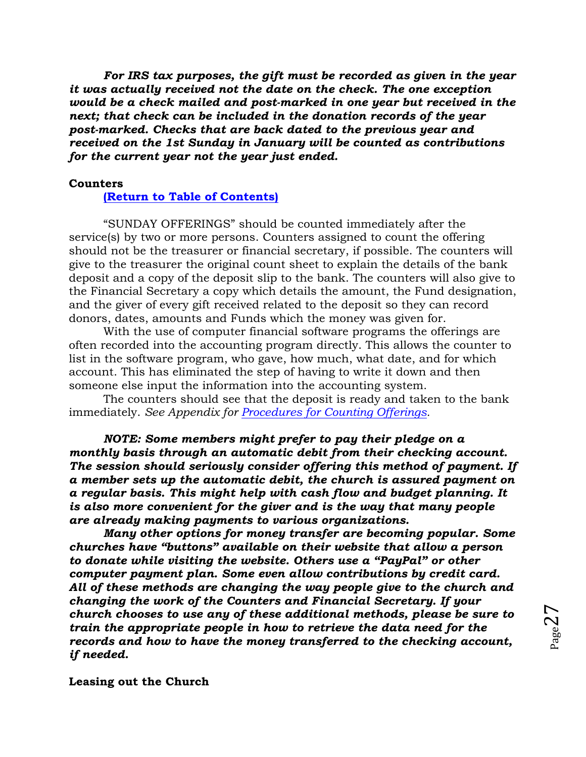*For IRS tax purposes, the gift must be recorded as given in the year it was actually received not the date on the check. The one exception would be a check mailed and post-marked in one year but received in the next; that check can be included in the donation records of the year post-marked. Checks that are back dated to the previous year and received on the 1st Sunday in January will be counted as contributions for the current year not the year just ended.*

## <span id="page-26-0"></span>**Counters**

# **[\(Return to Table of Contents\)](#page-1-0)**

"SUNDAY OFFERINGS" should be counted immediately after the service(s) by two or more persons. Counters assigned to count the offering should not be the treasurer or financial secretary, if possible. The counters will give to the treasurer the original count sheet to explain the details of the bank deposit and a copy of the deposit slip to the bank. The counters will also give to the Financial Secretary a copy which details the amount, the Fund designation, and the giver of every gift received related to the deposit so they can record donors, dates, amounts and Funds which the money was given for.

With the use of computer financial software programs the offerings are often recorded into the accounting program directly. This allows the counter to list in the software program, who gave, how much, what date, and for which account. This has eliminated the step of having to write it down and then someone else input the information into the accounting system.

The counters should see that the deposit is ready and taken to the bank immediately. *See Appendix for Procedures for [Counting Offerings.](#page-76-0)*

*NOTE: Some members might prefer to pay their pledge on a monthly basis through an automatic debit from their checking account. The session should seriously consider offering this method of payment. If a member sets up the automatic debit, the church is assured payment on a regular basis. This might help with cash flow and budget planning. It is also more convenient for the giver and is the way that many people are already making payments to various organizations.*

*Many other options for money transfer are becoming popular. Some churches have "buttons" available on their website that allow a person to donate while visiting the website. Others use a "PayPal" or other computer payment plan. Some even allow contributions by credit card. All of these methods are changing the way people give to the church and changing the work of the Counters and Financial Secretary. If your church chooses to use any of these additional methods, please be sure to train the appropriate people in how to retrieve the data need for the records and how to have the money transferred to the checking account, if needed.*

<span id="page-26-1"></span>**Leasing out the Church**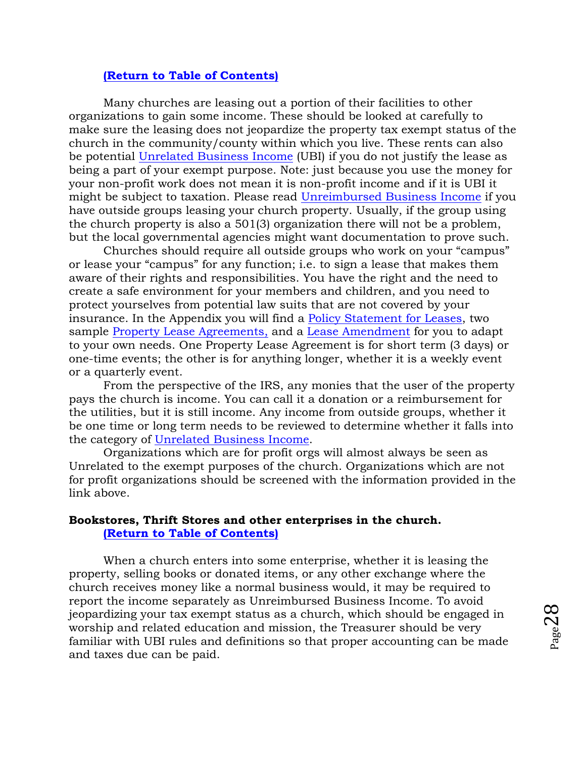## **[\(Return to Table of Contents\)](#page-1-0)**

Many churches are leasing out a portion of their facilities to other organizations to gain some income. These should be looked at carefully to make sure the leasing does not jeopardize the property tax exempt status of the church in the community/county within which you live. These rents can also be potential [Unrelated Business Income](#page-9-1) (UBI) if you do not justify the lease as being a part of your exempt purpose. Note: just because you use the money for your non-profit work does not mean it is non-profit income and if it is UBI it might be subject to taxation. Please read [Unreimbursed Business Income](#page-9-1) if you have outside groups leasing your church property. Usually, if the group using the church property is also a 501(3) organization there will not be a problem, but the local governmental agencies might want documentation to prove such.

Churches should require all outside groups who work on your "campus" or lease your "campus" for any function; i.e. to sign a lease that makes them aware of their rights and responsibilities. You have the right and the need to create a safe environment for your members and children, and you need to protect yourselves from potential law suits that are not covered by your insurance. In the Appendix you will find a [Policy Statement for Leases,](#page-94-0) two sample [Property Lease Agreements,](#page-96-0) and a [Lease Amendment](#page-105-0) for you to adapt to your own needs. One Property Lease Agreement is for short term (3 days) or one-time events; the other is for anything longer, whether it is a weekly event or a quarterly event.

From the perspective of the IRS, any monies that the user of the property pays the church is income. You can call it a donation or a reimbursement for the utilities, but it is still income. Any income from outside groups, whether it be one time or long term needs to be reviewed to determine whether it falls into the category of [Unrelated Business Income.](#page-9-1)

Organizations which are for profit orgs will almost always be seen as Unrelated to the exempt purposes of the church. Organizations which are not for profit organizations should be screened with the information provided in the link above.

# <span id="page-27-0"></span>**Bookstores, Thrift Stores and other enterprises in the church. [\(Return to Table of Contents\)](#page-1-0)**

When a church enters into some enterprise, whether it is leasing the property, selling books or donated items, or any other exchange where the church receives money like a normal business would, it may be required to report the income separately as Unreimbursed Business Income. To avoid jeopardizing your tax exempt status as a church, which should be engaged in worship and related education and mission, the Treasurer should be very familiar with UBI rules and definitions so that proper accounting can be made and taxes due can be paid.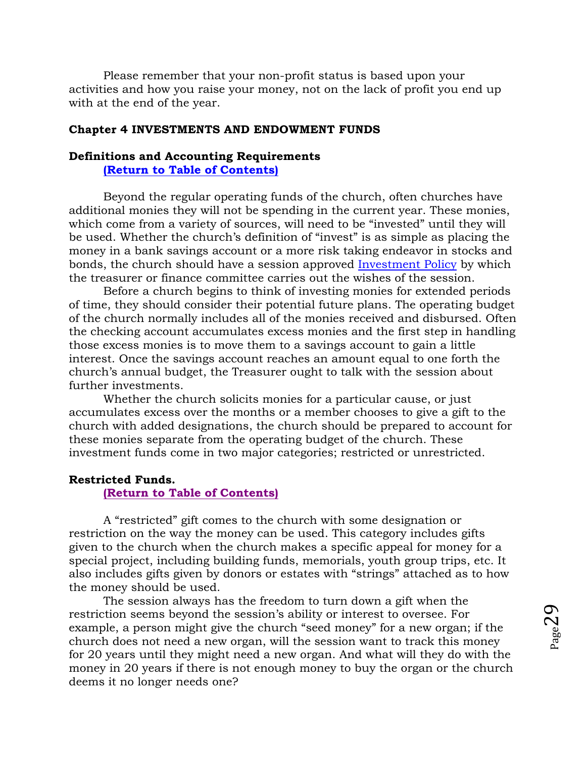Please remember that your non-profit status is based upon your activities and how you raise your money, not on the lack of profit you end up with at the end of the year.

#### <span id="page-28-0"></span>**Chapter 4 INVESTMENTS AND ENDOWMENT FUNDS**

# <span id="page-28-1"></span>**Definitions and Accounting Requirements**

**[\(Return to Table of Contents\)](#page-1-0)**

Beyond the regular operating funds of the church, often churches have additional monies they will not be spending in the current year. These monies, which come from a variety of sources, will need to be "invested" until they will be used. Whether the church's definition of "invest" is as simple as placing the money in a bank savings account or a more risk taking endeavor in stocks and bonds, the church should have a session approved [Investment Policy](#page-32-0) by which the treasurer or finance committee carries out the wishes of the session.

Before a church begins to think of investing monies for extended periods of time, they should consider their potential future plans. The operating budget of the church normally includes all of the monies received and disbursed. Often the checking account accumulates excess monies and the first step in handling those excess monies is to move them to a savings account to gain a little interest. Once the savings account reaches an amount equal to one forth the church's annual budget, the Treasurer ought to talk with the session about further investments.

Whether the church solicits monies for a particular cause, or just accumulates excess over the months or a member chooses to give a gift to the church with added designations, the church should be prepared to account for these monies separate from the operating budget of the church. These investment funds come in two major categories; restricted or unrestricted.

## <span id="page-28-2"></span>**Restricted Funds.**

#### **[\(Return to Table of Contents\)](#page-1-0)**

A "restricted" gift comes to the church with some designation or restriction on the way the money can be used. This category includes gifts given to the church when the church makes a specific appeal for money for a special project, including building funds, memorials, youth group trips, etc. It also includes gifts given by donors or estates with "strings" attached as to how the money should be used.

The session always has the freedom to turn down a gift when the restriction seems beyond the session's ability or interest to oversee. For example, a person might give the church "seed money" for a new organ; if the church does not need a new organ, will the session want to track this money for 20 years until they might need a new organ. And what will they do with the money in 20 years if there is not enough money to buy the organ or the church deems it no longer needs one?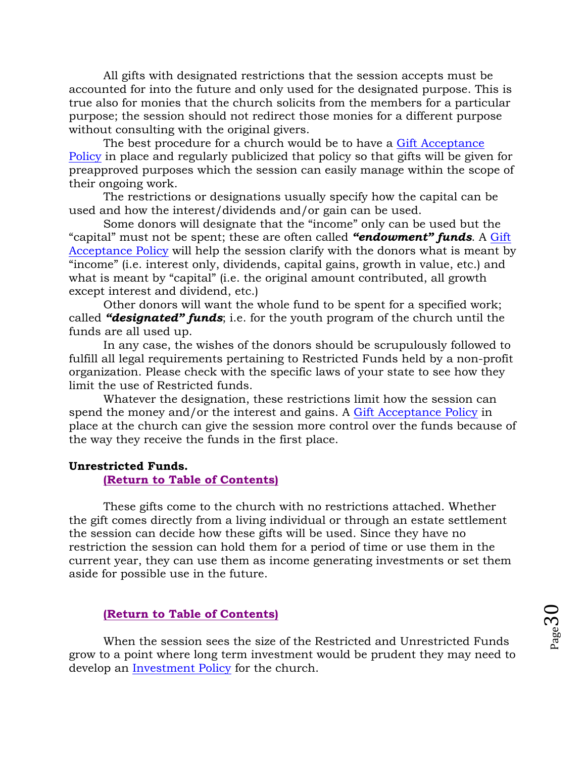All gifts with designated restrictions that the session accepts must be accounted for into the future and only used for the designated purpose. This is true also for monies that the church solicits from the members for a particular purpose; the session should not redirect those monies for a different purpose without consulting with the original givers.

The best procedure for a church would be to have a [Gift Acceptance](#page-87-0)  [Policy](#page-87-0) in place and regularly publicized that policy so that gifts will be given for preapproved purposes which the session can easily manage within the scope of their ongoing work.

The restrictions or designations usually specify how the capital can be used and how the interest/dividends and/or gain can be used.

Some donors will designate that the "income" only can be used but the "capital" must not be spent; these are often called *"endowment" funds*. A [Gift](#page-87-0)  [Acceptance Policy](#page-87-0) will help the session clarify with the donors what is meant by "income" (i.e. interest only, dividends, capital gains, growth in value, etc.) and what is meant by "capital" (i.e. the original amount contributed, all growth except interest and dividend, etc.)

Other donors will want the whole fund to be spent for a specified work; called *"designated" funds*; i.e. for the youth program of the church until the funds are all used up.

In any case, the wishes of the donors should be scrupulously followed to fulfill all legal requirements pertaining to Restricted Funds held by a non-profit organization. Please check with the specific laws of your state to see how they limit the use of Restricted funds.

Whatever the designation, these restrictions limit how the session can spend the money and/or the interest and gains. A [Gift Acceptance Policy](#page-87-0) in place at the church can give the session more control over the funds because of the way they receive the funds in the first place.

#### <span id="page-29-0"></span>**Unrestricted Funds.**

#### **[\(Return to Table of Contents\)](#page-1-0)**

These gifts come to the church with no restrictions attached. Whether the gift comes directly from a living individual or through an estate settlement the session can decide how these gifts will be used. Since they have no restriction the session can hold them for a period of time or use them in the current year, they can use them as income generating investments or set them aside for possible use in the future.

## <span id="page-29-1"></span>**[\(Return to Table of Contents\)](#page-1-0)**

When the session sees the size of the Restricted and Unrestricted Funds grow to a point where long term investment would be prudent they may need to develop an [Investment Policy](#page-32-0) for the church.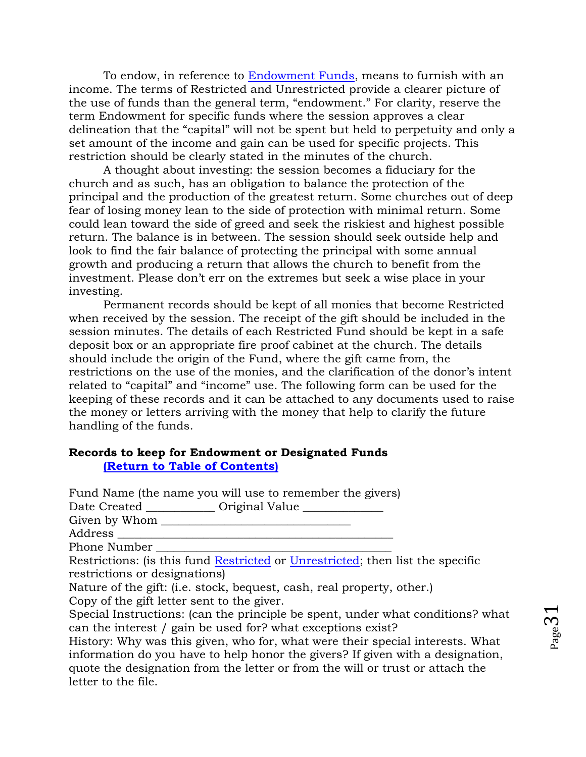To endow, in reference to [Endowment Funds,](#page-83-0) means to furnish with an income. The terms of Restricted and Unrestricted provide a clearer picture of the use of funds than the general term, "endowment." For clarity, reserve the term Endowment for specific funds where the session approves a clear delineation that the "capital" will not be spent but held to perpetuity and only a set amount of the income and gain can be used for specific projects. This restriction should be clearly stated in the minutes of the church.

A thought about investing: the session becomes a fiduciary for the church and as such, has an obligation to balance the protection of the principal and the production of the greatest return. Some churches out of deep fear of losing money lean to the side of protection with minimal return. Some could lean toward the side of greed and seek the riskiest and highest possible return. The balance is in between. The session should seek outside help and look to find the fair balance of protecting the principal with some annual growth and producing a return that allows the church to benefit from the investment. Please don't err on the extremes but seek a wise place in your investing.

Permanent records should be kept of all monies that become Restricted when received by the session. The receipt of the gift should be included in the session minutes. The details of each Restricted Fund should be kept in a safe deposit box or an appropriate fire proof cabinet at the church. The details should include the origin of the Fund, where the gift came from, the restrictions on the use of the monies, and the clarification of the donor's intent related to "capital" and "income" use. The following form can be used for the keeping of these records and it can be attached to any documents used to raise the money or letters arriving with the money that help to clarify the future handling of the funds.

## **Records to keep for Endowment or Designated Funds [\(Return to Table of Contents\)](#page-1-0)**

Fund Name (the name you will use to remember the givers) Date Created \_\_\_\_\_\_\_\_\_\_\_\_ Original Value \_\_\_\_\_\_\_\_\_\_\_\_\_ Given by Whom \_\_\_\_\_\_\_\_\_\_\_\_\_\_\_\_\_\_\_\_\_\_\_\_\_\_\_\_\_\_\_\_\_ Address \_\_\_\_\_\_\_\_\_\_\_\_\_\_\_\_\_\_\_\_\_\_\_\_\_\_\_\_\_\_\_\_\_\_\_\_\_\_\_\_\_\_\_\_\_\_\_\_ Phone Number Restrictions: (is this fund **Restricted** or *Unrestricted*; then list the specific restrictions or designations) Nature of the gift: (i.e. stock, bequest, cash, real property, other.) Copy of the gift letter sent to the giver. Special Instructions: (can the principle be spent, under what conditions? what can the interest / gain be used for? what exceptions exist?

History: Why was this given, who for, what were their special interests. What information do you have to help honor the givers? If given with a designation, quote the designation from the letter or from the will or trust or attach the letter to the file.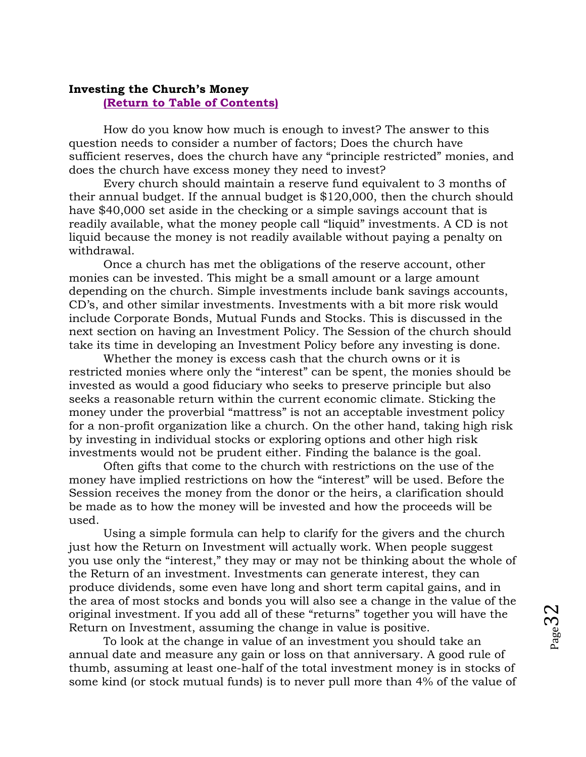### <span id="page-31-0"></span>**Investing the Church's Money [\(Return to Table of Contents\)](#page-1-0)**

How do you know how much is enough to invest? The answer to this question needs to consider a number of factors; Does the church have sufficient reserves, does the church have any "principle restricted" monies, and does the church have excess money they need to invest?

Every church should maintain a reserve fund equivalent to 3 months of their annual budget. If the annual budget is \$120,000, then the church should have \$40,000 set aside in the checking or a simple savings account that is readily available, what the money people call "liquid" investments. A CD is not liquid because the money is not readily available without paying a penalty on withdrawal.

Once a church has met the obligations of the reserve account, other monies can be invested. This might be a small amount or a large amount depending on the church. Simple investments include bank savings accounts, CD's, and other similar investments. Investments with a bit more risk would include Corporate Bonds, Mutual Funds and Stocks. This is discussed in the next section on having an Investment Policy. The Session of the church should take its time in developing an Investment Policy before any investing is done.

Whether the money is excess cash that the church owns or it is restricted monies where only the "interest" can be spent, the monies should be invested as would a good fiduciary who seeks to preserve principle but also seeks a reasonable return within the current economic climate. Sticking the money under the proverbial "mattress" is not an acceptable investment policy for a non-profit organization like a church. On the other hand, taking high risk by investing in individual stocks or exploring options and other high risk investments would not be prudent either. Finding the balance is the goal.

Often gifts that come to the church with restrictions on the use of the money have implied restrictions on how the "interest" will be used. Before the Session receives the money from the donor or the heirs, a clarification should be made as to how the money will be invested and how the proceeds will be used.

Using a simple formula can help to clarify for the givers and the church just how the Return on Investment will actually work. When people suggest you use only the "interest," they may or may not be thinking about the whole of the Return of an investment. Investments can generate interest, they can produce dividends, some even have long and short term capital gains, and in the area of most stocks and bonds you will also see a change in the value of the original investment. If you add all of these "returns" together you will have the Return on Investment, assuming the change in value is positive.

To look at the change in value of an investment you should take an annual date and measure any gain or loss on that anniversary. A good rule of thumb, assuming at least one-half of the total investment money is in stocks of some kind (or stock mutual funds) is to never pull more than 4% of the value of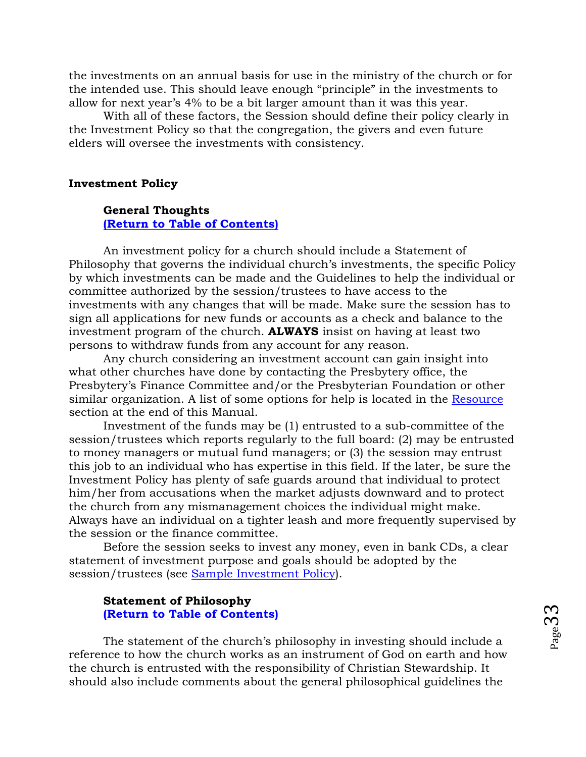the investments on an annual basis for use in the ministry of the church or for the intended use. This should leave enough "principle" in the investments to allow for next year's 4% to be a bit larger amount than it was this year.

With all of these factors, the Session should define their policy clearly in the Investment Policy so that the congregation, the givers and even future elders will oversee the investments with consistency.

#### <span id="page-32-0"></span>**Investment Policy**

## **General Thoughts [\(Return to Table of Contents\)](#page-1-0)**

An investment policy for a church should include a Statement of Philosophy that governs the individual church's investments, the specific Policy by which investments can be made and the Guidelines to help the individual or committee authorized by the session/trustees to have access to the investments with any changes that will be made. Make sure the session has to sign all applications for new funds or accounts as a check and balance to the investment program of the church. **ALWAYS** insist on having at least two persons to withdraw funds from any account for any reason.

Any church considering an investment account can gain insight into what other churches have done by contacting the Presbytery office, the Presbytery's Finance Committee and/or the Presbyterian Foundation or other similar organization. A list of some options for help is located in the [Resource](#page-58-0) section at the end of this Manual.

Investment of the funds may be (1) entrusted to a sub-committee of the session/trustees which reports regularly to the full board: (2) may be entrusted to money managers or mutual fund managers; or (3) the session may entrust this job to an individual who has expertise in this field. If the later, be sure the Investment Policy has plenty of safe guards around that individual to protect him/her from accusations when the market adjusts downward and to protect the church from any mismanagement choices the individual might make. Always have an individual on a tighter leash and more frequently supervised by the session or the finance committee.

Before the session seeks to invest any money, even in bank CDs, a clear statement of investment purpose and goals should be adopted by the session/trustees (see [Sample Investment Policy\)](#page-90-0).

## **Statement of Philosophy [\(Return to Table of Contents\)](#page-1-0)**

The statement of the church's philosophy in investing should include a reference to how the church works as an instrument of God on earth and how the church is entrusted with the responsibility of Christian Stewardship. It should also include comments about the general philosophical guidelines the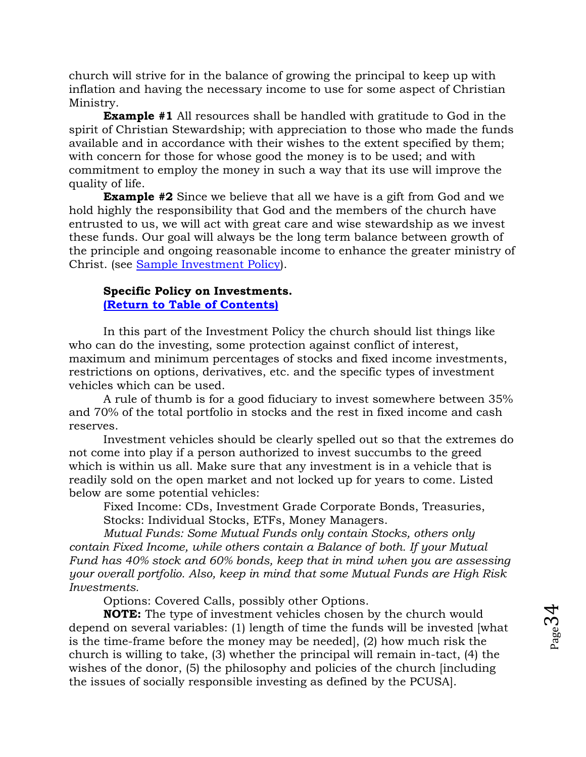church will strive for in the balance of growing the principal to keep up with inflation and having the necessary income to use for some aspect of Christian Ministry.

**Example #1** All resources shall be handled with gratitude to God in the spirit of Christian Stewardship; with appreciation to those who made the funds available and in accordance with their wishes to the extent specified by them; with concern for those for whose good the money is to be used; and with commitment to employ the money in such a way that its use will improve the quality of life.

**Example #2** Since we believe that all we have is a gift from God and we hold highly the responsibility that God and the members of the church have entrusted to us, we will act with great care and wise stewardship as we invest these funds. Our goal will always be the long term balance between growth of the principle and ongoing reasonable income to enhance the greater ministry of Christ. (see [Sample Investment Policy\)](#page-32-0).

## **Specific Policy on Investments. [\(Return to Table of Contents\)](#page-1-0)**

In this part of the Investment Policy the church should list things like who can do the investing, some protection against conflict of interest, maximum and minimum percentages of stocks and fixed income investments, restrictions on options, derivatives, etc. and the specific types of investment vehicles which can be used.

A rule of thumb is for a good fiduciary to invest somewhere between 35% and 70% of the total portfolio in stocks and the rest in fixed income and cash reserves.

Investment vehicles should be clearly spelled out so that the extremes do not come into play if a person authorized to invest succumbs to the greed which is within us all. Make sure that any investment is in a vehicle that is readily sold on the open market and not locked up for years to come. Listed below are some potential vehicles:

Fixed Income: CDs, Investment Grade Corporate Bonds, Treasuries, Stocks: Individual Stocks, ETFs, Money Managers.

*Mutual Funds: Some Mutual Funds only contain Stocks, others only contain Fixed Income, while others contain a Balance of both. If your Mutual Fund has 40% stock and 60% bonds, keep that in mind when you are assessing your overall portfolio. Also, keep in mind that some Mutual Funds are High Risk Investments.* 

Options: Covered Calls, possibly other Options.

**NOTE:** The type of investment vehicles chosen by the church would depend on several variables: (1) length of time the funds will be invested [what is the time-frame before the money may be needed], (2) how much risk the church is willing to take, (3) whether the principal will remain in-tact, (4) the wishes of the donor, (5) the philosophy and policies of the church [including the issues of socially responsible investing as defined by the PCUSA].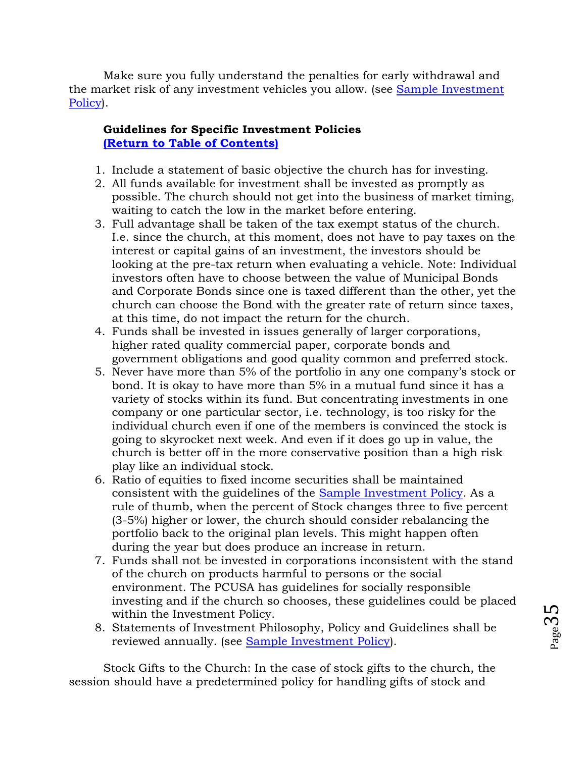Make sure you fully understand the penalties for early withdrawal and the market risk of any investment vehicles you allow. (see [Sample Investment](#page-90-0)  [Policy\)](#page-90-0).

# **Guidelines for Specific Investment Policies [\(Return to Table of Contents\)](#page-1-0)**

- 1. Include a statement of basic objective the church has for investing.
- 2. All funds available for investment shall be invested as promptly as possible. The church should not get into the business of market timing, waiting to catch the low in the market before entering.
- 3. Full advantage shall be taken of the tax exempt status of the church. I.e. since the church, at this moment, does not have to pay taxes on the interest or capital gains of an investment, the investors should be looking at the pre-tax return when evaluating a vehicle. Note: Individual investors often have to choose between the value of Municipal Bonds and Corporate Bonds since one is taxed different than the other, yet the church can choose the Bond with the greater rate of return since taxes, at this time, do not impact the return for the church.
- 4. Funds shall be invested in issues generally of larger corporations, higher rated quality commercial paper, corporate bonds and government obligations and good quality common and preferred stock.
- 5. Never have more than 5% of the portfolio in any one company's stock or bond. It is okay to have more than 5% in a mutual fund since it has a variety of stocks within its fund. But concentrating investments in one company or one particular sector, i.e. technology, is too risky for the individual church even if one of the members is convinced the stock is going to skyrocket next week. And even if it does go up in value, the church is better off in the more conservative position than a high risk play like an individual stock.
- 6. Ratio of equities to fixed income securities shall be maintained consistent with the guidelines of the [Sample Investment Policy.](#page-90-0) As a rule of thumb, when the percent of Stock changes three to five percent (3-5%) higher or lower, the church should consider rebalancing the portfolio back to the original plan levels. This might happen often during the year but does produce an increase in return.
- 7. Funds shall not be invested in corporations inconsistent with the stand of the church on products harmful to persons or the social environment. The PCUSA has guidelines for socially responsible investing and if the church so chooses, these guidelines could be placed within the Investment Policy.
- 8. Statements of Investment Philosophy, Policy and Guidelines shall be reviewed annually. (see [Sample Investment Policy\)](#page-90-0).

Stock Gifts to the Church: In the case of stock gifts to the church, the session should have a predetermined policy for handling gifts of stock and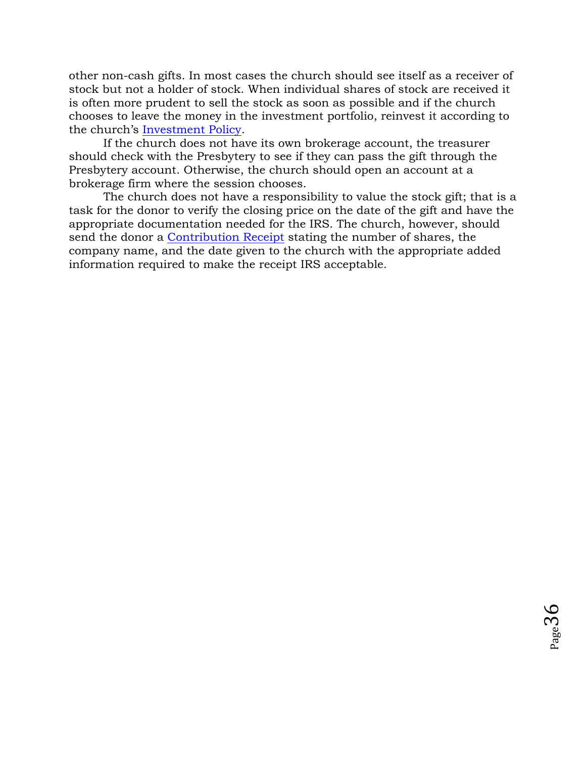other non-cash gifts. In most cases the church should see itself as a receiver of stock but not a holder of stock. When individual shares of stock are received it is often more prudent to sell the stock as soon as possible and if the church chooses to leave the money in the investment portfolio, reinvest it according to the church's [Investment Policy.](#page-90-0)

If the church does not have its own brokerage account, the treasurer should check with the Presbytery to see if they can pass the gift through the Presbytery account. Otherwise, the church should open an account at a brokerage firm where the session chooses.

The church does not have a responsibility to value the stock gift; that is a task for the donor to verify the closing price on the date of the gift and have the appropriate documentation needed for the IRS. The church, however, should send the donor a [Contribution Receipt](#page-12-1) stating the number of shares, the company name, and the date given to the church with the appropriate added information required to make the receipt IRS acceptable.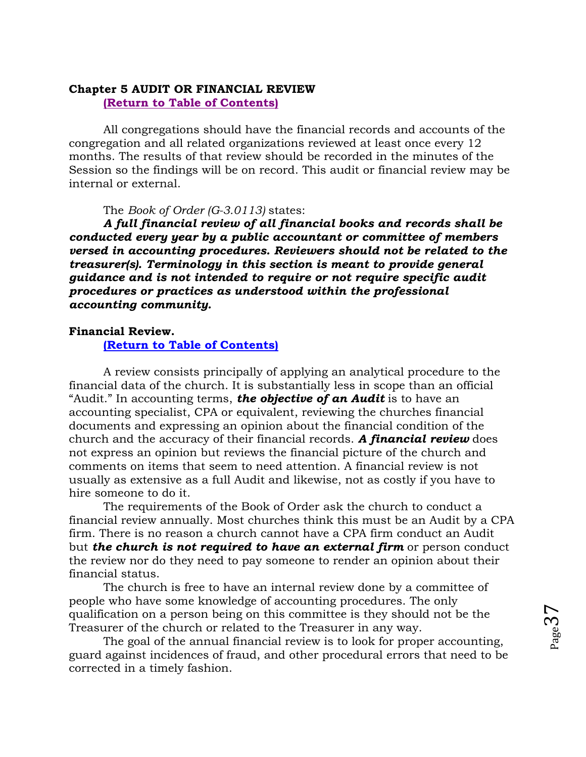### **Chapter 5 AUDIT OR FINANCIAL REVIEW [\(Return to Table of Contents\)](#page-1-0)**

All congregations should have the financial records and accounts of the congregation and all related organizations reviewed at least once every 12 months. The results of that review should be recorded in the minutes of the Session so the findings will be on record. This audit or financial review may be internal or external.

#### The *Book of Order (G-3.0113)* states:

*A full financial review of all financial books and records shall be conducted every year by a public accountant or committee of members versed in accounting procedures. Reviewers should not be related to the treasurer(s). Terminology in this section is meant to provide general guidance and is not intended to require or not require specific audit procedures or practices as understood within the professional accounting community.*

#### **Financial Review.**

**[\(Return to Table of Contents\)](#page-1-0)**

A review consists principally of applying an analytical procedure to the financial data of the church. It is substantially less in scope than an official "Audit." In accounting terms, *the objective of an Audit* is to have an accounting specialist, CPA or equivalent, reviewing the churches financial documents and expressing an opinion about the financial condition of the church and the accuracy of their financial records. *A financial review* does not express an opinion but reviews the financial picture of the church and comments on items that seem to need attention. A financial review is not usually as extensive as a full Audit and likewise, not as costly if you have to hire someone to do it.

The requirements of the Book of Order ask the church to conduct a financial review annually. Most churches think this must be an Audit by a CPA firm. There is no reason a church cannot have a CPA firm conduct an Audit but *the church is not required to have an external firm* or person conduct the review nor do they need to pay someone to render an opinion about their financial status.

The church is free to have an internal review done by a committee of people who have some knowledge of accounting procedures. The only qualification on a person being on this committee is they should not be the Treasurer of the church or related to the Treasurer in any way.

The goal of the annual financial review is to look for proper accounting, guard against incidences of fraud, and other procedural errors that need to be corrected in a timely fashion.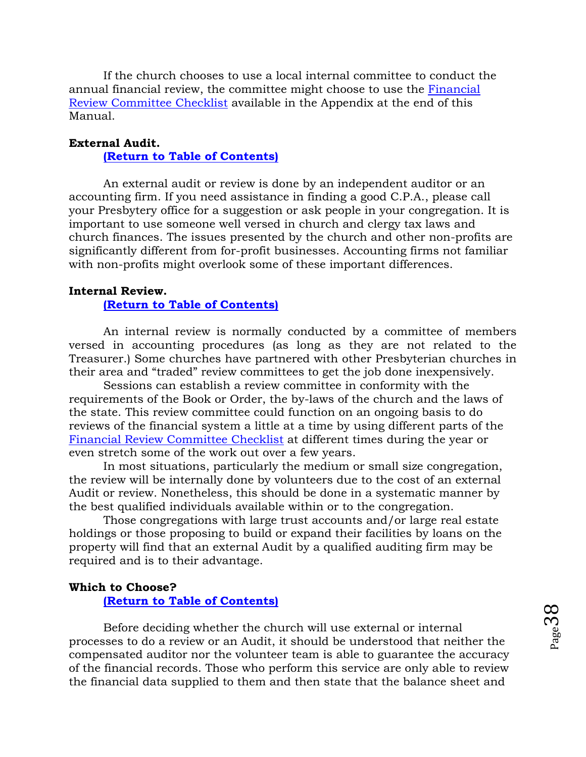If the church chooses to use a local internal committee to conduct the annual financial review, the committee might choose to use the [Financial](#page-64-0)  [Review Committee Checklist](#page-64-0) available in the Appendix at the end of this Manual.

#### **External Audit.**

#### **[\(Return to Table of Contents\)](#page-1-0)**

An external audit or review is done by an independent auditor or an accounting firm. If you need assistance in finding a good C.P.A., please call your Presbytery office for a suggestion or ask people in your congregation. It is important to use someone well versed in church and clergy tax laws and church finances. The issues presented by the church and other non-profits are significantly different from for-profit businesses. Accounting firms not familiar with non-profits might overlook some of these important differences.

#### **Internal Review.**

#### **[\(Return to Table of Contents\)](#page-1-0)**

An internal review is normally conducted by a committee of members versed in accounting procedures (as long as they are not related to the Treasurer.) Some churches have partnered with other Presbyterian churches in their area and "traded" review committees to get the job done inexpensively.

Sessions can establish a review committee in conformity with the requirements of the Book or Order, the by-laws of the church and the laws of the state. This review committee could function on an ongoing basis to do reviews of the financial system a little at a time by using different parts of the [Financial Review Committee Checklist](#page-64-0) at different times during the year or even stretch some of the work out over a few years.

In most situations, particularly the medium or small size congregation, the review will be internally done by volunteers due to the cost of an external Audit or review. Nonetheless, this should be done in a systematic manner by the best qualified individuals available within or to the congregation.

Those congregations with large trust accounts and/or large real estate holdings or those proposing to build or expand their facilities by loans on the property will find that an external Audit by a qualified auditing firm may be required and is to their advantage.

#### **Which to Choose?**

**[\(Return to Table of Contents\)](#page-1-0)**

Before deciding whether the church will use external or internal processes to do a review or an Audit, it should be understood that neither the compensated auditor nor the volunteer team is able to guarantee the accuracy of the financial records. Those who perform this service are only able to review the financial data supplied to them and then state that the balance sheet and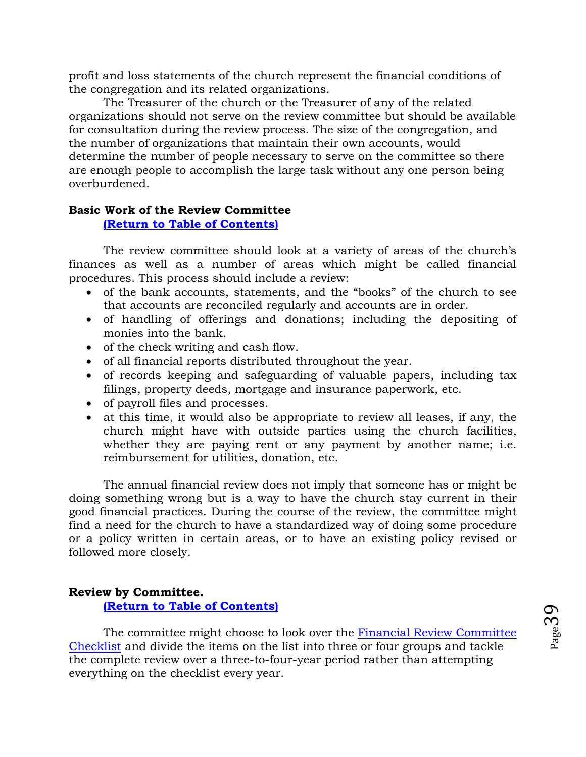profit and loss statements of the church represent the financial conditions of the congregation and its related organizations.

The Treasurer of the church or the Treasurer of any of the related organizations should not serve on the review committee but should be available for consultation during the review process. The size of the congregation, and the number of organizations that maintain their own accounts, would determine the number of people necessary to serve on the committee so there are enough people to accomplish the large task without any one person being overburdened.

## **Basic Work of the Review Committee**

#### **[\(Return to Table of Contents\)](#page-1-0)**

The review committee should look at a variety of areas of the church's finances as well as a number of areas which might be called financial procedures. This process should include a review:

- of the bank accounts, statements, and the "books" of the church to see that accounts are reconciled regularly and accounts are in order.
- of handling of offerings and donations; including the depositing of monies into the bank.
- of the check writing and cash flow.
- of all financial reports distributed throughout the year.
- of records keeping and safeguarding of valuable papers, including tax filings, property deeds, mortgage and insurance paperwork, etc.
- of payroll files and processes.
- at this time, it would also be appropriate to review all leases, if any, the church might have with outside parties using the church facilities, whether they are paying rent or any payment by another name; i.e. reimbursement for utilities, donation, etc.

The annual financial review does not imply that someone has or might be doing something wrong but is a way to have the church stay current in their good financial practices. During the course of the review, the committee might find a need for the church to have a standardized way of doing some procedure or a policy written in certain areas, or to have an existing policy revised or followed more closely.

## **Review by Committee.**

**[\(Return to Table of Contents\)](#page-1-0)**

The committee might choose to look over the [Financial Review Committee](#page-64-0)  [Checklist](#page-64-0) and divide the items on the list into three or four groups and tackle the complete review over a three-to-four-year period rather than attempting everything on the checklist every year.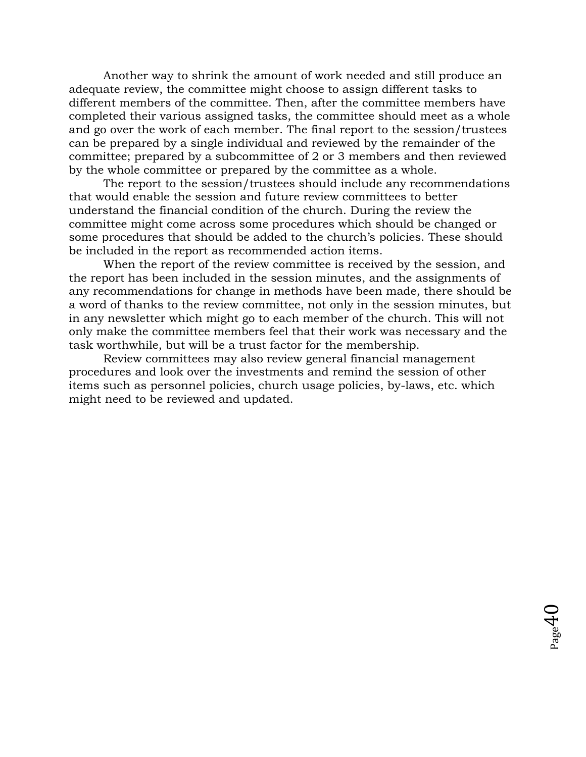Another way to shrink the amount of work needed and still produce an adequate review, the committee might choose to assign different tasks to different members of the committee. Then, after the committee members have completed their various assigned tasks, the committee should meet as a whole and go over the work of each member. The final report to the session/trustees can be prepared by a single individual and reviewed by the remainder of the committee; prepared by a subcommittee of 2 or 3 members and then reviewed by the whole committee or prepared by the committee as a whole.

The report to the session/trustees should include any recommendations that would enable the session and future review committees to better understand the financial condition of the church. During the review the committee might come across some procedures which should be changed or some procedures that should be added to the church's policies. These should be included in the report as recommended action items.

When the report of the review committee is received by the session, and the report has been included in the session minutes, and the assignments of any recommendations for change in methods have been made, there should be a word of thanks to the review committee, not only in the session minutes, but in any newsletter which might go to each member of the church. This will not only make the committee members feel that their work was necessary and the task worthwhile, but will be a trust factor for the membership.

Review committees may also review general financial management procedures and look over the investments and remind the session of other items such as personnel policies, church usage policies, by-laws, etc. which might need to be reviewed and updated.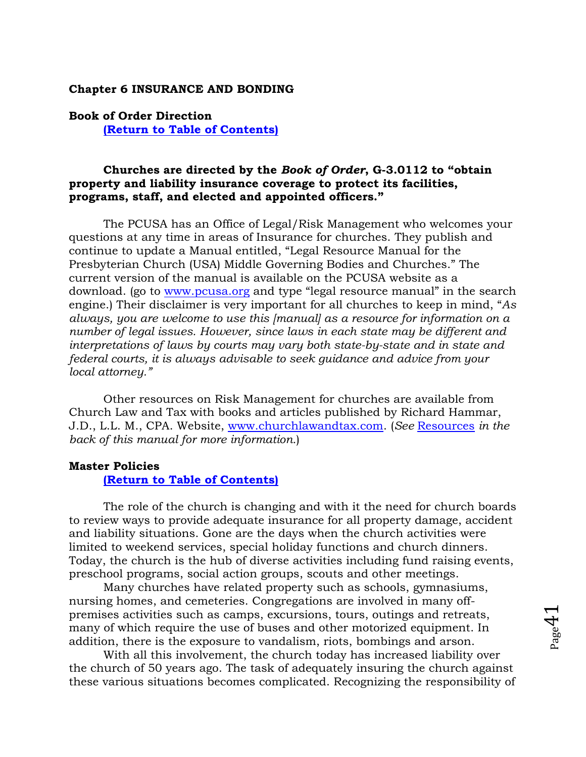#### <span id="page-40-0"></span>**Chapter 6 INSURANCE AND BONDING**

### **Book of Order Direction [\(Return to Table of Contents\)](#page-1-0)**

#### **Churches are directed by the** *Book of Order***, G-3.0112 to "obtain property and liability insurance coverage to protect its facilities, programs, staff, and elected and appointed officers."**

The PCUSA has an Office of Legal/Risk Management who welcomes your questions at any time in areas of Insurance for churches. They publish and continue to update a Manual entitled, "Legal Resource Manual for the Presbyterian Church (USA) Middle Governing Bodies and Churches." The current version of the manual is available on the PCUSA website as a download. (go to [www.pcusa.org](http://www.pcusa.org/) and type "legal resource manual" in the search engine.) Their disclaimer is very important for all churches to keep in mind, "*As always, you are welcome to use this [manual] as a resource for information on a number of legal issues. However, since laws in each state may be different and*  interpretations of laws by courts may vary both state-by-state and in state and *federal courts, it is always advisable to seek guidance and advice from your local attorney."*

Other resources on Risk Management for churches are available from Church Law and Tax with books and articles published by Richard Hammar, J.D., L.L. M., CPA. Website, [www.churchlawandtax.com.](http://www.churchlawandtax.com/) (*See* [Resources](#page-58-0) *in the back of this manual for more information.*)

#### **Master Policies**

#### **[\(Return to Table of Contents\)](#page-1-0)**

The role of the church is changing and with it the need for church boards to review ways to provide adequate insurance for all property damage, accident and liability situations. Gone are the days when the church activities were limited to weekend services, special holiday functions and church dinners. Today, the church is the hub of diverse activities including fund raising events, preschool programs, social action groups, scouts and other meetings.

Many churches have related property such as schools, gymnasiums, nursing homes, and cemeteries. Congregations are involved in many offpremises activities such as camps, excursions, tours, outings and retreats, many of which require the use of buses and other motorized equipment. In addition, there is the exposure to vandalism, riots, bombings and arson.

With all this involvement, the church today has increased liability over the church of 50 years ago. The task of adequately insuring the church against these various situations becomes complicated. Recognizing the responsibility of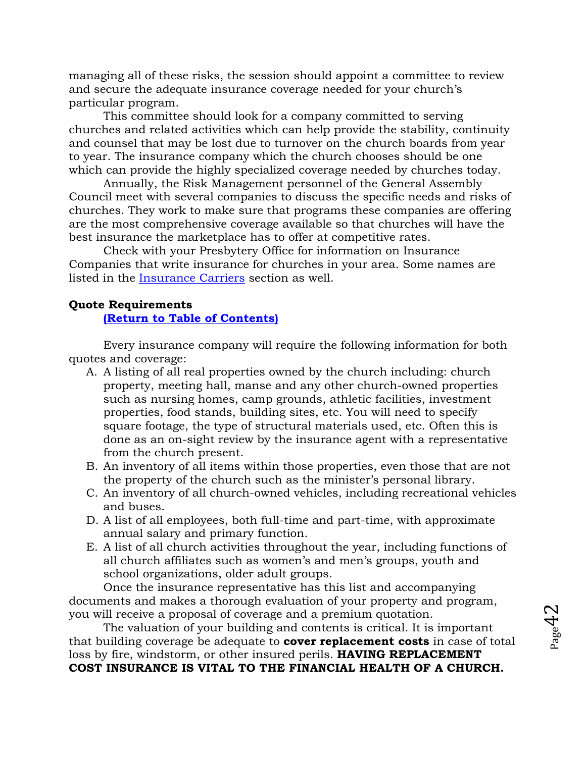managing all of these risks, the session should appoint a committee to review and secure the adequate insurance coverage needed for your church's particular program.

This committee should look for a company committed to serving churches and related activities which can help provide the stability, continuity and counsel that may be lost due to turnover on the church boards from year to year. The insurance company which the church chooses should be one which can provide the highly specialized coverage needed by churches today.

Annually, the Risk Management personnel of the General Assembly Council meet with several companies to discuss the specific needs and risks of churches. They work to make sure that programs these companies are offering are the most comprehensive coverage available so that churches will have the best insurance the marketplace has to offer at competitive rates.

Check with your Presbytery Office for information on Insurance Companies that write insurance for churches in your area. Some names are listed in the [Insurance Carriers](#page-59-0) section as well.

#### **Quote Requirements**

#### **[\(Return to Table](#page-1-0) of Contents)**

Every insurance company will require the following information for both quotes and coverage:

- A. A listing of all real properties owned by the church including: church property, meeting hall, manse and any other church-owned properties such as nursing homes, camp grounds, athletic facilities, investment properties, food stands, building sites, etc. You will need to specify square footage, the type of structural materials used, etc. Often this is done as an on-sight review by the insurance agent with a representative from the church present.
- B. An inventory of all items within those properties, even those that are not the property of the church such as the minister's personal library.
- C. An inventory of all church-owned vehicles, including recreational vehicles and buses.
- D. A list of all employees, both full-time and part-time, with approximate annual salary and primary function.
- E. A list of all church activities throughout the year, including functions of all church affiliates such as women's and men's groups, youth and school organizations, older adult groups.

Once the insurance representative has this list and accompanying documents and makes a thorough evaluation of your property and program, you will receive a proposal of coverage and a premium quotation.

The valuation of your building and contents is critical. It is important that building coverage be adequate to **cover replacement costs** in case of total loss by fire, windstorm, or other insured perils. **HAVING REPLACEMENT COST INSURANCE IS VITAL TO THE FINANCIAL HEALTH OF A CHURCH.**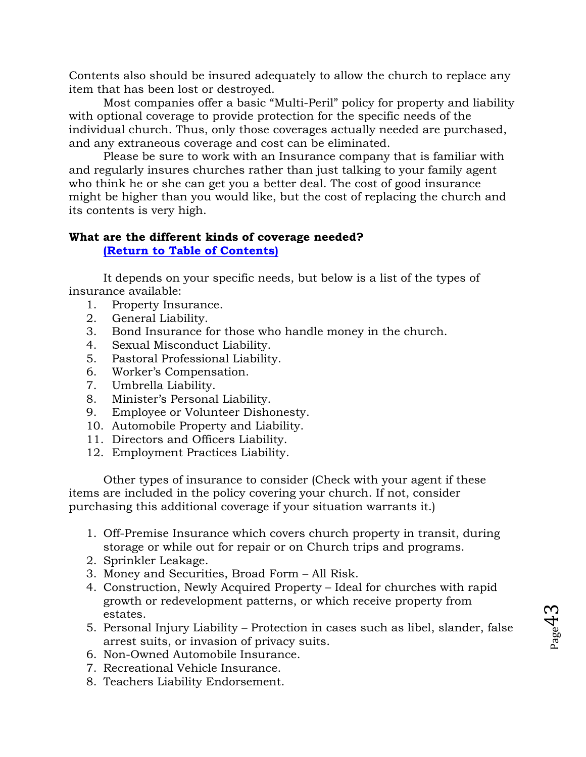Contents also should be insured adequately to allow the church to replace any item that has been lost or destroyed.

Most companies offer a basic "Multi-Peril" policy for property and liability with optional coverage to provide protection for the specific needs of the individual church. Thus, only those coverages actually needed are purchased, and any extraneous coverage and cost can be eliminated.

Please be sure to work with an Insurance company that is familiar with and regularly insures churches rather than just talking to your family agent who think he or she can get you a better deal. The cost of good insurance might be higher than you would like, but the cost of replacing the church and its contents is very high.

# **What are the different kinds of coverage needed?**

**[\(Return to Table of Contents\)](#page-1-0)**

It depends on your specific needs, but below is a list of the types of insurance available:

- 1. Property Insurance.
- 2. General Liability.
- 3. Bond Insurance for those who handle money in the church.
- 4. Sexual Misconduct Liability.
- 5. Pastoral Professional Liability.
- 6. Worker's Compensation.
- 7. Umbrella Liability.
- 8. Minister's Personal Liability.
- 9. Employee or Volunteer Dishonesty.
- 10. Automobile Property and Liability.
- 11. Directors and Officers Liability.
- 12. Employment Practices Liability.

Other types of insurance to consider (Check with your agent if these items are included in the policy covering your church. If not, consider purchasing this additional coverage if your situation warrants it.)

- 1. Off-Premise Insurance which covers church property in transit, during storage or while out for repair or on Church trips and programs.
- 2. Sprinkler Leakage.
- 3. Money and Securities, Broad Form All Risk.
- 4. Construction, Newly Acquired Property Ideal for churches with rapid growth or redevelopment patterns, or which receive property from estates.
- 5. Personal Injury Liability Protection in cases such as libel, slander, false arrest suits, or invasion of privacy suits.
- 6. Non-Owned Automobile Insurance.
- 7. Recreational Vehicle Insurance.
- 8. Teachers Liability Endorsement.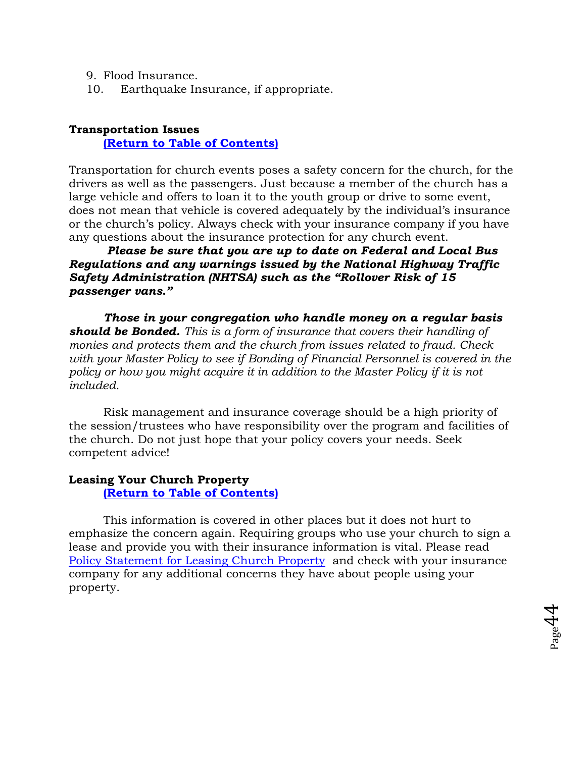- 9. Flood Insurance.
- 10. Earthquake Insurance, if appropriate.

#### **Transportation Issues**

**[\(Return to Table of Contents\)](#page-1-0)**

Transportation for church events poses a safety concern for the church, for the drivers as well as the passengers. Just because a member of the church has a large vehicle and offers to loan it to the youth group or drive to some event, does not mean that vehicle is covered adequately by the individual's insurance or the church's policy. Always check with your insurance company if you have any questions about the insurance protection for any church event.

## *Please be sure that you are up to date on Federal and Local Bus Regulations and any warnings issued by the National Highway Traffic Safety Administration (NHTSA) such as the "Rollover Risk of 15 passenger vans."*

*Those in your congregation who handle money on a regular basis should be Bonded. This is a form of insurance that covers their handling of monies and protects them and the church from issues related to fraud. Check with your Master Policy to see if Bonding of Financial Personnel is covered in the policy or how you might acquire it in addition to the Master Policy if it is not included.* 

Risk management and insurance coverage should be a high priority of the session/trustees who have responsibility over the program and facilities of the church. Do not just hope that your policy covers your needs. Seek competent advice!

### **Leasing Your Church Property**

**[\(Return to Table of Contents\)](#page-1-0)**

This information is covered in other places but it does not hurt to emphasize the concern again. Requiring groups who use your church to sign a lease and provide you with their insurance information is vital. Please read [Policy Statement for Leasing Church Property](#page-94-0) and check with your insurance company for any additional concerns they have about people using your property.

 $_{\rm Page}$ 44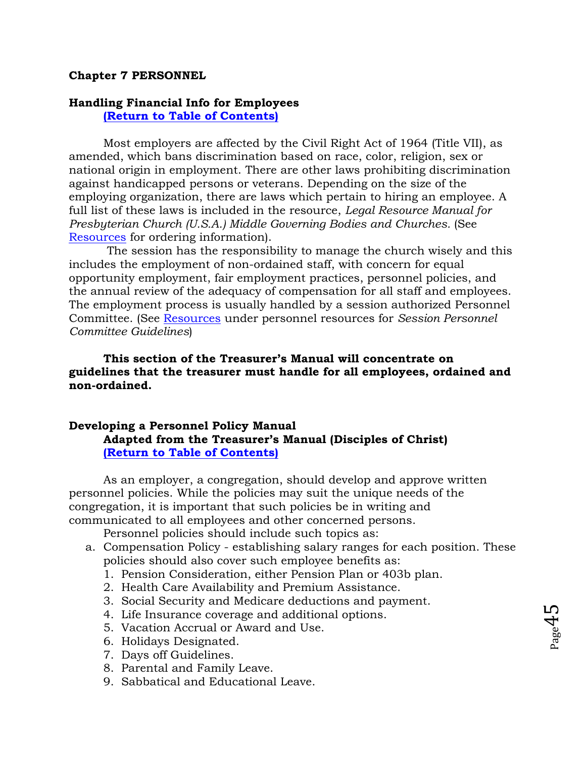#### **Chapter 7 PERSONNEL**

## **Handling Financial Info for Employees**

**[\(Return to Table of Contents\)](#page-1-0)**

Most employers are affected by the Civil Right Act of 1964 (Title VII), as amended, which bans discrimination based on race, color, religion, sex or national origin in employment. There are other laws prohibiting discrimination against handicapped persons or veterans. Depending on the size of the employing organization, there are laws which pertain to hiring an employee. A full list of these laws is included in the resource, *Legal Resource Manual for Presbyterian Church (U.S.A.) Middle Governing Bodies and Churches.* (See [Resources](#page-58-0) for ordering information).

The session has the responsibility to manage the church wisely and this includes the employment of non-ordained staff, with concern for equal opportunity employment, fair employment practices, personnel policies, and the annual review of the adequacy of compensation for all staff and employees. The employment process is usually handled by a session authorized Personnel Committee. (See [Resources](#page-58-0) under personnel resources for *Session Personnel Committee Guidelines*)

**This section of the Treasurer's Manual will concentrate on guidelines that the treasurer must handle for all employees, ordained and non-ordained.**

## **Developing a Personnel Policy Manual Adapted from the Treasurer's Manual (Disciples of Christ) [\(Return to Table of Contents\)](#page-1-0)**

As an employer, a congregation, should develop and approve written personnel policies. While the policies may suit the unique needs of the congregation, it is important that such policies be in writing and communicated to all employees and other concerned persons.

Personnel policies should include such topics as:

a. Compensation Policy - establishing salary ranges for each position. These policies should also cover such employee benefits as:

 $_{\rm Page}$ 45

- 1. Pension Consideration, either Pension Plan or 403b plan.
- 2. Health Care Availability and Premium Assistance.
- 3. Social Security and Medicare deductions and payment.
- 4. Life Insurance coverage and additional options.
- 5. Vacation Accrual or Award and Use.
- 6. Holidays Designated.
- 7. Days off Guidelines.
- 8. Parental and Family Leave.
- 9. Sabbatical and Educational Leave.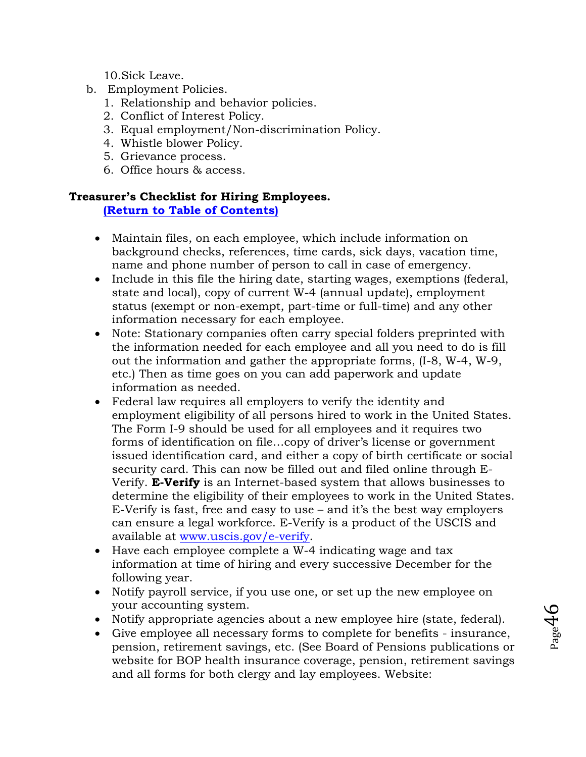10.Sick Leave.

- b. Employment Policies.
	- 1. Relationship and behavior policies.
	- 2. Conflict of Interest Policy.
	- 3. Equal employment/Non-discrimination Policy.
	- 4. Whistle blower Policy.
	- 5. Grievance process.
	- 6. Office hours & access.

## **Treasurer's Checklist for Hiring Employees.**

**[\(Return to Table of Contents\)](#page-1-0)**

- Maintain files, on each employee, which include information on background checks, references, time cards, sick days, vacation time, name and phone number of person to call in case of emergency.
- Include in this file the hiring date, starting wages, exemptions (federal, state and local), copy of current W-4 (annual update), employment status (exempt or non-exempt, part-time or full-time) and any other information necessary for each employee.
- Note: Stationary companies often carry special folders preprinted with the information needed for each employee and all you need to do is fill out the information and gather the appropriate forms, (I-8, W-4, W-9, etc.) Then as time goes on you can add paperwork and update information as needed.
- Federal law requires all employers to verify the identity and employment eligibility of all persons hired to work in the United States. The Form I-9 should be used for all employees and it requires two forms of identification on file…copy of driver's license or government issued identification card, and either a copy of birth certificate or social security card. This can now be filled out and filed online through E-Verify. **E-Verify** is an Internet-based system that allows businesses to determine the eligibility of their employees to work in the United States. E-Verify is fast, free and easy to use – and it's the best way employers can ensure a legal workforce. E-Verify is a product of the USCIS and available at [www.uscis.gov/e-verify.](http://www.uscis.gov/e-verify)
- Have each employee complete a W-4 indicating wage and tax information at time of hiring and every successive December for the following year.
- Notify payroll service, if you use one, or set up the new employee on your accounting system.
- Notify appropriate agencies about a new employee hire (state, federal).
- Give employee all necessary forms to complete for benefits insurance, pension, retirement savings, etc. (See Board of Pensions publications or website for BOP health insurance coverage, pension, retirement savings and all forms for both clergy and lay employees. Website: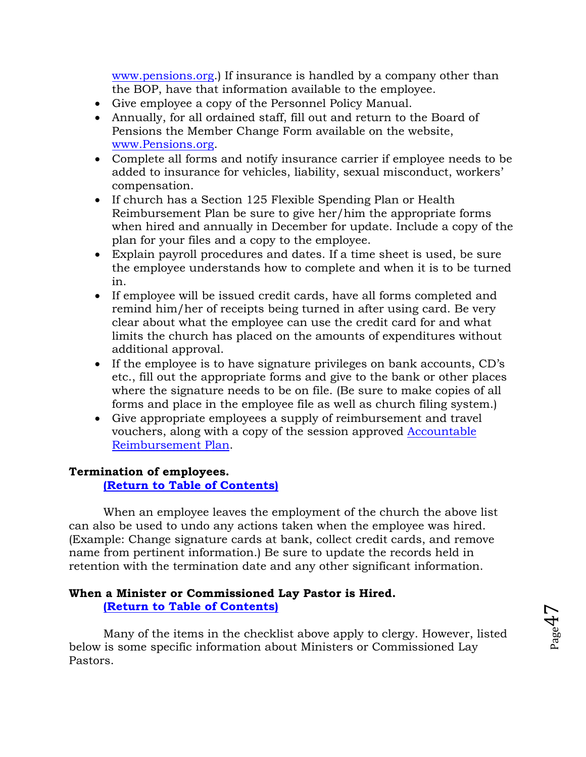[www.pensions.org.](http://www.pensions.org/)) If insurance is handled by a company other than the BOP, have that information available to the employee.

- Give employee a copy of the Personnel Policy Manual.
- Annually, for all ordained staff, fill out and return to the Board of Pensions the Member Change Form available on the website, [www.Pensions.org.](http://www.pensions.org/)
- Complete all forms and notify insurance carrier if employee needs to be added to insurance for vehicles, liability, sexual misconduct, workers' compensation.
- If church has a Section 125 Flexible Spending Plan or Health Reimbursement Plan be sure to give her/him the appropriate forms when hired and annually in December for update. Include a copy of the plan for your files and a copy to the employee.
- Explain payroll procedures and dates. If a time sheet is used, be sure the employee understands how to complete and when it is to be turned in.
- If employee will be issued credit cards, have all forms completed and remind him/her of receipts being turned in after using card. Be very clear about what the employee can use the credit card for and what limits the church has placed on the amounts of expenditures without additional approval.
- If the employee is to have signature privileges on bank accounts, CD's etc., fill out the appropriate forms and give to the bank or other places where the signature needs to be on file. (Be sure to make copies of all forms and place in the employee file as well as church filing system.)
- Give appropriate employees a supply of reimbursement and travel vouchers, along with a copy of the session approved [Accountable](#page-85-0)  [Reimbursement Plan.](#page-85-0)

#### **Termination of employees. [\(Return to Table of Contents\)](#page-1-0)**

When an employee leaves the employment of the church the above list can also be used to undo any actions taken when the employee was hired. (Example: Change signature cards at bank, collect credit cards, and remove name from pertinent information.) Be sure to update the records held in retention with the termination date and any other significant information.

#### **When a Minister or Commissioned Lay Pastor is Hired. [\(Return to Table of Contents\)](#page-1-0)**

Many of the items in the checklist above apply to clergy. However, listed below is some specific information about Ministers or Commissioned Lay Pastors.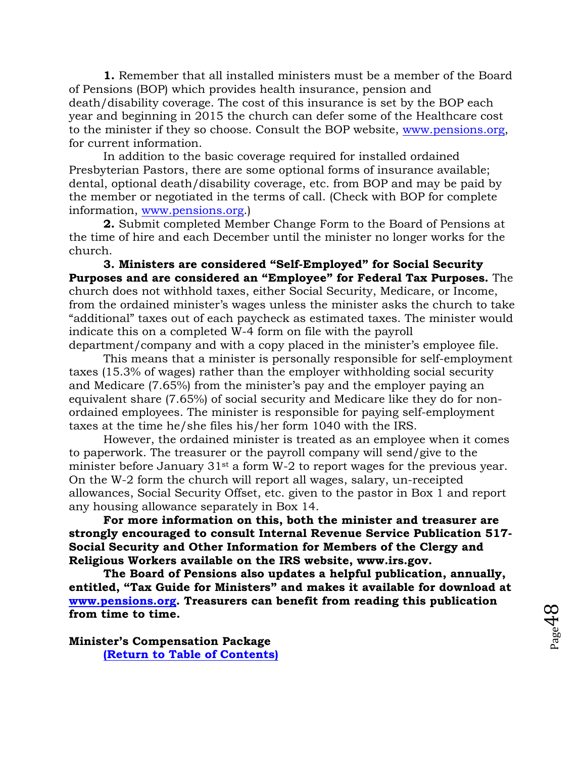**1.** Remember that all installed ministers must be a member of the Board of Pensions (BOP) which provides health insurance, pension and death/disability coverage. The cost of this insurance is set by the BOP each year and beginning in 2015 the church can defer some of the Healthcare cost to the minister if they so choose. Consult the BOP website, [www.pensions.org,](http://www.pensions.org/) for current information.

In addition to the basic coverage required for installed ordained Presbyterian Pastors, there are some optional forms of insurance available; dental, optional death/disability coverage, etc. from BOP and may be paid by the member or negotiated in the terms of call. (Check with BOP for complete information, [www.pensions.org.](http://www.pensions.org/))

**2.** Submit completed Member Change Form to the Board of Pensions at the time of hire and each December until the minister no longer works for the church.

**3. Ministers are considered "Self-Employed" for Social Security Purposes and are considered an "Employee" for Federal Tax Purposes.** The church does not withhold taxes, either Social Security, Medicare, or Income, from the ordained minister's wages unless the minister asks the church to take "additional" taxes out of each paycheck as estimated taxes. The minister would indicate this on a completed W-4 form on file with the payroll department/company and with a copy placed in the minister's employee file.

This means that a minister is personally responsible for self-employment taxes (15.3% of wages) rather than the employer withholding social security and Medicare (7.65%) from the minister's pay and the employer paying an equivalent share (7.65%) of social security and Medicare like they do for nonordained employees. The minister is responsible for paying self-employment taxes at the time he/she files his/her form 1040 with the IRS.

However, the ordained minister is treated as an employee when it comes to paperwork. The treasurer or the payroll company will send/give to the minister before January 31<sup>st</sup> a form W-2 to report wages for the previous year. On the W-2 form the church will report all wages, salary, un-receipted allowances, Social Security Offset, etc. given to the pastor in Box 1 and report any housing allowance separately in Box 14.

**For more information on this, both the minister and treasurer are strongly encouraged to consult Internal Revenue Service Publication 517- Social Security and Other Information for Members of the Clergy and Religious Workers available on the IRS website, www.irs.gov.**

**The Board of Pensions also updates a helpful publication, annually, entitled, "Tax Guide for Ministers" and makes it available for download at [www.pensions.org.](http://www.pensions.org/) Treasurers can benefit from reading this publication from time to time.**

**Minister's Compensation Package [\(Return to Table of Contents\)](#page-1-0)**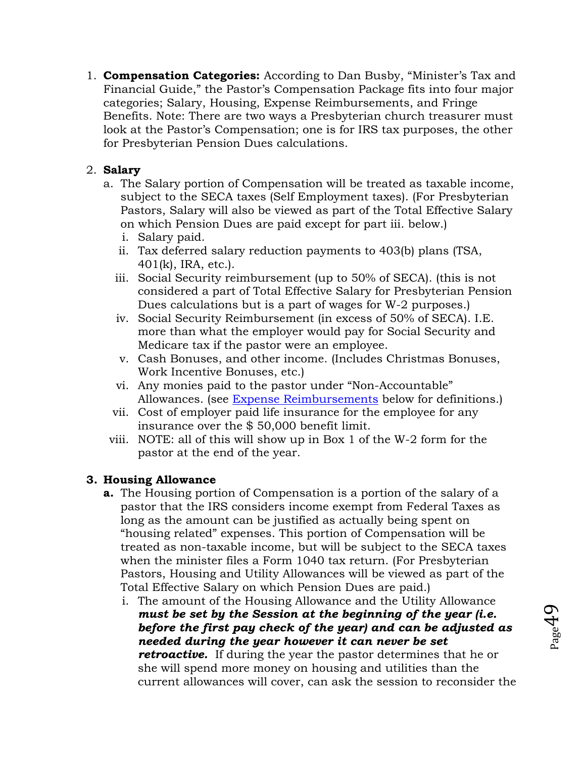1. **Compensation Categories:** According to Dan Busby, "Minister's Tax and Financial Guide," the Pastor's Compensation Package fits into four major categories; Salary, Housing, Expense Reimbursements, and Fringe Benefits. Note: There are two ways a Presbyterian church treasurer must look at the Pastor's Compensation; one is for IRS tax purposes, the other for Presbyterian Pension Dues calculations.

## 2. **Salary**

- a. The Salary portion of Compensation will be treated as taxable income, subject to the SECA taxes (Self Employment taxes). (For Presbyterian Pastors, Salary will also be viewed as part of the Total Effective Salary on which Pension Dues are paid except for part iii. below.)
	- i. Salary paid.
	- ii. Tax deferred salary reduction payments to 403(b) plans (TSA, 401(k), IRA, etc.).
	- iii. Social Security reimbursement (up to 50% of SECA). (this is not considered a part of Total Effective Salary for Presbyterian Pension Dues calculations but is a part of wages for W-2 purposes.)
	- iv. Social Security Reimbursement (in excess of 50% of SECA). I.E. more than what the employer would pay for Social Security and Medicare tax if the pastor were an employee.
	- v. Cash Bonuses, and other income. (Includes Christmas Bonuses, Work Incentive Bonuses, etc.)
	- vi. Any monies paid to the pastor under "Non-Accountable" Allowances. (see [Expense Reimbursements](#page-49-0) below for definitions.)
	- vii. Cost of employer paid life insurance for the employee for any insurance over the \$ 50,000 benefit limit.
- viii. NOTE: all of this will show up in Box 1 of the W-2 form for the pastor at the end of the year.

## **3. Housing Allowance**

- **a.** The Housing portion of Compensation is a portion of the salary of a pastor that the IRS considers income exempt from Federal Taxes as long as the amount can be justified as actually being spent on "housing related" expenses. This portion of Compensation will be treated as non-taxable income, but will be subject to the SECA taxes when the minister files a Form 1040 tax return. (For Presbyterian Pastors, Housing and Utility Allowances will be viewed as part of the Total Effective Salary on which Pension Dues are paid.)
	- i. The amount of the Housing Allowance and the Utility Allowance *must be set by the Session at the beginning of the year (i.e. before the first pay check of the year) and can be adjusted as needed during the year however it can never be set retroactive.* If during the year the pastor determines that he or she will spend more money on housing and utilities than the current allowances will cover, can ask the session to reconsider the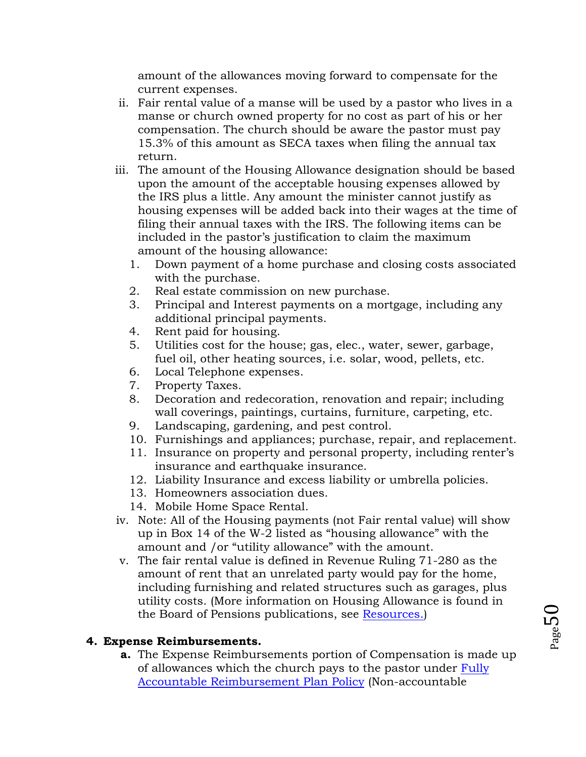amount of the allowances moving forward to compensate for the current expenses.

- ii. Fair rental value of a manse will be used by a pastor who lives in a manse or church owned property for no cost as part of his or her compensation. The church should be aware the pastor must pay 15.3% of this amount as SECA taxes when filing the annual tax return.
- iii. The amount of the Housing Allowance designation should be based upon the amount of the acceptable housing expenses allowed by the IRS plus a little. Any amount the minister cannot justify as housing expenses will be added back into their wages at the time of filing their annual taxes with the IRS. The following items can be included in the pastor's justification to claim the maximum amount of the housing allowance:
	- 1. Down payment of a home purchase and closing costs associated with the purchase.
	- 2. Real estate commission on new purchase.
	- 3. Principal and Interest payments on a mortgage, including any additional principal payments.
	- 4. Rent paid for housing.
	- 5. Utilities cost for the house; gas, elec., water, sewer, garbage, fuel oil, other heating sources, i.e. solar, wood, pellets, etc.
	- 6. Local Telephone expenses.
	- 7. Property Taxes.
	- 8. Decoration and redecoration, renovation and repair; including wall coverings, paintings, curtains, furniture, carpeting, etc.
	- 9. Landscaping, gardening, and pest control.
	- 10. Furnishings and appliances; purchase, repair, and replacement.
	- 11. Insurance on property and personal property, including renter's insurance and earthquake insurance.
	- 12. Liability Insurance and excess liability or umbrella policies.
	- 13. Homeowners association dues.
	- 14. Mobile Home Space Rental.
- iv. Note: All of the Housing payments (not Fair rental value) will show up in Box 14 of the W-2 listed as "housing allowance" with the amount and /or "utility allowance" with the amount.
- v. The fair rental value is defined in Revenue Ruling 71-280 as the amount of rent that an unrelated party would pay for the home, including furnishing and related structures such as garages, plus utility costs. (More information on Housing Allowance is found in the Board of Pensions publications, see [Resources.\)](#page-58-0)

## <span id="page-49-0"></span>**4. Expense Reimbursements.**

**a.** The Expense Reimbursements portion of Compensation is made up of allowances which the church pays to the pastor under [Fully](#page-85-0)  [Accountable Reimbursement Plan Policy](#page-85-0) (Non-accountable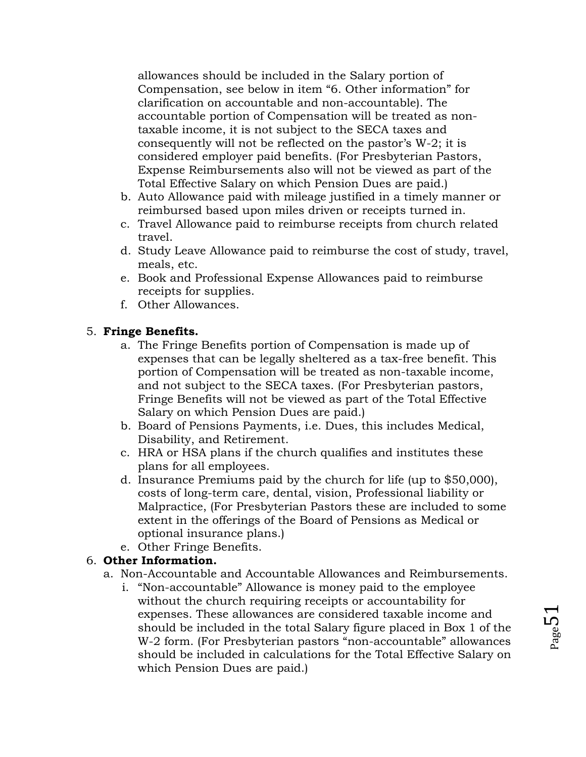allowances should be included in the Salary portion of Compensation, see below in item "6. Other information" for clarification on accountable and non-accountable). The accountable portion of Compensation will be treated as nontaxable income, it is not subject to the SECA taxes and consequently will not be reflected on the pastor's W-2; it is considered employer paid benefits. (For Presbyterian Pastors, Expense Reimbursements also will not be viewed as part of the Total Effective Salary on which Pension Dues are paid.)

- b. Auto Allowance paid with mileage justified in a timely manner or reimbursed based upon miles driven or receipts turned in.
- c. Travel Allowance paid to reimburse receipts from church related travel.
- d. Study Leave Allowance paid to reimburse the cost of study, travel, meals, etc.
- e. Book and Professional Expense Allowances paid to reimburse receipts for supplies.
- f. Other Allowances.

## 5. **Fringe Benefits.**

- a. The Fringe Benefits portion of Compensation is made up of expenses that can be legally sheltered as a tax-free benefit. This portion of Compensation will be treated as non-taxable income, and not subject to the SECA taxes. (For Presbyterian pastors, Fringe Benefits will not be viewed as part of the Total Effective Salary on which Pension Dues are paid.)
- b. Board of Pensions Payments, i.e. Dues, this includes Medical, Disability, and Retirement.
- c. HRA or HSA plans if the church qualifies and institutes these plans for all employees.
- d. Insurance Premiums paid by the church for life (up to \$50,000), costs of long-term care, dental, vision, Professional liability or Malpractice, (For Presbyterian Pastors these are included to some extent in the offerings of the Board of Pensions as Medical or optional insurance plans.)
- e. Other Fringe Benefits.

## 6. **Other Information.**

- a. Non-Accountable and Accountable Allowances and Reimbursements.
	- i. "Non-accountable" Allowance is money paid to the employee without the church requiring receipts or accountability for expenses. These allowances are considered taxable income and should be included in the total Salary figure placed in Box 1 of the W-2 form. (For Presbyterian pastors "non-accountable" allowances should be included in calculations for the Total Effective Salary on which Pension Dues are paid.)

Page 5.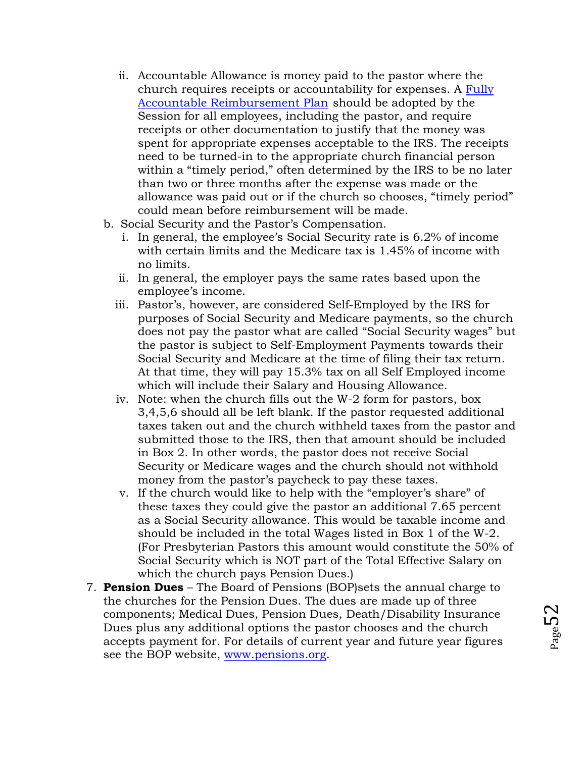- ii. Accountable Allowance is money paid to the pastor where the church requires receipts or accountability for expenses. A [Fully](#page-85-0)  [Accountable Reimbursement Plan](#page-85-0) should be adopted by the Session for all employees, including the pastor, and require receipts or other documentation to justify that the money was spent for appropriate expenses acceptable to the IRS. The receipts need to be turned-in to the appropriate church financial person within a "timely period," often determined by the IRS to be no later than two or three months after the expense was made or the allowance was paid out or if the church so chooses, "timely period" could mean before reimbursement will be made.
- b. Social Security and the Pastor's Compensation.
	- i. In general, the employee's Social Security rate is 6.2% of income with certain limits and the Medicare tax is 1.45% of income with no limits.
	- ii. In general, the employer pays the same rates based upon the employee's income.
	- iii. Pastor's, however, are considered Self-Employed by the IRS for purposes of Social Security and Medicare payments, so the church does not pay the pastor what are called "Social Security wages" but the pastor is subject to Self-Employment Payments towards their Social Security and Medicare at the time of filing their tax return. At that time, they will pay 15.3% tax on all Self Employed income which will include their Salary and Housing Allowance.
	- iv. Note: when the church fills out the W-2 form for pastors, box 3,4,5,6 should all be left blank. If the pastor requested additional taxes taken out and the church withheld taxes from the pastor and submitted those to the IRS, then that amount should be included in Box 2. In other words, the pastor does not receive Social Security or Medicare wages and the church should not withhold money from the pastor's paycheck to pay these taxes.
	- v. If the church would like to help with the "employer's share" of these taxes they could give the pastor an additional 7.65 percent as a Social Security allowance. This would be taxable income and should be included in the total Wages listed in Box 1 of the W-2. (For Presbyterian Pastors this amount would constitute the 50% of Social Security which is NOT part of the Total Effective Salary on which the church pays Pension Dues.)
- 7. **Pension Dues** The Board of Pensions (BOP)sets the annual charge to the churches for the Pension Dues. The dues are made up of three components; Medical Dues, Pension Dues, Death/Disability Insurance Dues plus any additional options the pastor chooses and the church accepts payment for. For details of current year and future year figures see the BOP website, [www.pensions.org.](http://www.pensions.org/)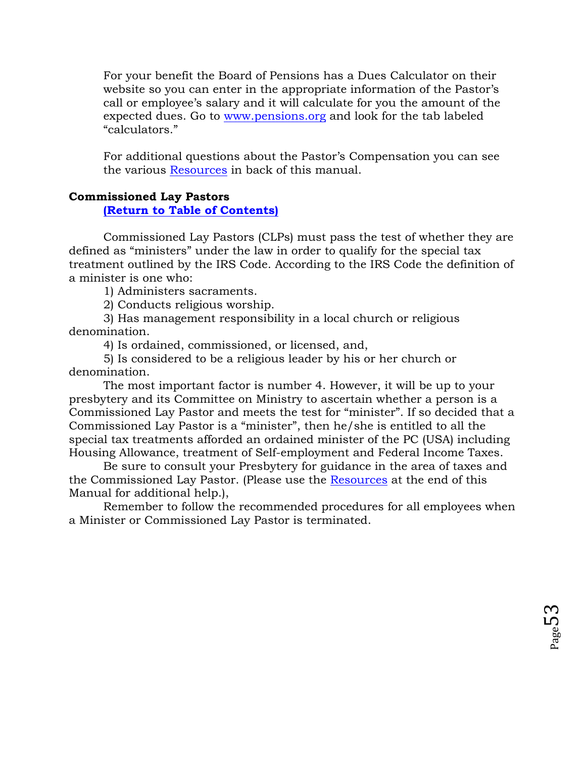For your benefit the Board of Pensions has a Dues Calculator on their website so you can enter in the appropriate information of the Pastor's call or employee's salary and it will calculate for you the amount of the expected dues. Go to [www.pensions.org](http://www.pensions.org/) and look for the tab labeled "calculators."

For additional questions about the Pastor's Compensation you can see the various [Resources](#page-58-0) in back of this manual.

### **Commissioned Lay Pastors**

**[\(Return to Table of Contents\)](#page-1-0)**

Commissioned Lay Pastors (CLPs) must pass the test of whether they are defined as "ministers" under the law in order to qualify for the special tax treatment outlined by the IRS Code. According to the IRS Code the definition of a minister is one who:

1) Administers sacraments.

2) Conducts religious worship.

3) Has management responsibility in a local church or religious denomination.

4) Is ordained, commissioned, or licensed, and,

5) Is considered to be a religious leader by his or her church or denomination.

The most important factor is number 4. However, it will be up to your presbytery and its Committee on Ministry to ascertain whether a person is a Commissioned Lay Pastor and meets the test for "minister". If so decided that a Commissioned Lay Pastor is a "minister", then he/she is entitled to all the special tax treatments afforded an ordained minister of the PC (USA) including Housing Allowance, treatment of Self-employment and Federal Income Taxes.

Be sure to consult your Presbytery for guidance in the area of taxes and the Commissioned Lay Pastor. (Please use the [Resources](#page-58-0) at the end of this Manual for additional help.),

Remember to follow the recommended procedures for all employees when a Minister or Commissioned Lay Pastor is terminated.

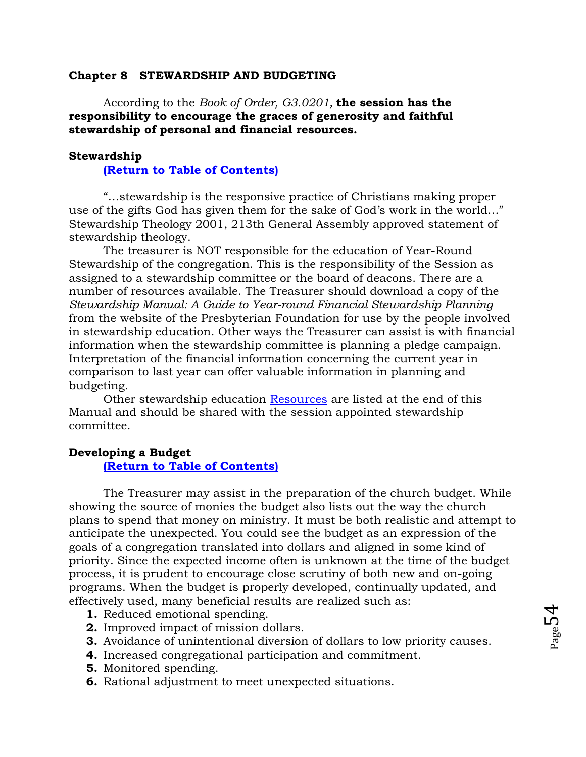#### **Chapter 8 STEWARDSHIP AND BUDGETING**

According to the *Book of Order, G3.0201,* **the session has the responsibility to encourage the graces of generosity and faithful stewardship of personal and financial resources.** 

## **Stewardship**

**[\(Return to Table of Contents\)](#page-1-0)**

"…stewardship is the responsive practice of Christians making proper use of the gifts God has given them for the sake of God's work in the world…" Stewardship Theology 2001, 213th General Assembly approved statement of stewardship theology.

The treasurer is NOT responsible for the education of Year-Round Stewardship of the congregation. This is the responsibility of the Session as assigned to a stewardship committee or the board of deacons. There are a number of resources available. The Treasurer should download a copy of the *Stewardship Manual: A Guide to Year-round Financial Stewardship Planning*  from the website of the Presbyterian Foundation for use by the people involved in stewardship education. Other ways the Treasurer can assist is with financial information when the stewardship committee is planning a pledge campaign. Interpretation of the financial information concerning the current year in comparison to last year can offer valuable information in planning and budgeting.

Other stewardship education [Resources](#page-58-0) are listed at the end of this Manual and should be shared with the session appointed stewardship committee.

#### **Developing a Budget**

#### **[\(Return to Table of Contents\)](#page-1-0)**

The Treasurer may assist in the preparation of the church budget. While showing the source of monies the budget also lists out the way the church plans to spend that money on ministry. It must be both realistic and attempt to anticipate the unexpected. You could see the budget as an expression of the goals of a congregation translated into dollars and aligned in some kind of priority. Since the expected income often is unknown at the time of the budget process, it is prudent to encourage close scrutiny of both new and on-going programs. When the budget is properly developed, continually updated, and effectively used, many beneficial results are realized such as:

- **1.** Reduced emotional spending.
- **2.** Improved impact of mission dollars.
- **3.** Avoidance of unintentional diversion of dollars to low priority causes.

 $P_{\text{age}}$ 54

- **4.** Increased congregational participation and commitment.
- **5.** Monitored spending.
- **6.** Rational adjustment to meet unexpected situations.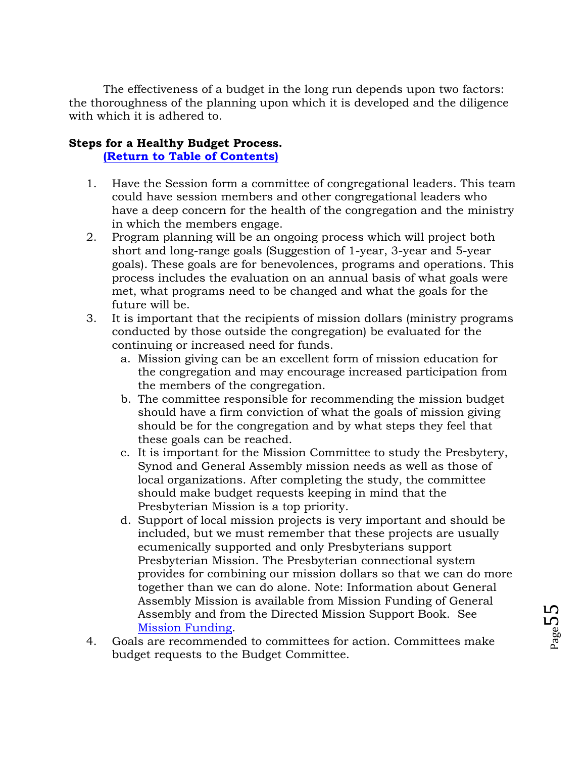The effectiveness of a budget in the long run depends upon two factors: the thoroughness of the planning upon which it is developed and the diligence with which it is adhered to.

## **Steps for a Healthy Budget Process.**

### **[\(Return to Table of Contents\)](#page-1-0)**

- 1. Have the Session form a committee of congregational leaders. This team could have session members and other congregational leaders who have a deep concern for the health of the congregation and the ministry in which the members engage.
- 2. Program planning will be an ongoing process which will project both short and long-range goals (Suggestion of 1-year, 3-year and 5-year goals). These goals are for benevolences, programs and operations. This process includes the evaluation on an annual basis of what goals were met, what programs need to be changed and what the goals for the future will be.
- 3. It is important that the recipients of mission dollars (ministry programs conducted by those outside the congregation) be evaluated for the continuing or increased need for funds.
	- a. Mission giving can be an excellent form of mission education for the congregation and may encourage increased participation from the members of the congregation.
	- b. The committee responsible for recommending the mission budget should have a firm conviction of what the goals of mission giving should be for the congregation and by what steps they feel that these goals can be reached.
	- c. It is important for the Mission Committee to study the Presbytery, Synod and General Assembly mission needs as well as those of local organizations. After completing the study, the committee should make budget requests keeping in mind that the Presbyterian Mission is a top priority.
	- d. Support of local mission projects is very important and should be included, but we must remember that these projects are usually ecumenically supported and only Presbyterians support Presbyterian Mission. The Presbyterian connectional system provides for combining our mission dollars so that we can do more together than we can do alone. Note: Information about General Assembly Mission is available from Mission Funding of General Assembly and from the Directed Mission Support Book. See [Mission Funding.](#page-106-0)
- 4. Goals are recommended to committees for action. Committees make budget requests to the Budget Committee.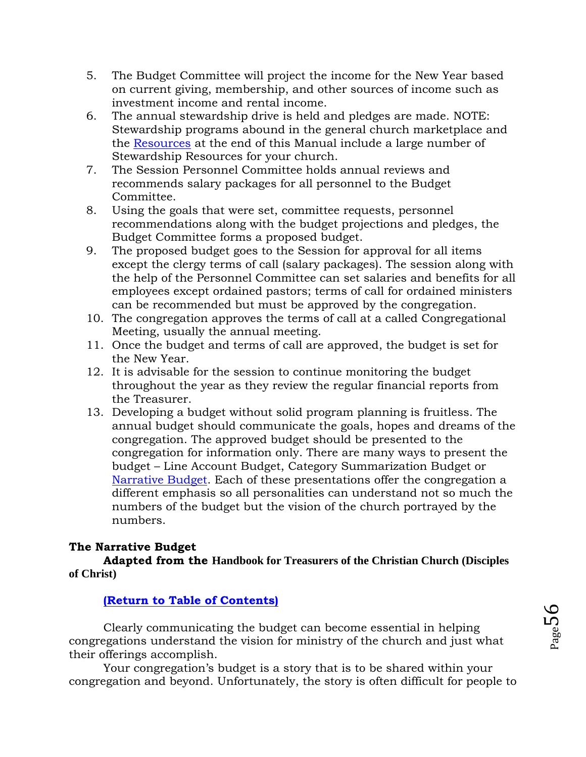- 5. The Budget Committee will project the income for the New Year based on current giving, membership, and other sources of income such as investment income and rental income.
- 6. The annual stewardship drive is held and pledges are made. NOTE: Stewardship programs abound in the general church marketplace and the [Resources](#page-58-0) at the end of this Manual include a large number of Stewardship Resources for your church.
- 7. The Session Personnel Committee holds annual reviews and recommends salary packages for all personnel to the Budget Committee.
- 8. Using the goals that were set, committee requests, personnel recommendations along with the budget projections and pledges, the Budget Committee forms a proposed budget.
- 9. The proposed budget goes to the Session for approval for all items except the clergy terms of call (salary packages). The session along with the help of the Personnel Committee can set salaries and benefits for all employees except ordained pastors; terms of call for ordained ministers can be recommended but must be approved by the congregation.
- 10. The congregation approves the terms of call at a called Congregational Meeting, usually the annual meeting.
- 11. Once the budget and terms of call are approved, the budget is set for the New Year.
- 12. It is advisable for the session to continue monitoring the budget throughout the year as they review the regular financial reports from the Treasurer.
- 13. Developing a budget without solid program planning is fruitless. The annual budget should communicate the goals, hopes and dreams of the congregation. The approved budget should be presented to the congregation for information only. There are many ways to present the budget – Line Account Budget, Category Summarization Budget or [Narrative Budget.](#page-55-0) Each of these presentations offer the congregation a different emphasis so all personalities can understand not so much the numbers of the budget but the vision of the church portrayed by the numbers.

## <span id="page-55-0"></span>**The Narrative Budget**

**Adapted from the Handbook for Treasurers of the Christian Church (Disciples of Christ)**

## **[\(Return to Table of Contents\)](#page-1-0)**

Clearly communicating the budget can become essential in helping congregations understand the vision for ministry of the church and just what their offerings accomplish.

Your congregation's budget is a story that is to be shared within your congregation and beyond. Unfortunately, the story is often difficult for people to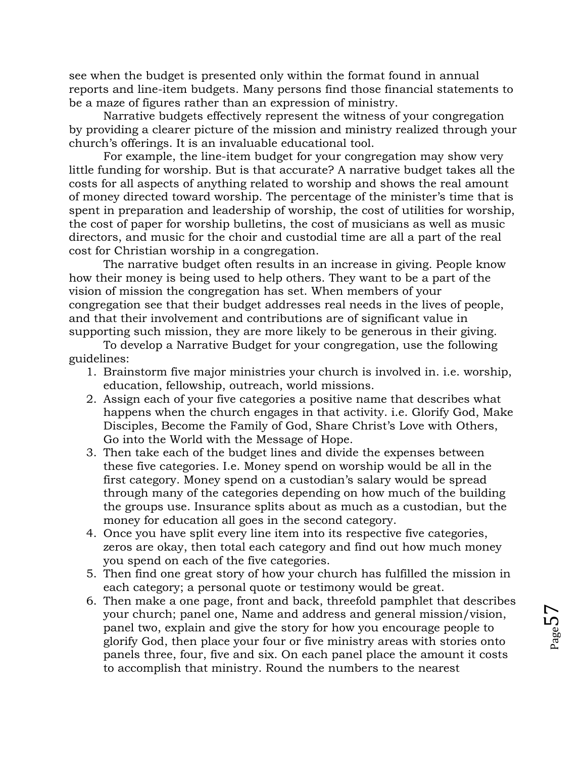see when the budget is presented only within the format found in annual reports and line-item budgets. Many persons find those financial statements to be a maze of figures rather than an expression of ministry.

Narrative budgets effectively represent the witness of your congregation by providing a clearer picture of the mission and ministry realized through your church's offerings. It is an invaluable educational tool.

For example, the line-item budget for your congregation may show very little funding for worship. But is that accurate? A narrative budget takes all the costs for all aspects of anything related to worship and shows the real amount of money directed toward worship. The percentage of the minister's time that is spent in preparation and leadership of worship, the cost of utilities for worship, the cost of paper for worship bulletins, the cost of musicians as well as music directors, and music for the choir and custodial time are all a part of the real cost for Christian worship in a congregation.

The narrative budget often results in an increase in giving. People know how their money is being used to help others. They want to be a part of the vision of mission the congregation has set. When members of your congregation see that their budget addresses real needs in the lives of people, and that their involvement and contributions are of significant value in supporting such mission, they are more likely to be generous in their giving.

To develop a Narrative Budget for your congregation, use the following guidelines:

- 1. Brainstorm five major ministries your church is involved in. i.e. worship, education, fellowship, outreach, world missions.
- 2. Assign each of your five categories a positive name that describes what happens when the church engages in that activity. i.e. Glorify God, Make Disciples, Become the Family of God, Share Christ's Love with Others, Go into the World with the Message of Hope.
- 3. Then take each of the budget lines and divide the expenses between these five categories. I.e. Money spend on worship would be all in the first category. Money spend on a custodian's salary would be spread through many of the categories depending on how much of the building the groups use. Insurance splits about as much as a custodian, but the money for education all goes in the second category.
- 4. Once you have split every line item into its respective five categories, zeros are okay, then total each category and find out how much money you spend on each of the five categories.
- 5. Then find one great story of how your church has fulfilled the mission in each category; a personal quote or testimony would be great.
- 6. Then make a one page, front and back, threefold pamphlet that describes your church; panel one, Name and address and general mission/vision, panel two, explain and give the story for how you encourage people to glorify God, then place your four or five ministry areas with stories onto panels three, four, five and six. On each panel place the amount it costs to accomplish that ministry. Round the numbers to the nearest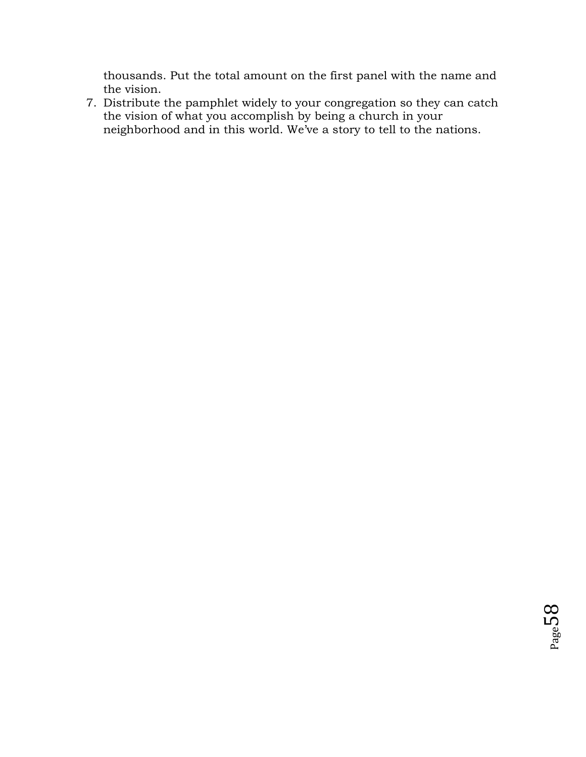thousands. Put the total amount on the first panel with the name and the vision.

7. Distribute the pamphlet widely to your congregation so they can catch the vision of what you accomplish by being a church in your neighborhood and in this world. We've a story to tell to the nations.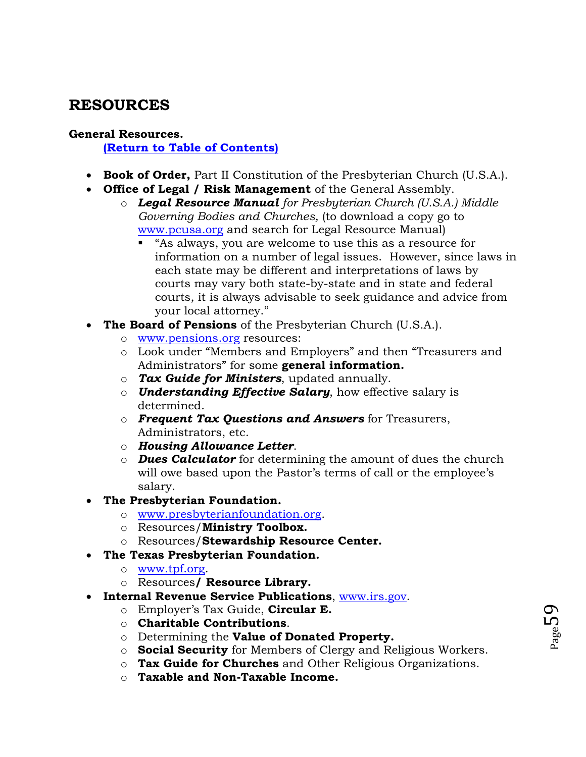## <span id="page-58-0"></span>**RESOURCES**

## **General Resources.**

**[\(Return to Table of Contents\)](#page-1-0)**

- **Book of Order,** Part II Constitution of the Presbyterian Church (U.S.A.).
- **Office of Legal / Risk Management** of the General Assembly.
	- o *Legal Resource Manual for Presbyterian Church (U.S.A.) Middle Governing Bodies and Churches,* (to download a copy go to [www.pcusa.org](http://www.pcusa.org/) and search for Legal Resource Manual)
		- "As always, you are welcome to use this as a resource for information on a number of legal issues. However, since laws in each state may be different and interpretations of laws by courts may vary both state-by-state and in state and federal courts, it is always advisable to seek guidance and advice from your local attorney."
- **The Board of Pensions** of the Presbyterian Church (U.S.A.).
	- o [www.pensions.org](http://www.pensions.org/) resources:
	- o Look under "Members and Employers" and then "Treasurers and Administrators" for some **general information.**
	- o *Tax Guide for Ministers*, updated annually.
	- o *Understanding Effective Salary*, how effective salary is determined.
	- o *Frequent Tax Questions and Answers* for Treasurers, Administrators, etc.
	- o *Housing Allowance Letter*.
	- o *Dues Calculator* for determining the amount of dues the church will owe based upon the Pastor's terms of call or the employee's salary.
- **The Presbyterian Foundation.**
	- o [www.presbyterianfoundation.org.](http://www.presbyterianfoundation.org/)
	- o Resources/**Ministry Toolbox.**
	- o Resources/**Stewardship Resource Center.**
- **The Texas Presbyterian Foundation.**
	- o [www.tpf.org.](http://www.tpf.org/)
	- o Resources**/ Resource Library.**
- **Internal Revenue Service Publications**, [www.irs.gov.](http://www.irs.gov/)
	- o Employer's Tax Guide, **Circular E.**
	- o **Charitable Contributions**.
	- o Determining the **Value of Donated Property.**
	- o **Social Security** for Members of Clergy and Religious Workers.
	- o **Tax Guide for Churches** and Other Religious Organizations.
	- o **Taxable and Non-Taxable Income.**

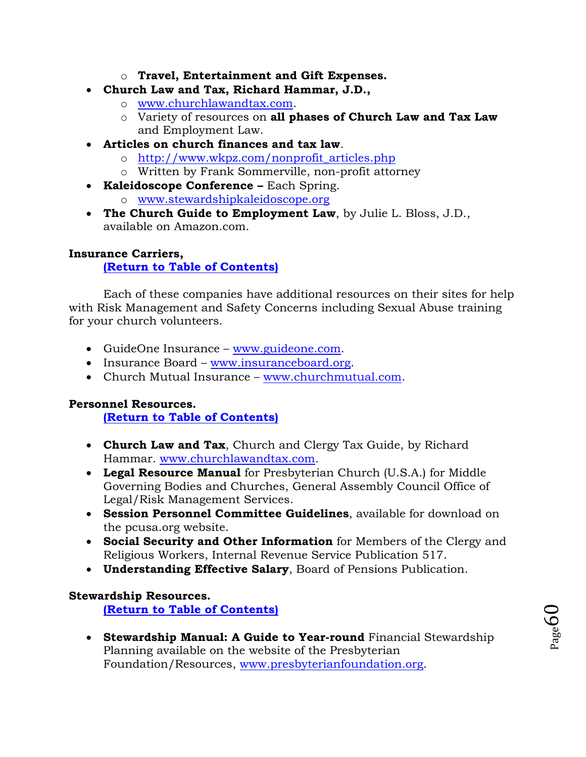- o **Travel, Entertainment and Gift Expenses.**
- **Church Law and Tax, Richard Hammar, J.D.,** 
	- o [www.churchlawandtax.com.](http://www.churchlawandtax.com/)
	- o Variety of resources on **all phases of Church Law and Tax Law** and Employment Law.
- **Articles on church finances and tax law**.
	- o [http://www.wkpz.com/nonprofit\\_articles.php](http://www.wkpz.com/nonprofit_articles.php)
	- o Written by Frank Sommerville, non-profit attorney
- **Kaleidoscope Conference –** Each Spring.
	- o [www.stewardshipkaleidoscope.org](http://www.stewardshipkaleidoscope.org/)
- **The Church Guide to Employment Law**, by Julie L. Bloss, J.D., available on Amazon.com.

#### <span id="page-59-0"></span>**Insurance Carriers,**

#### **[\(Return to Table of Contents\)](#page-1-0)**

Each of these companies have additional resources on their sites for help with Risk Management and Safety Concerns including Sexual Abuse training for your church volunteers.

- GuideOne Insurance [www.guideone.com.](http://www.guideone.com/)
- Insurance Board [www.insuranceboard.org.](http://www.insuranceboard.org/)
- Church Mutual Insurance [www.churchmutual.com.](http://www.churchmutual.com/)

#### **Personnel Resources.**

**[\(Return to Table of Contents\)](#page-1-0)**

- **Church Law and Tax**, Church and Clergy Tax Guide, by Richard Hammar. [www.churchlawandtax.com.](http://www.churchlawandtax.com/)
- **Legal Resource Manual** for Presbyterian Church (U.S.A.) for Middle Governing Bodies and Churches, General Assembly Council Office of Legal/Risk Management Services.
- **Session Personnel Committee Guidelines**, available for download on the pcusa.org website.
- **Social Security and Other Information** for Members of the Clergy and Religious Workers, Internal Revenue Service Publication 517.
- **Understanding Effective Salary**, Board of Pensions Publication.

#### **Stewardship Resources.**

**[\(Return to Table of Contents\)](#page-1-0)**

 **Stewardship Manual: A Guide to Year-round** Financial Stewardship Planning available on the website of the Presbyterian Foundation/Resources, [www.presbyterianfoundation.org.](http://www.presbyterianfoundation.org/)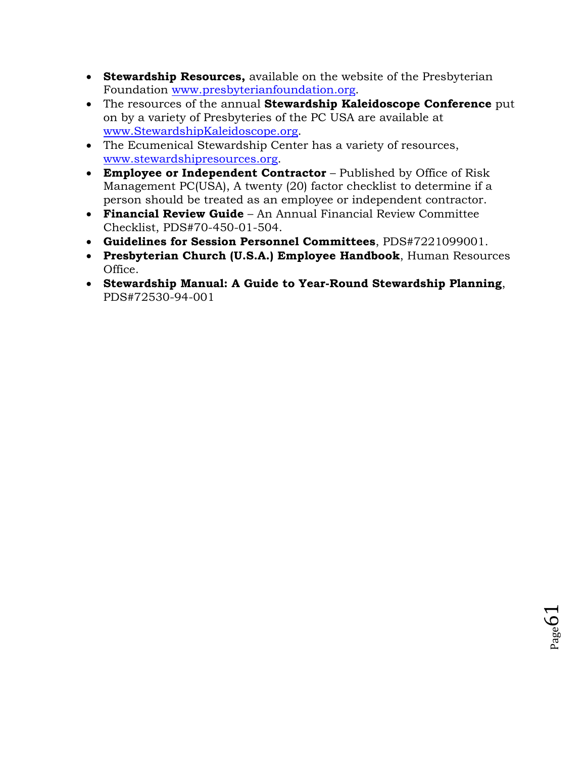- **Stewardship Resources,** available on the website of the Presbyterian Foundation [www.presbyterianfoundation.org.](http://www.presbyterianfoundation.org/)
- The resources of the annual **Stewardship Kaleidoscope Conference** put on by a variety of Presbyteries of the PC USA are available at [www.StewardshipKaleidoscope.org.](http://www.stewardshipkaleidoscope.org/)
- The Ecumenical Stewardship Center has a variety of resources, [www.stewardshipresources.org.](http://www.stewardshipresources.org/)
- **Employee or Independent Contractor** Published by Office of Risk Management PC(USA), A twenty (20) factor checklist to determine if a person should be treated as an employee or independent contractor.
- **Financial Review Guide** An Annual Financial Review Committee Checklist, PDS#70-450-01-504.
- **Guidelines for Session Personnel Committees**, PDS#7221099001.
- **Presbyterian Church (U.S.A.) Employee Handbook**, Human Resources Office.
- **Stewardship Manual: A Guide to Year-Round Stewardship Planning**, PDS#72530-94-001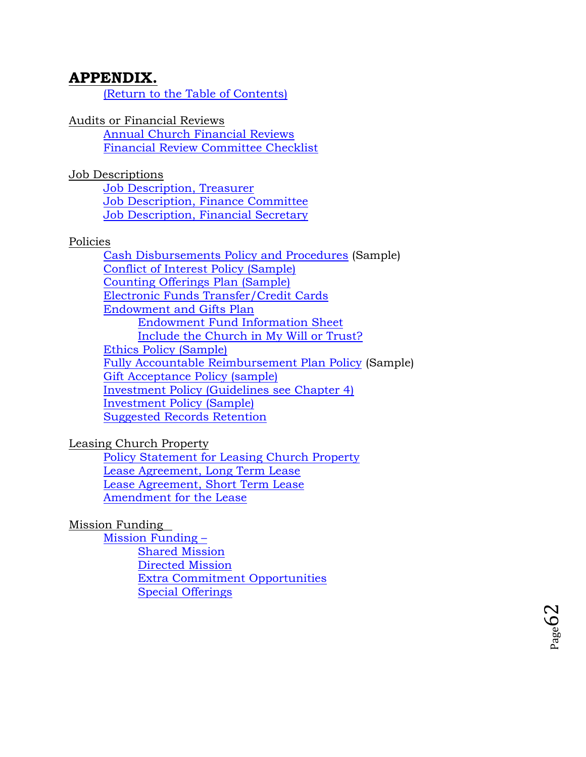## **APPENDIX.**

[\(Return to the Table of Contents\)](#page-1-0)

Audits or Financial Reviews

[Annual Church Financial Reviews](#page-62-0) [Financial Review Committee Checklist](#page-64-0)

Job Descriptions

[Job Description, Treasurer](#page-65-0) [Job Description, Finance Committee](#page-67-0) [Job Description, Financial Secretary](#page-69-0)

### Policies

[Cash Disbursements Policy and Procedures](#page-71-0) (Sample) [Conflict of Interest Policy \(Sample\)](#page-72-0) [Counting Offerings Plan \(Sample\)](#page-76-0) [Electronic Funds Transfer/Credit Cards](#page-77-0) [Endowment and Gifts Plan](#page-78-0) [Endowment Fund Information Sheet](#page-83-0) [Include the Church in My Will or Trust?](#page-83-1) [Ethics Policy \(Sample\)](#page-84-0) [Fully Accountable Reimbursement Plan Policy](#page-85-0) (Sample) [Gift Acceptance Policy \(sample\)](#page-87-0) [Investment Policy \(Guidelines see Chapter 4\)](#page-32-0) [Investment Policy \(Sample\)](#page-90-0) [Suggested Records Retention](#page-92-0)

### Leasing Church Property

[Policy Statement for Leasing Church Property](#page-94-0) [Lease Agreement, Long Term Lease](#page-96-0) [Lease Agreement, Short Term Lease](#page-102-0) [Amendment for the Lease](#page-105-0)

## Mission Funding

[Mission Funding](#page-106-0) – [Shared Mission](#page-106-1) [Directed Mission](#page-106-2) [Extra Commitment Opportunities](#page-107-0) [Special Offerings](#page-107-1)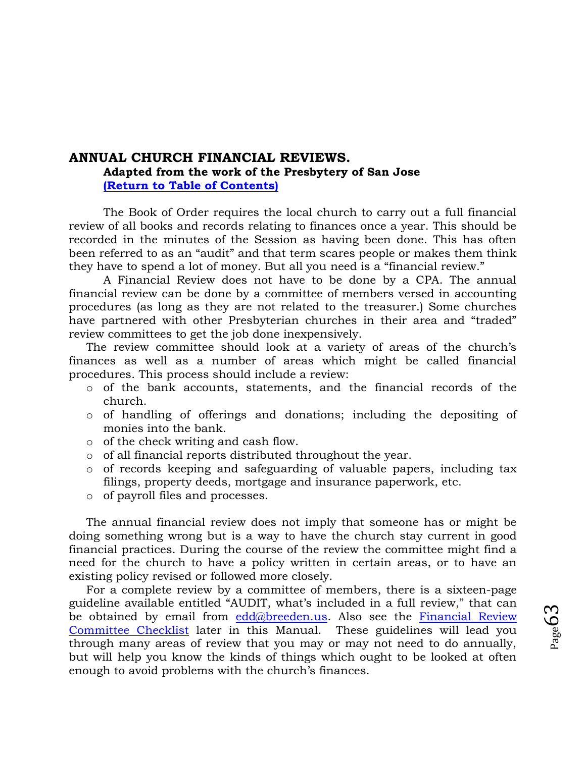## <span id="page-62-0"></span>**ANNUAL CHURCH FINANCIAL REVIEWS. Adapted from the work of the Presbytery of San Jose [\(Return to Table of Contents\)](#page-1-0)**

The Book of Order requires the local church to carry out a full financial review of all books and records relating to finances once a year. This should be recorded in the minutes of the Session as having been done. This has often been referred to as an "audit" and that term scares people or makes them think they have to spend a lot of money. But all you need is a "financial review."

A Financial Review does not have to be done by a CPA. The annual financial review can be done by a committee of members versed in accounting procedures (as long as they are not related to the treasurer.) Some churches have partnered with other Presbyterian churches in their area and "traded" review committees to get the job done inexpensively.

The review committee should look at a variety of areas of the church's finances as well as a number of areas which might be called financial procedures. This process should include a review:

- o of the bank accounts, statements, and the financial records of the church.
- o of handling of offerings and donations; including the depositing of monies into the bank.
- o of the check writing and cash flow.
- o of all financial reports distributed throughout the year.
- o of records keeping and safeguarding of valuable papers, including tax filings, property deeds, mortgage and insurance paperwork, etc.
- o of payroll files and processes.

The annual financial review does not imply that someone has or might be doing something wrong but is a way to have the church stay current in good financial practices. During the course of the review the committee might find a need for the church to have a policy written in certain areas, or to have an existing policy revised or followed more closely.

For a complete review by a committee of members, there is a sixteen-page guideline available entitled "AUDIT, what's included in a full review," that can be obtained by email from  $edd@breeden.us.$  Also see the Financial Review [Committee Checklist](#page-64-0) later in this Manual. These guidelines will lead you through many areas of review that you may or may not need to do annually, but will help you know the kinds of things which ought to be looked at often enough to avoid problems with the church's finances.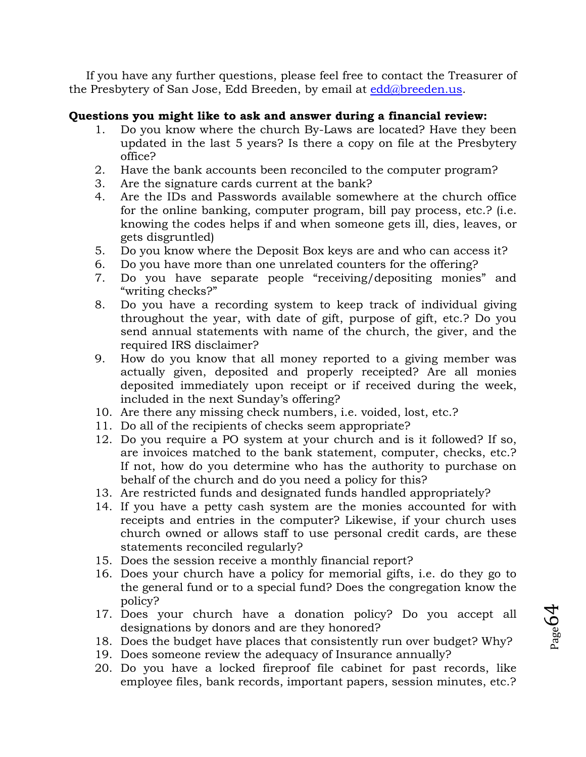If you have any further questions, please feel free to contact the Treasurer of the Presbytery of San Jose, Edd Breeden, by email at [edd@breeden.us.](mailto:edd@breeden.us)

## **Questions you might like to ask and answer during a financial review:**

- 1. Do you know where the church By-Laws are located? Have they been updated in the last 5 years? Is there a copy on file at the Presbytery office?
- 2. Have the bank accounts been reconciled to the computer program?
- 3. Are the signature cards current at the bank?
- 4. Are the IDs and Passwords available somewhere at the church office for the online banking, computer program, bill pay process, etc.? (i.e. knowing the codes helps if and when someone gets ill, dies, leaves, or gets disgruntled)
- 5. Do you know where the Deposit Box keys are and who can access it?
- 6. Do you have more than one unrelated counters for the offering?
- 7. Do you have separate people "receiving/depositing monies" and "writing checks?"
- 8. Do you have a recording system to keep track of individual giving throughout the year, with date of gift, purpose of gift, etc.? Do you send annual statements with name of the church, the giver, and the required IRS disclaimer?
- 9. How do you know that all money reported to a giving member was actually given, deposited and properly receipted? Are all monies deposited immediately upon receipt or if received during the week, included in the next Sunday's offering?
- 10. Are there any missing check numbers, i.e. voided, lost, etc.?
- 11. Do all of the recipients of checks seem appropriate?
- 12. Do you require a PO system at your church and is it followed? If so, are invoices matched to the bank statement, computer, checks, etc.? If not, how do you determine who has the authority to purchase on behalf of the church and do you need a policy for this?
- 13. Are restricted funds and designated funds handled appropriately?
- 14. If you have a petty cash system are the monies accounted for with receipts and entries in the computer? Likewise, if your church uses church owned or allows staff to use personal credit cards, are these statements reconciled regularly?
- 15. Does the session receive a monthly financial report?
- 16. Does your church have a policy for memorial gifts, i.e. do they go to the general fund or to a special fund? Does the congregation know the policy?
- 17. Does your church have a donation policy? Do you accept all designations by donors and are they honored?
- 18. Does the budget have places that consistently run over budget? Why?
- 19. Does someone review the adequacy of Insurance annually?
- 20. Do you have a locked fireproof file cabinet for past records, like employee files, bank records, important papers, session minutes, etc.?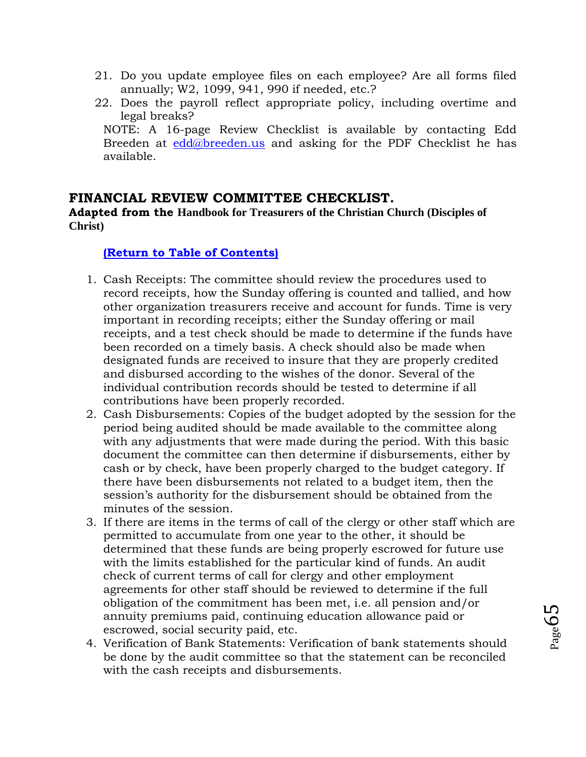- 21. Do you update employee files on each employee? Are all forms filed annually; W2, 1099, 941, 990 if needed, etc.?
- 22. Does the payroll reflect appropriate policy, including overtime and legal breaks? NOTE: A 16-page Review Checklist is available by contacting Edd Breeden at [edd@breeden.us](mailto:edd@breeden.us) and asking for the PDF Checklist he has available.

## <span id="page-64-0"></span>**FINANCIAL REVIEW COMMITTEE CHECKLIST.**

**Adapted from the Handbook for Treasurers of the Christian Church (Disciples of Christ)**

### **[\(Return to Table of Contents\)](#page-1-0)**

- 1. Cash Receipts: The committee should review the procedures used to record receipts, how the Sunday offering is counted and tallied, and how other organization treasurers receive and account for funds. Time is very important in recording receipts; either the Sunday offering or mail receipts, and a test check should be made to determine if the funds have been recorded on a timely basis. A check should also be made when designated funds are received to insure that they are properly credited and disbursed according to the wishes of the donor. Several of the individual contribution records should be tested to determine if all contributions have been properly recorded.
- 2. Cash Disbursements: Copies of the budget adopted by the session for the period being audited should be made available to the committee along with any adjustments that were made during the period. With this basic document the committee can then determine if disbursements, either by cash or by check, have been properly charged to the budget category. If there have been disbursements not related to a budget item, then the session's authority for the disbursement should be obtained from the minutes of the session.
- 3. If there are items in the terms of call of the clergy or other staff which are permitted to accumulate from one year to the other, it should be determined that these funds are being properly escrowed for future use with the limits established for the particular kind of funds. An audit check of current terms of call for clergy and other employment agreements for other staff should be reviewed to determine if the full obligation of the commitment has been met, i.e. all pension and/or annuity premiums paid, continuing education allowance paid or escrowed, social security paid, etc.
- 4. Verification of Bank Statements: Verification of bank statements should be done by the audit committee so that the statement can be reconciled with the cash receipts and disbursements.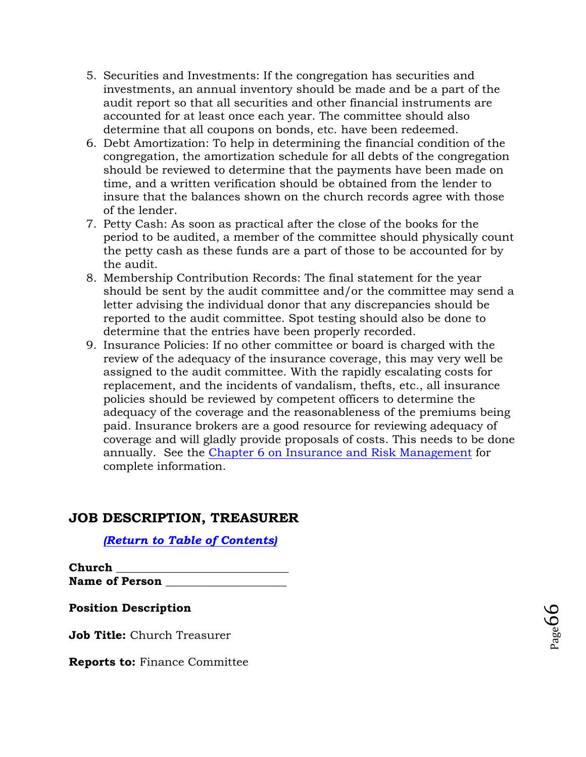- 5. Securities and Investments: If the congregation has securities and investments, an annual inventory should be made and be a part of the audit report so that all securities and other financial instruments are accounted for at least once each year. The committee should also determine that all coupons on bonds, etc. have been redeemed.
- 6. Debt Amortization: To help in determining the financial condition of the congregation, the amortization schedule for all debts of the congregation should be reviewed to determine that the payments have been made on time, and a written verification should be obtained from the lender to insure that the balances shown on the church records agree with those of the lender.
- 7. Petty Cash: As soon as practical after the close of the books for the period to be audited, a member of the committee should physically count the petty cash as these funds are a part of those to be accounted for by the audit.
- 8. Membership Contribution Records: The final statement for the year should be sent by the audit committee and/or the committee may send a letter advising the individual donor that any discrepancies should be reported to the audit committee. Spot testing should also be done to determine that the entries have been properly recorded.
- 9. Insurance Policies: If no other committee or board is charged with the review of the adequacy of the insurance coverage, this may very well be assigned to the audit committee. With the rapidly escalating costs for replacement, and the incidents of vandalism, thefts, etc., all insurance policies should be reviewed by competent officers to determine the adequacy of the coverage and the reasonableness of the premiums being paid. Insurance brokers are a good resource for reviewing adequacy of coverage and will gladly provide proposals of costs. This needs to be done annually. See the [Chapter 6 on Insurance and Risk Management](#page-40-0) for complete information.

## **JOB DESCRIPTION, TREASURER**

## *[\(Return to Table of Contents\)](#page-1-0)*

**Church \_\_\_\_\_\_\_\_\_\_\_\_\_\_\_\_\_\_\_\_\_\_\_\_\_\_\_\_\_\_**  Name of Person

## <span id="page-65-0"></span>**Position Description**

**Job Title:** Church Treasurer

**Reports to:** Finance Committee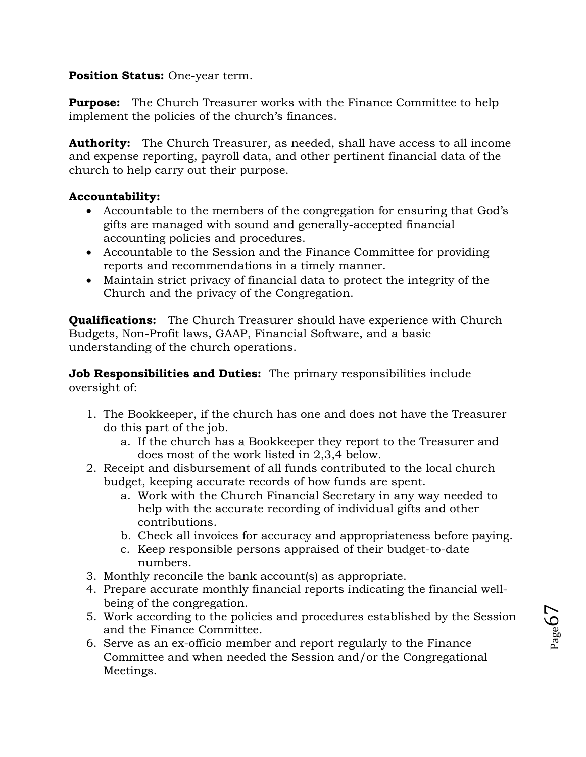## **Position Status:** One-year term.

**Purpose:** The Church Treasurer works with the Finance Committee to help implement the policies of the church's finances.

**Authority:** The Church Treasurer, as needed, shall have access to all income and expense reporting, payroll data, and other pertinent financial data of the church to help carry out their purpose.

## **Accountability:**

- Accountable to the members of the congregation for ensuring that God's gifts are managed with sound and generally-accepted financial accounting policies and procedures.
- Accountable to the Session and the Finance Committee for providing reports and recommendations in a timely manner.
- Maintain strict privacy of financial data to protect the integrity of the Church and the privacy of the Congregation.

**Qualifications:** The Church Treasurer should have experience with Church Budgets, Non-Profit laws, GAAP, Financial Software, and a basic understanding of the church operations.

**Job Responsibilities and Duties:** The primary responsibilities include oversight of:

- 1. The Bookkeeper, if the church has one and does not have the Treasurer do this part of the job.
	- a. If the church has a Bookkeeper they report to the Treasurer and does most of the work listed in 2,3,4 below.
- 2. Receipt and disbursement of all funds contributed to the local church budget, keeping accurate records of how funds are spent.
	- a. Work with the Church Financial Secretary in any way needed to help with the accurate recording of individual gifts and other contributions.
	- b. Check all invoices for accuracy and appropriateness before paying.
	- c. Keep responsible persons appraised of their budget-to-date numbers.
- 3. Monthly reconcile the bank account(s) as appropriate.
- 4. Prepare accurate monthly financial reports indicating the financial wellbeing of the congregation.
- 5. Work according to the policies and procedures established by the Session and the Finance Committee.
- 6. Serve as an ex-officio member and report regularly to the Finance Committee and when needed the Session and/or the Congregational Meetings.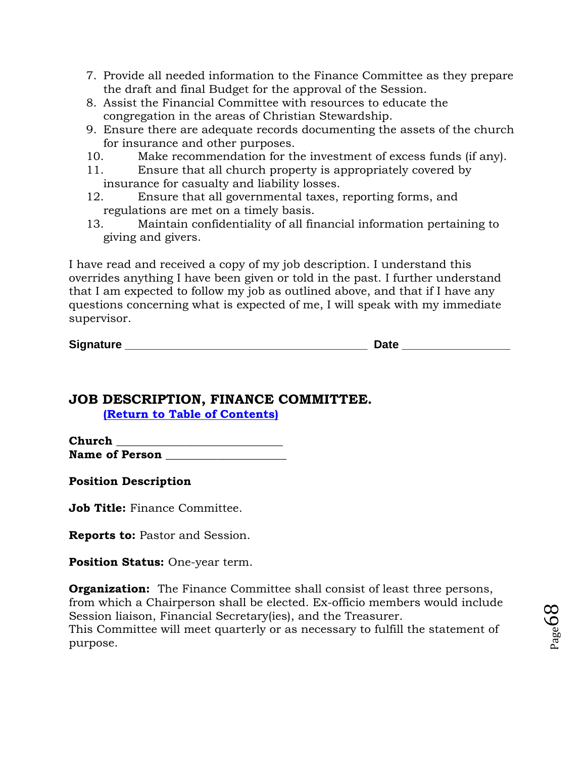- 7. Provide all needed information to the Finance Committee as they prepare the draft and final Budget for the approval of the Session.
- 8. Assist the Financial Committee with resources to educate the congregation in the areas of Christian Stewardship.
- 9. Ensure there are adequate records documenting the assets of the church for insurance and other purposes.
- 10. Make recommendation for the investment of excess funds (if any).
- 11. Ensure that all church property is appropriately covered by insurance for casualty and liability losses.
- 12. Ensure that all governmental taxes, reporting forms, and regulations are met on a timely basis.
- 13. Maintain confidentiality of all financial information pertaining to giving and givers.

I have read and received a copy of my job description. I understand this overrides anything I have been given or told in the past. I further understand that I am expected to follow my job as outlined above, and that if I have any questions concerning what is expected of me, I will speak with my immediate supervisor.

 $\blacksquare$  Date  $\blacksquare$ 

## <span id="page-67-0"></span>**JOB DESCRIPTION, FINANCE COMMITTEE. [\(Return to Table of Contents\)](#page-1-0)**

**Church \_\_\_\_\_\_\_\_\_\_\_\_\_\_\_\_\_\_\_\_\_\_\_\_\_\_\_\_\_**  Name of Person

**Position Description** 

**Job Title:** Finance Committee.

**Reports to:** Pastor and Session.

**Position Status:** One-year term.

**Organization:** The Finance Committee shall consist of least three persons, from which a Chairperson shall be elected. Ex-officio members would include Session liaison, Financial Secretary(ies), and the Treasurer. This Committee will meet quarterly or as necessary to fulfill the statement of purpose.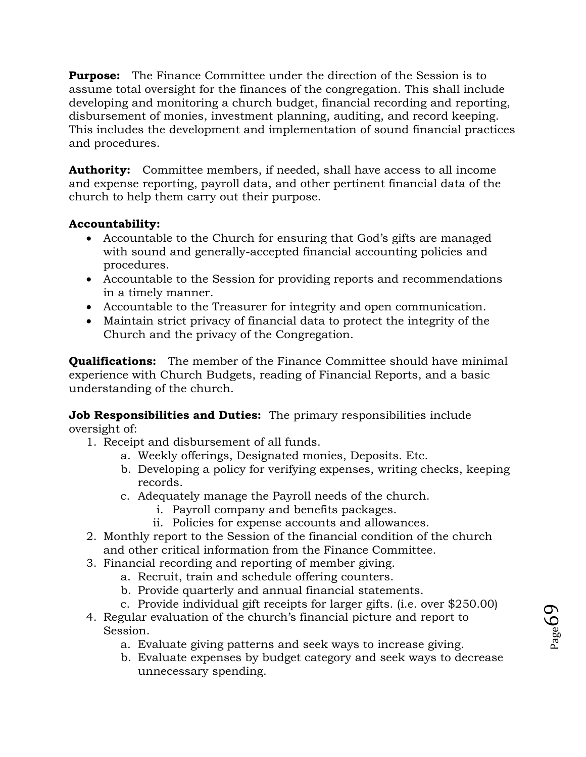**Purpose:** The Finance Committee under the direction of the Session is to assume total oversight for the finances of the congregation. This shall include developing and monitoring a church budget, financial recording and reporting, disbursement of monies, investment planning, auditing, and record keeping. This includes the development and implementation of sound financial practices and procedures.

**Authority:** Committee members, if needed, shall have access to all income and expense reporting, payroll data, and other pertinent financial data of the church to help them carry out their purpose.

## **Accountability:**

- Accountable to the Church for ensuring that God's gifts are managed with sound and generally-accepted financial accounting policies and procedures.
- Accountable to the Session for providing reports and recommendations in a timely manner.
- Accountable to the Treasurer for integrity and open communication.
- Maintain strict privacy of financial data to protect the integrity of the Church and the privacy of the Congregation.

**Qualifications:** The member of the Finance Committee should have minimal experience with Church Budgets, reading of Financial Reports, and a basic understanding of the church.

**Job Responsibilities and Duties:** The primary responsibilities include oversight of:

- 1. Receipt and disbursement of all funds.
	- a. Weekly offerings, Designated monies, Deposits. Etc.
	- b. Developing a policy for verifying expenses, writing checks, keeping records.
	- c. Adequately manage the Payroll needs of the church.
		- i. Payroll company and benefits packages.
		- ii. Policies for expense accounts and allowances.
- 2. Monthly report to the Session of the financial condition of the church and other critical information from the Finance Committee.
- 3. Financial recording and reporting of member giving.
	- a. Recruit, train and schedule offering counters.
	- b. Provide quarterly and annual financial statements.
	- c. Provide individual gift receipts for larger gifts. (i.e. over \$250.00)
- 4. Regular evaluation of the church's financial picture and report to Session.
	- a. Evaluate giving patterns and seek ways to increase giving.
	- b. Evaluate expenses by budget category and seek ways to decrease unnecessary spending.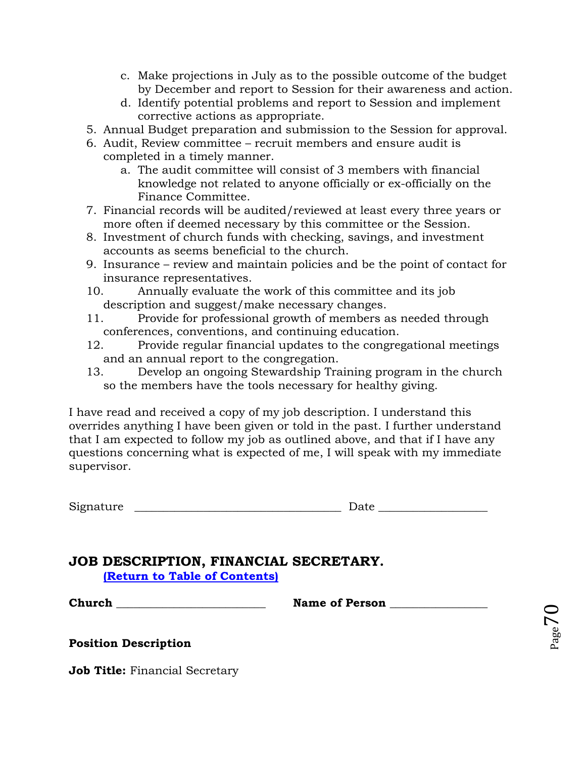- c. Make projections in July as to the possible outcome of the budget by December and report to Session for their awareness and action.
- d. Identify potential problems and report to Session and implement corrective actions as appropriate.
- 5. Annual Budget preparation and submission to the Session for approval.
- 6. Audit, Review committee recruit members and ensure audit is completed in a timely manner.
	- a. The audit committee will consist of 3 members with financial knowledge not related to anyone officially or ex-officially on the Finance Committee.
- 7. Financial records will be audited/reviewed at least every three years or more often if deemed necessary by this committee or the Session.
- 8. Investment of church funds with checking, savings, and investment accounts as seems beneficial to the church.
- 9. Insurance review and maintain policies and be the point of contact for insurance representatives.
- 10. Annually evaluate the work of this committee and its job description and suggest/make necessary changes.
- 11. Provide for professional growth of members as needed through conferences, conventions, and continuing education.
- 12. Provide regular financial updates to the congregational meetings and an annual report to the congregation.
- 13. Develop an ongoing Stewardship Training program in the church so the members have the tools necessary for healthy giving.

I have read and received a copy of my job description. I understand this overrides anything I have been given or told in the past. I further understand that I am expected to follow my job as outlined above, and that if I have any questions concerning what is expected of me, I will speak with my immediate supervisor.

 $Signature$   $\qquad \qquad$ 

| Date |
|------|
|------|

## <span id="page-69-0"></span>**JOB DESCRIPTION, FINANCIAL SECRETARY. [\(Return to Table of Contents\)](#page-1-0)**

**Church \_\_\_\_\_\_\_\_\_\_\_\_\_\_\_\_\_\_\_\_\_\_\_\_\_\_ Name of Person \_\_\_\_\_\_\_\_\_\_\_\_\_\_\_\_\_**

**Position Description** 

**Job Title:** Financial Secretary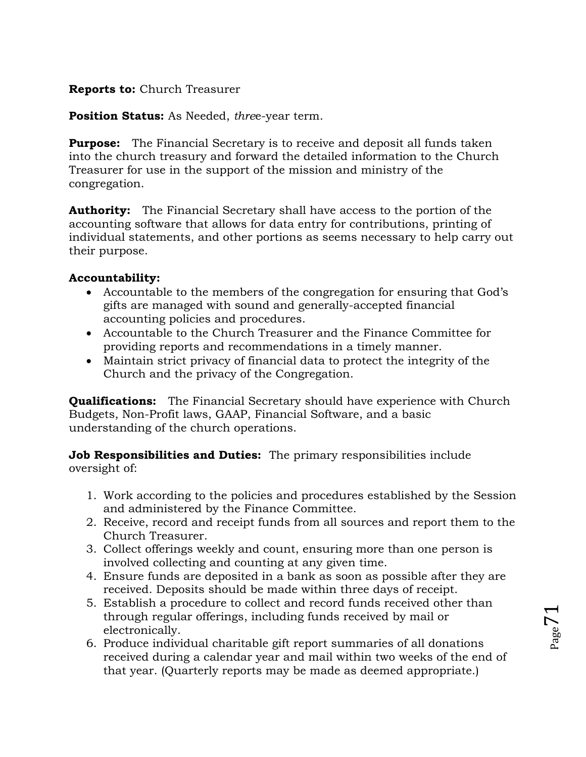## **Reports to:** Church Treasurer

**Position Status:** As Needed, *thre*e-year term.

**Purpose:** The Financial Secretary is to receive and deposit all funds taken into the church treasury and forward the detailed information to the Church Treasurer for use in the support of the mission and ministry of the congregation.

**Authority:** The Financial Secretary shall have access to the portion of the accounting software that allows for data entry for contributions, printing of individual statements, and other portions as seems necessary to help carry out their purpose.

## **Accountability:**

- Accountable to the members of the congregation for ensuring that God's gifts are managed with sound and generally-accepted financial accounting policies and procedures.
- Accountable to the Church Treasurer and the Finance Committee for providing reports and recommendations in a timely manner.
- Maintain strict privacy of financial data to protect the integrity of the Church and the privacy of the Congregation.

**Qualifications:** The Financial Secretary should have experience with Church Budgets, Non-Profit laws, GAAP, Financial Software, and a basic understanding of the church operations.

**Job Responsibilities and Duties:** The primary responsibilities include oversight of:

- 1. Work according to the policies and procedures established by the Session and administered by the Finance Committee.
- 2. Receive, record and receipt funds from all sources and report them to the Church Treasurer.
- 3. Collect offerings weekly and count, ensuring more than one person is involved collecting and counting at any given time.
- 4. Ensure funds are deposited in a bank as soon as possible after they are received. Deposits should be made within three days of receipt.
- 5. Establish a procedure to collect and record funds received other than through regular offerings, including funds received by mail or electronically.
- 6. Produce individual charitable gift report summaries of all donations received during a calendar year and mail within two weeks of the end of that year. (Quarterly reports may be made as deemed appropriate.)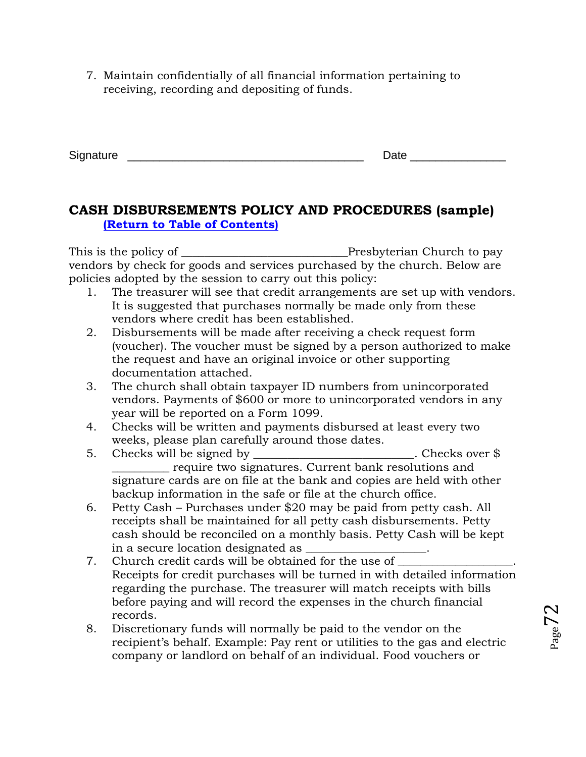7. Maintain confidentially of all financial information pertaining to receiving, recording and depositing of funds.

| Signature<br>×. | ---- |
|-----------------|------|
|                 |      |

## <span id="page-71-0"></span>**CASH DISBURSEMENTS POLICY AND PROCEDURES (sample) [\(Return to Table of Contents\)](#page-1-0)**

This is the policy of \_\_\_\_\_\_\_\_\_\_\_\_\_\_\_\_\_\_\_\_\_\_\_\_\_\_\_\_\_Presbyterian Church to pay vendors by check for goods and services purchased by the church. Below are policies adopted by the session to carry out this policy:

- 1. The treasurer will see that credit arrangements are set up with vendors. It is suggested that purchases normally be made only from these vendors where credit has been established.
- 2. Disbursements will be made after receiving a check request form (voucher). The voucher must be signed by a person authorized to make the request and have an original invoice or other supporting documentation attached.
- 3. The church shall obtain taxpayer ID numbers from unincorporated vendors. Payments of \$600 or more to unincorporated vendors in any year will be reported on a Form 1099.
- 4. Checks will be written and payments disbursed at least every two weeks, please plan carefully around those dates.
- 5. Checks will be signed by Checks over \$ \_\_\_\_\_\_\_\_\_\_ require two signatures. Current bank resolutions and signature cards are on file at the bank and copies are held with other backup information in the safe or file at the church office.
- 6. Petty Cash Purchases under \$20 may be paid from petty cash. All receipts shall be maintained for all petty cash disbursements. Petty cash should be reconciled on a monthly basis. Petty Cash will be kept in a secure location designated as
- 7. Church credit cards will be obtained for the use of Receipts for credit purchases will be turned in with detailed information regarding the purchase. The treasurer will match receipts with bills before paying and will record the expenses in the church financial records.
- 8. Discretionary funds will normally be paid to the vendor on the recipient's behalf. Example: Pay rent or utilities to the gas and electric company or landlord on behalf of an individual. Food vouchers or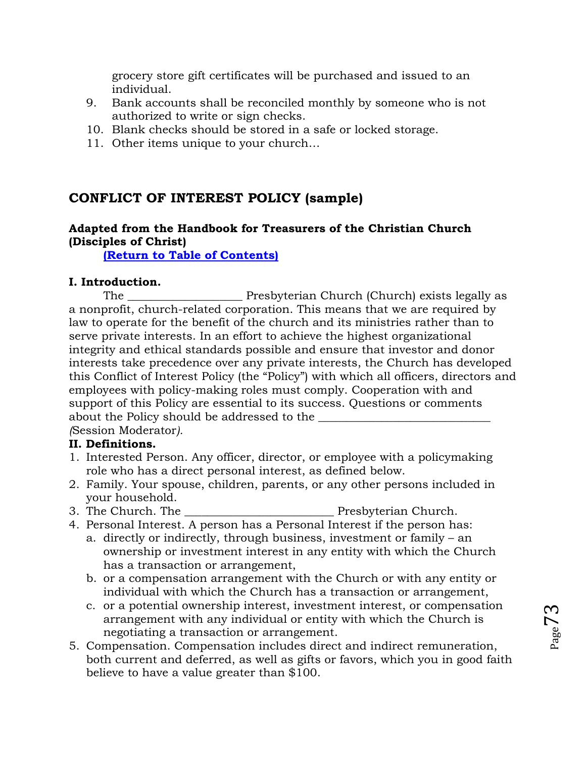grocery store gift certificates will be purchased and issued to an individual.

- 9. Bank accounts shall be reconciled monthly by someone who is not authorized to write or sign checks.
- 10. Blank checks should be stored in a safe or locked storage.
- 11. Other items unique to your church…

# **CONFLICT OF INTEREST POLICY (sample)**

## **Adapted from the Handbook for Treasurers of the Christian Church (Disciples of Christ)**

**[\(Return to Table of Contents\)](#page-1-0)**

## **I. Introduction.**

The The Presbyterian Church (Church) exists legally as a nonprofit, church-related corporation. This means that we are required by law to operate for the benefit of the church and its ministries rather than to serve private interests. In an effort to achieve the highest organizational integrity and ethical standards possible and ensure that investor and donor interests take precedence over any private interests, the Church has developed this Conflict of Interest Policy (the "Policy") with which all officers, directors and employees with policy-making roles must comply. Cooperation with and support of this Policy are essential to its success. Questions or comments about the Policy should be addressed to the \_\_\_\_\_\_\_\_\_\_\_\_\_\_\_\_\_\_\_\_\_\_\_\_\_\_\_\_\_\_

*(*Session Moderator*).*

## **II. Definitions.**

- 1. Interested Person. Any officer, director, or employee with a policymaking role who has a direct personal interest, as defined below.
- 2. Family. Your spouse, children, parents, or any other persons included in your household.
- 3. The Church. The **Example 2.** Presbyterian Church.
- 4. Personal Interest. A person has a Personal Interest if the person has:
	- a. directly or indirectly, through business, investment or family an ownership or investment interest in any entity with which the Church has a transaction or arrangement,
	- b. or a compensation arrangement with the Church or with any entity or individual with which the Church has a transaction or arrangement,
	- c. or a potential ownership interest, investment interest, or compensation arrangement with any individual or entity with which the Church is negotiating a transaction or arrangement.
- 5. Compensation. Compensation includes direct and indirect remuneration, both current and deferred, as well as gifts or favors, which you in good faith believe to have a value greater than \$100.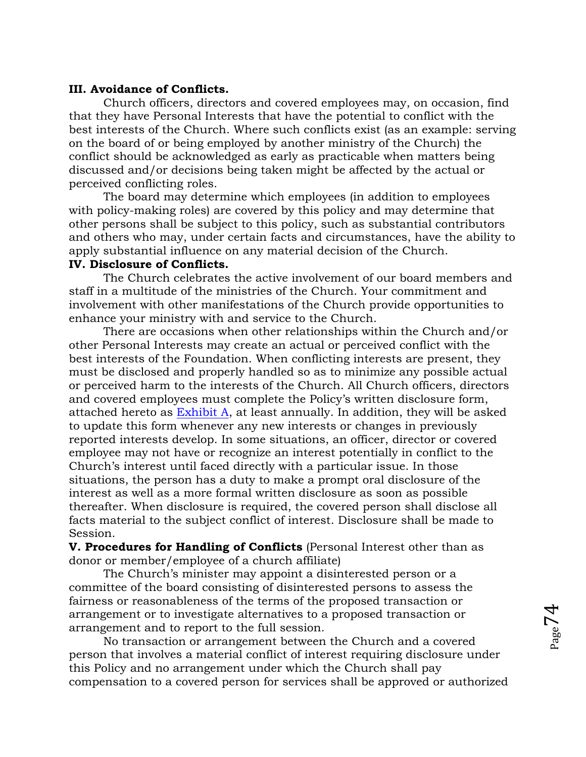#### **III. Avoidance of Conflicts.**

Church officers, directors and covered employees may, on occasion, find that they have Personal Interests that have the potential to conflict with the best interests of the Church. Where such conflicts exist (as an example: serving on the board of or being employed by another ministry of the Church) the conflict should be acknowledged as early as practicable when matters being discussed and/or decisions being taken might be affected by the actual or perceived conflicting roles.

The board may determine which employees (in addition to employees with policy-making roles) are covered by this policy and may determine that other persons shall be subject to this policy, such as substantial contributors and others who may, under certain facts and circumstances, have the ability to apply substantial influence on any material decision of the Church.

## **IV. Disclosure of Conflicts.**

The Church celebrates the active involvement of our board members and staff in a multitude of the ministries of the Church. Your commitment and involvement with other manifestations of the Church provide opportunities to enhance your ministry with and service to the Church.

There are occasions when other relationships within the Church and/or other Personal Interests may create an actual or perceived conflict with the best interests of the Foundation. When conflicting interests are present, they must be disclosed and properly handled so as to minimize any possible actual or perceived harm to the interests of the Church. All Church officers, directors and covered employees must complete the Policy's written disclosure form, attached hereto as [Exhibit A,](#page-75-0) at least annually. In addition, they will be asked to update this form whenever any new interests or changes in previously reported interests develop. In some situations, an officer, director or covered employee may not have or recognize an interest potentially in conflict to the Church's interest until faced directly with a particular issue. In those situations, the person has a duty to make a prompt oral disclosure of the interest as well as a more formal written disclosure as soon as possible thereafter. When disclosure is required, the covered person shall disclose all facts material to the subject conflict of interest. Disclosure shall be made to Session.

**V. Procedures for Handling of Conflicts** (Personal Interest other than as donor or member/employee of a church affiliate)

The Church's minister may appoint a disinterested person or a committee of the board consisting of disinterested persons to assess the fairness or reasonableness of the terms of the proposed transaction or arrangement or to investigate alternatives to a proposed transaction or arrangement and to report to the full session.

No transaction or arrangement between the Church and a covered person that involves a material conflict of interest requiring disclosure under this Policy and no arrangement under which the Church shall pay compensation to a covered person for services shall be approved or authorized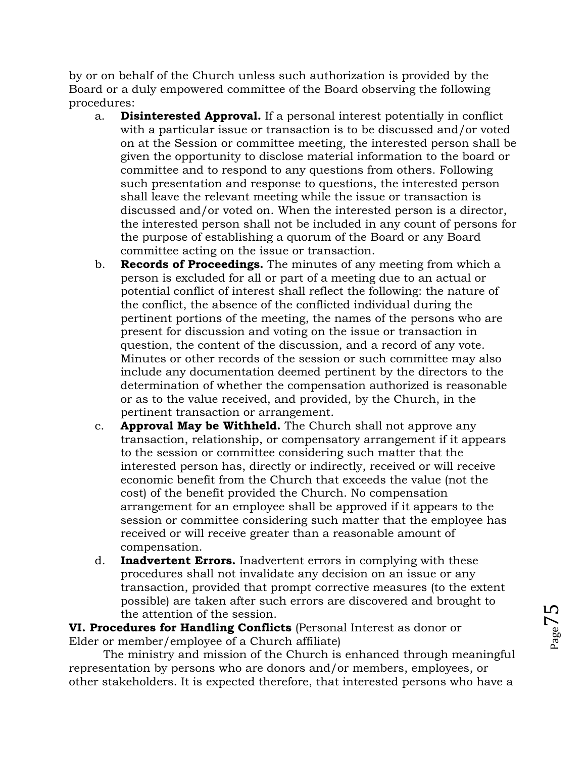by or on behalf of the Church unless such authorization is provided by the Board or a duly empowered committee of the Board observing the following procedures:

- a. **Disinterested Approval.** If a personal interest potentially in conflict with a particular issue or transaction is to be discussed and/or voted on at the Session or committee meeting, the interested person shall be given the opportunity to disclose material information to the board or committee and to respond to any questions from others. Following such presentation and response to questions, the interested person shall leave the relevant meeting while the issue or transaction is discussed and/or voted on. When the interested person is a director, the interested person shall not be included in any count of persons for the purpose of establishing a quorum of the Board or any Board committee acting on the issue or transaction.
- b. **Records of Proceedings.** The minutes of any meeting from which a person is excluded for all or part of a meeting due to an actual or potential conflict of interest shall reflect the following: the nature of the conflict, the absence of the conflicted individual during the pertinent portions of the meeting, the names of the persons who are present for discussion and voting on the issue or transaction in question, the content of the discussion, and a record of any vote. Minutes or other records of the session or such committee may also include any documentation deemed pertinent by the directors to the determination of whether the compensation authorized is reasonable or as to the value received, and provided, by the Church, in the pertinent transaction or arrangement.
- c. **Approval May be Withheld.** The Church shall not approve any transaction, relationship, or compensatory arrangement if it appears to the session or committee considering such matter that the interested person has, directly or indirectly, received or will receive economic benefit from the Church that exceeds the value (not the cost) of the benefit provided the Church. No compensation arrangement for an employee shall be approved if it appears to the session or committee considering such matter that the employee has received or will receive greater than a reasonable amount of compensation.
- d. **Inadvertent Errors.** Inadvertent errors in complying with these procedures shall not invalidate any decision on an issue or any transaction, provided that prompt corrective measures (to the extent possible) are taken after such errors are discovered and brought to the attention of the session.

**VI. Procedures for Handling Conflicts** (Personal Interest as donor or Elder or member/employee of a Church affiliate)

The ministry and mission of the Church is enhanced through meaningful representation by persons who are donors and/or members, employees, or other stakeholders. It is expected therefore, that interested persons who have a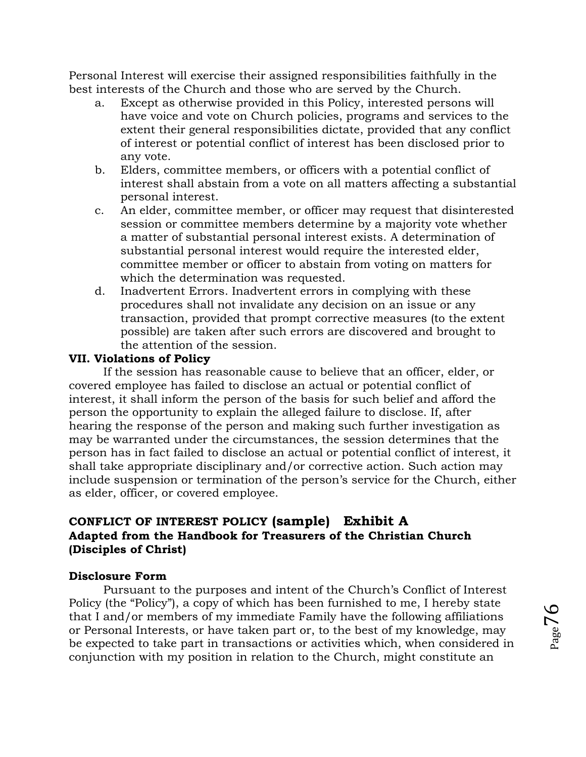Personal Interest will exercise their assigned responsibilities faithfully in the best interests of the Church and those who are served by the Church.

- a. Except as otherwise provided in this Policy, interested persons will have voice and vote on Church policies, programs and services to the extent their general responsibilities dictate, provided that any conflict of interest or potential conflict of interest has been disclosed prior to any vote.
- b. Elders, committee members, or officers with a potential conflict of interest shall abstain from a vote on all matters affecting a substantial personal interest.
- c. An elder, committee member, or officer may request that disinterested session or committee members determine by a majority vote whether a matter of substantial personal interest exists. A determination of substantial personal interest would require the interested elder, committee member or officer to abstain from voting on matters for which the determination was requested.
- d. Inadvertent Errors. Inadvertent errors in complying with these procedures shall not invalidate any decision on an issue or any transaction, provided that prompt corrective measures (to the extent possible) are taken after such errors are discovered and brought to the attention of the session.

## **VII. Violations of Policy**

If the session has reasonable cause to believe that an officer, elder, or covered employee has failed to disclose an actual or potential conflict of interest, it shall inform the person of the basis for such belief and afford the person the opportunity to explain the alleged failure to disclose. If, after hearing the response of the person and making such further investigation as may be warranted under the circumstances, the session determines that the person has in fact failed to disclose an actual or potential conflict of interest, it shall take appropriate disciplinary and/or corrective action. Such action may include suspension or termination of the person's service for the Church, either as elder, officer, or covered employee.

# <span id="page-75-0"></span>**CONFLICT OF INTEREST POLICY (sample) Exhibit A Adapted from the Handbook for Treasurers of the Christian Church (Disciples of Christ)**

## **Disclosure Form**

Pursuant to the purposes and intent of the Church's Conflict of Interest Policy (the "Policy"), a copy of which has been furnished to me, I hereby state that I and/or members of my immediate Family have the following affiliations or Personal Interests, or have taken part or, to the best of my knowledge, may be expected to take part in transactions or activities which, when considered in conjunction with my position in relation to the Church, might constitute an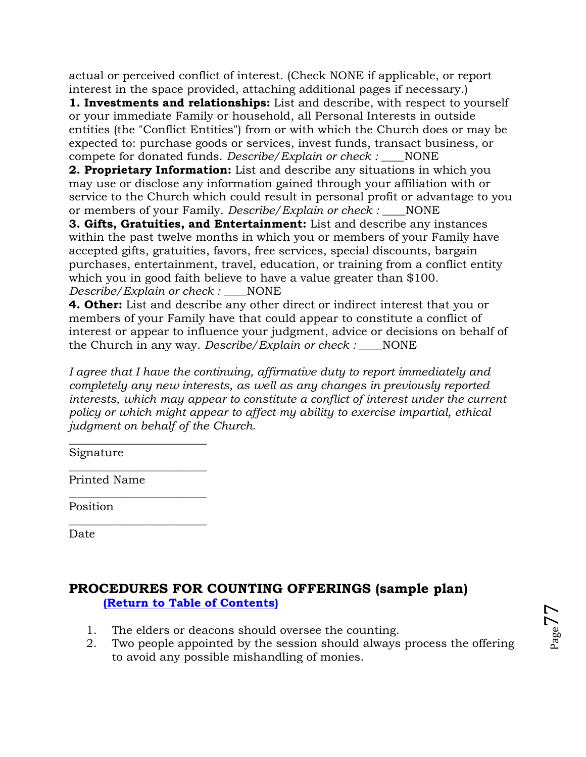actual or perceived conflict of interest. (Check NONE if applicable, or report interest in the space provided, attaching additional pages if necessary.)

**1. Investments and relationships:** List and describe, with respect to yourself or your immediate Family or household, all Personal Interests in outside entities (the "Conflict Entities") from or with which the Church does or may be expected to: purchase goods or services, invest funds, transact business, or compete for donated funds. *Describe/Explain or check :* \_\_\_\_NONE

**2. Proprietary Information:** List and describe any situations in which you may use or disclose any information gained through your affiliation with or service to the Church which could result in personal profit or advantage to you or members of your Family. *Describe/Explain or check :* NONE

**3. Gifts, Gratuities, and Entertainment:** List and describe any instances within the past twelve months in which you or members of your Family have accepted gifts, gratuities, favors, free services, special discounts, bargain purchases, entertainment, travel, education, or training from a conflict entity which you in good faith believe to have a value greater than \$100. *Describe/Explain or check :* \_\_\_\_NONE

**4. Other:** List and describe any other direct or indirect interest that you or members of your Family have that could appear to constitute a conflict of interest or appear to influence your judgment, advice or decisions on behalf of the Church in any way. *Describe/Explain or check :* \_\_\_\_NONE

*I agree that I have the continuing, affirmative duty to report immediately and completely any new interests, as well as any changes in previously reported interests, which may appear to constitute a conflict of interest under the current policy or which might appear to affect my ability to exercise impartial, ethical judgment on behalf of the Church*.

Signature

Printed Name

\_\_\_\_\_\_\_\_\_\_\_\_\_\_\_\_\_\_\_\_\_\_\_\_

 $\overline{\phantom{a}}$  , where  $\overline{\phantom{a}}$  , where  $\overline{\phantom{a}}$  , where  $\overline{\phantom{a}}$ 

\_\_\_\_\_\_\_\_\_\_\_\_\_\_\_\_\_\_\_\_\_\_\_\_

 $\overline{\phantom{a}}$  , where  $\overline{\phantom{a}}$  , where  $\overline{\phantom{a}}$  , where  $\overline{\phantom{a}}$ 

Position

Date

# **PROCEDURES FOR COUNTING OFFERINGS (sample plan) [\(Return to Table of Contents\)](#page-1-0)**

- 1. The elders or deacons should oversee the counting.
- 2. Two people appointed by the session should always process the offering to avoid any possible mishandling of monies.

 $_{\rm Page}$ 77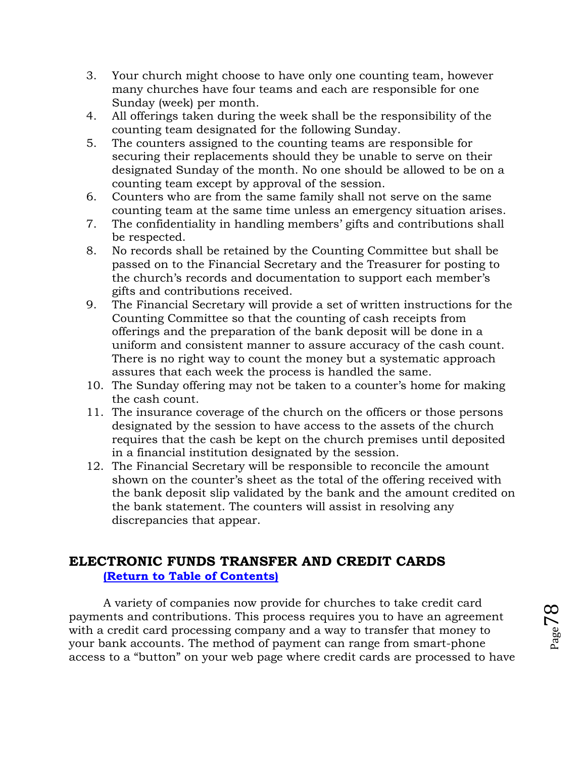- 3. Your church might choose to have only one counting team, however many churches have four teams and each are responsible for one Sunday (week) per month.
- 4. All offerings taken during the week shall be the responsibility of the counting team designated for the following Sunday.
- 5. The counters assigned to the counting teams are responsible for securing their replacements should they be unable to serve on their designated Sunday of the month. No one should be allowed to be on a counting team except by approval of the session.
- 6. Counters who are from the same family shall not serve on the same counting team at the same time unless an emergency situation arises.
- 7. The confidentiality in handling members' gifts and contributions shall be respected.
- 8. No records shall be retained by the Counting Committee but shall be passed on to the Financial Secretary and the Treasurer for posting to the church's records and documentation to support each member's gifts and contributions received.
- 9. The Financial Secretary will provide a set of written instructions for the Counting Committee so that the counting of cash receipts from offerings and the preparation of the bank deposit will be done in a uniform and consistent manner to assure accuracy of the cash count. There is no right way to count the money but a systematic approach assures that each week the process is handled the same.
- 10. The Sunday offering may not be taken to a counter's home for making the cash count.
- 11. The insurance coverage of the church on the officers or those persons designated by the session to have access to the assets of the church requires that the cash be kept on the church premises until deposited in a financial institution designated by the session.
- 12. The Financial Secretary will be responsible to reconcile the amount shown on the counter's sheet as the total of the offering received with the bank deposit slip validated by the bank and the amount credited on the bank statement. The counters will assist in resolving any discrepancies that appear.

# **ELECTRONIC FUNDS TRANSFER AND CREDIT CARDS [\(Return to Table of Contents\)](#page-1-0)**

A variety of companies now provide for churches to take credit card payments and contributions. This process requires you to have an agreement with a credit card processing company and a way to transfer that money to your bank accounts. The method of payment can range from smart-phone access to a "button" on your web page where credit cards are processed to have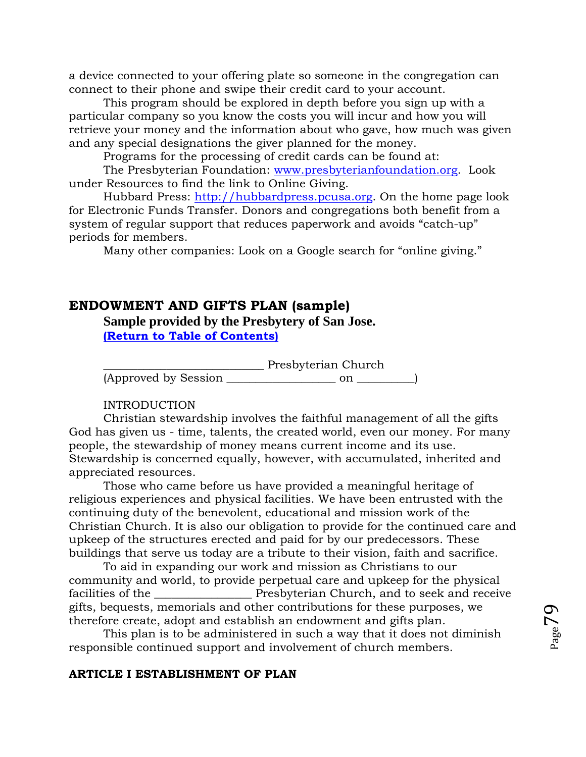a device connected to your offering plate so someone in the congregation can connect to their phone and swipe their credit card to your account.

This program should be explored in depth before you sign up with a particular company so you know the costs you will incur and how you will retrieve your money and the information about who gave, how much was given and any special designations the giver planned for the money.

Programs for the processing of credit cards can be found at:

The Presbyterian Foundation: [www.presbyterianfoundation.org.](http://www.presbyterianfoundation.org/) Look under Resources to find the link to Online Giving.

Hubbard Press: [http://hubbardpress.pcusa.org.](http://hubbardpress.pcusa.org/) On the home page look for Electronic Funds Transfer. Donors and congregations both benefit from a system of regular support that reduces paperwork and avoids "catch-up" periods for members.

Many other companies: Look on a Google search for "online giving."

## **ENDOWMENT AND GIFTS PLAN (sample)**

**Sample provided by the Presbytery of San Jose.**

**[\(Return to Table of Contents\)](#page-1-0)**

\_\_\_\_\_\_\_\_\_\_\_\_\_\_\_\_\_\_\_\_\_\_\_\_\_\_\_\_ Presbyterian Church  $(Approved by Session _______$  on  $_______$ 

#### INTRODUCTION

Christian stewardship involves the faithful management of all the gifts God has given us - time, talents, the created world, even our money. For many people, the stewardship of money means current income and its use. Stewardship is concerned equally, however, with accumulated, inherited and appreciated resources.

Those who came before us have provided a meaningful heritage of religious experiences and physical facilities. We have been entrusted with the continuing duty of the benevolent, educational and mission work of the Christian Church. It is also our obligation to provide for the continued care and upkeep of the structures erected and paid for by our predecessors. These buildings that serve us today are a tribute to their vision, faith and sacrifice.

To aid in expanding our work and mission as Christians to our community and world, to provide perpetual care and upkeep for the physical facilities of the <u>netallicities</u> of the netallicities of the netallicities of the netallicities  $P$  resolve trian Church, and to seek and receive gifts, bequests, memorials and other contributions for these purposes, we therefore create, adopt and establish an endowment and gifts plan.

This plan is to be administered in such a way that it does not diminish responsible continued support and involvement of church members.

#### **ARTICLE I ESTABLISHMENT OF PLAN**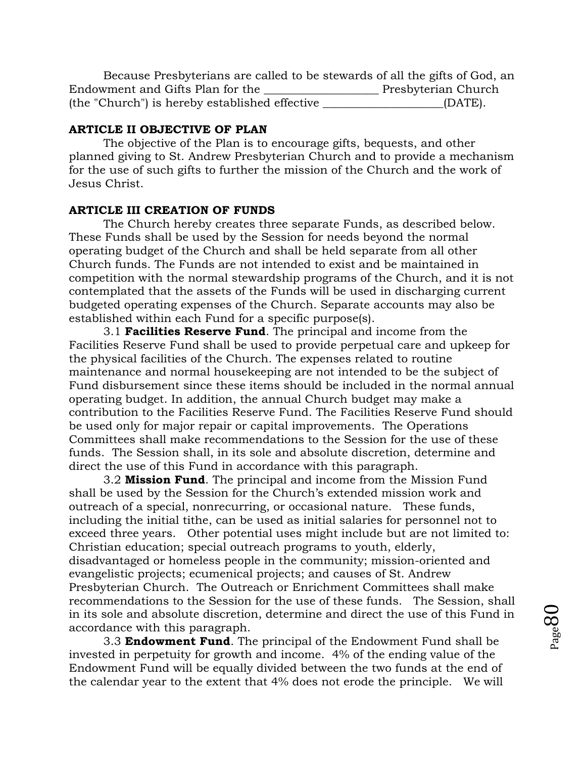Because Presbyterians are called to be stewards of all the gifts of God, an Endowment and Gifts Plan for the **with all and Septerian Church** (the "Church") is hereby established effective \_\_\_\_\_\_\_\_\_\_\_\_\_\_\_\_\_\_\_\_\_(DATE).

#### **ARTICLE II OBJECTIVE OF PLAN**

The objective of the Plan is to encourage gifts, bequests, and other planned giving to St. Andrew Presbyterian Church and to provide a mechanism for the use of such gifts to further the mission of the Church and the work of Jesus Christ.

#### **ARTICLE III CREATION OF FUNDS**

The Church hereby creates three separate Funds, as described below. These Funds shall be used by the Session for needs beyond the normal operating budget of the Church and shall be held separate from all other Church funds. The Funds are not intended to exist and be maintained in competition with the normal stewardship programs of the Church, and it is not contemplated that the assets of the Funds will be used in discharging current budgeted operating expenses of the Church. Separate accounts may also be established within each Fund for a specific purpose(s).

3.1 **Facilities Reserve Fund**. The principal and income from the Facilities Reserve Fund shall be used to provide perpetual care and upkeep for the physical facilities of the Church. The expenses related to routine maintenance and normal housekeeping are not intended to be the subject of Fund disbursement since these items should be included in the normal annual operating budget. In addition, the annual Church budget may make a contribution to the Facilities Reserve Fund. The Facilities Reserve Fund should be used only for major repair or capital improvements. The Operations Committees shall make recommendations to the Session for the use of these funds. The Session shall, in its sole and absolute discretion, determine and direct the use of this Fund in accordance with this paragraph.

3.2 **Mission Fund**. The principal and income from the Mission Fund shall be used by the Session for the Church's extended mission work and outreach of a special, nonrecurring, or occasional nature. These funds, including the initial tithe, can be used as initial salaries for personnel not to exceed three years. Other potential uses might include but are not limited to: Christian education; special outreach programs to youth, elderly, disadvantaged or homeless people in the community; mission-oriented and evangelistic projects; ecumenical projects; and causes of St. Andrew Presbyterian Church. The Outreach or Enrichment Committees shall make recommendations to the Session for the use of these funds. The Session, shall in its sole and absolute discretion, determine and direct the use of this Fund in accordance with this paragraph.

3.3 **Endowment Fund**. The principal of the Endowment Fund shall be invested in perpetuity for growth and income. 4% of the ending value of the Endowment Fund will be equally divided between the two funds at the end of the calendar year to the extent that 4% does not erode the principle. We will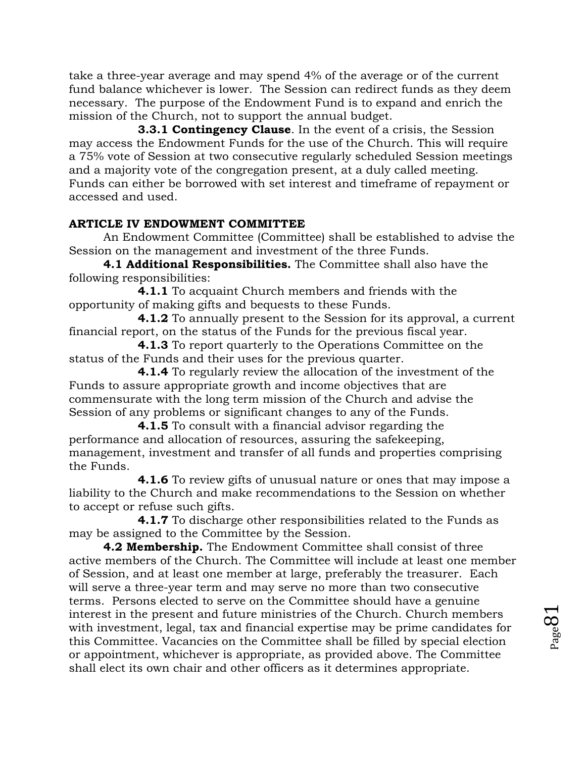take a three-year average and may spend 4% of the average or of the current fund balance whichever is lower. The Session can redirect funds as they deem necessary. The purpose of the Endowment Fund is to expand and enrich the mission of the Church, not to support the annual budget.

**3.3.1 Contingency Clause**. In the event of a crisis, the Session may access the Endowment Funds for the use of the Church. This will require a 75% vote of Session at two consecutive regularly scheduled Session meetings and a majority vote of the congregation present, at a duly called meeting. Funds can either be borrowed with set interest and timeframe of repayment or accessed and used.

## **ARTICLE IV ENDOWMENT COMMITTEE**

An Endowment Committee (Committee) shall be established to advise the Session on the management and investment of the three Funds.

**4.1 Additional Responsibilities.** The Committee shall also have the following responsibilities:

**4.1.1** To acquaint Church members and friends with the opportunity of making gifts and bequests to these Funds.

**4.1.2** To annually present to the Session for its approval, a current financial report, on the status of the Funds for the previous fiscal year.

**4.1.3** To report quarterly to the Operations Committee on the status of the Funds and their uses for the previous quarter.

**4.1.4** To regularly review the allocation of the investment of the Funds to assure appropriate growth and income objectives that are commensurate with the long term mission of the Church and advise the Session of any problems or significant changes to any of the Funds.

**4.1.5** To consult with a financial advisor regarding the performance and allocation of resources, assuring the safekeeping, management, investment and transfer of all funds and properties comprising the Funds.

**4.1.6** To review gifts of unusual nature or ones that may impose a liability to the Church and make recommendations to the Session on whether to accept or refuse such gifts.

**4.1.7** To discharge other responsibilities related to the Funds as may be assigned to the Committee by the Session.

**4.2 Membership.** The Endowment Committee shall consist of three active members of the Church. The Committee will include at least one member of Session, and at least one member at large, preferably the treasurer. Each will serve a three-year term and may serve no more than two consecutive terms. Persons elected to serve on the Committee should have a genuine interest in the present and future ministries of the Church. Church members with investment, legal, tax and financial expertise may be prime candidates for this Committee. Vacancies on the Committee shall be filled by special election or appointment, whichever is appropriate, as provided above. The Committee shall elect its own chair and other officers as it determines appropriate.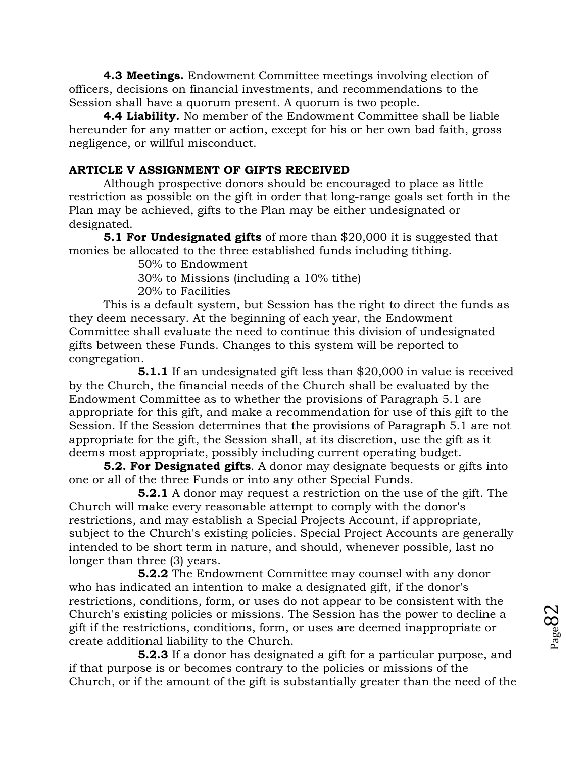**4.3 Meetings.** Endowment Committee meetings involving election of officers, decisions on financial investments, and recommendations to the Session shall have a quorum present. A quorum is two people.

**4.4 Liability.** No member of the Endowment Committee shall be liable hereunder for any matter or action, except for his or her own bad faith, gross negligence, or willful misconduct.

## **ARTICLE V ASSIGNMENT OF GIFTS RECEIVED**

Although prospective donors should be encouraged to place as little restriction as possible on the gift in order that long-range goals set forth in the Plan may be achieved, gifts to the Plan may be either undesignated or designated.

**5.1 For Undesignated gifts** of more than \$20,000 it is suggested that monies be allocated to the three established funds including tithing.

50% to Endowment

30% to Missions (including a 10% tithe)

20% to Facilities

This is a default system, but Session has the right to direct the funds as they deem necessary. At the beginning of each year, the Endowment Committee shall evaluate the need to continue this division of undesignated gifts between these Funds. Changes to this system will be reported to congregation.

**5.1.1** If an undesignated gift less than \$20,000 in value is received by the Church, the financial needs of the Church shall be evaluated by the Endowment Committee as to whether the provisions of Paragraph 5.1 are appropriate for this gift, and make a recommendation for use of this gift to the Session. If the Session determines that the provisions of Paragraph 5.1 are not appropriate for the gift, the Session shall, at its discretion, use the gift as it deems most appropriate, possibly including current operating budget.

**5.2. For Designated gifts**. A donor may designate bequests or gifts into one or all of the three Funds or into any other Special Funds.

**5.2.1** A donor may request a restriction on the use of the gift. The Church will make every reasonable attempt to comply with the donor's restrictions, and may establish a Special Projects Account, if appropriate, subject to the Church's existing policies. Special Project Accounts are generally intended to be short term in nature, and should, whenever possible, last no longer than three (3) years.

**5.2.2** The Endowment Committee may counsel with any donor who has indicated an intention to make a designated gift, if the donor's restrictions, conditions, form, or uses do not appear to be consistent with the Church's existing policies or missions. The Session has the power to decline a gift if the restrictions, conditions, form, or uses are deemed inappropriate or create additional liability to the Church.

**5.2.3** If a donor has designated a gift for a particular purpose, and if that purpose is or becomes contrary to the policies or missions of the Church, or if the amount of the gift is substantially greater than the need of the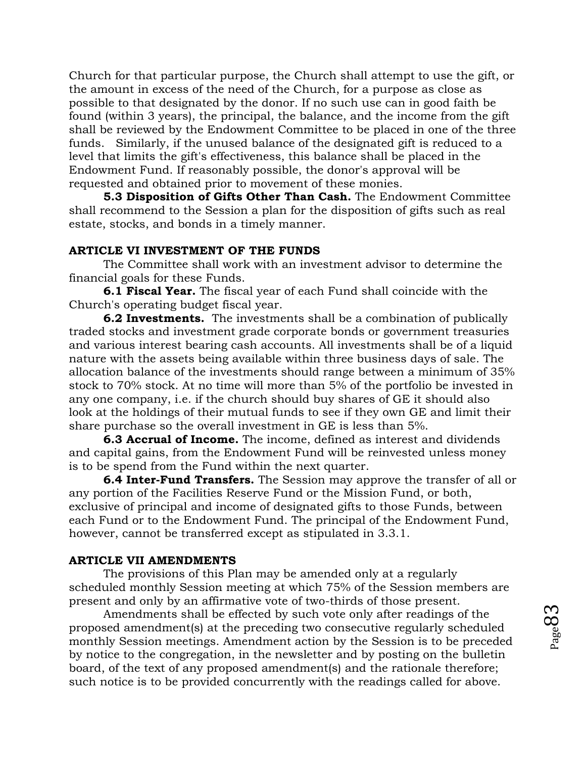Church for that particular purpose, the Church shall attempt to use the gift, or the amount in excess of the need of the Church, for a purpose as close as possible to that designated by the donor. If no such use can in good faith be found (within 3 years), the principal, the balance, and the income from the gift shall be reviewed by the Endowment Committee to be placed in one of the three funds. Similarly, if the unused balance of the designated gift is reduced to a level that limits the gift's effectiveness, this balance shall be placed in the Endowment Fund. If reasonably possible, the donor's approval will be requested and obtained prior to movement of these monies.

**5.3 Disposition of Gifts Other Than Cash.** The Endowment Committee shall recommend to the Session a plan for the disposition of gifts such as real estate, stocks, and bonds in a timely manner.

#### **ARTICLE VI INVESTMENT OF THE FUNDS**

The Committee shall work with an investment advisor to determine the financial goals for these Funds.

**6.1 Fiscal Year.** The fiscal year of each Fund shall coincide with the Church's operating budget fiscal year.

**6.2 Investments.** The investments shall be a combination of publically traded stocks and investment grade corporate bonds or government treasuries and various interest bearing cash accounts. All investments shall be of a liquid nature with the assets being available within three business days of sale. The allocation balance of the investments should range between a minimum of 35% stock to 70% stock. At no time will more than 5% of the portfolio be invested in any one company, i.e. if the church should buy shares of GE it should also look at the holdings of their mutual funds to see if they own GE and limit their share purchase so the overall investment in GE is less than 5%.

**6.3 Accrual of Income.** The income, defined as interest and dividends and capital gains, from the Endowment Fund will be reinvested unless money is to be spend from the Fund within the next quarter.

**6.4 Inter-Fund Transfers.** The Session may approve the transfer of all or any portion of the Facilities Reserve Fund or the Mission Fund, or both, exclusive of principal and income of designated gifts to those Funds, between each Fund or to the Endowment Fund. The principal of the Endowment Fund, however, cannot be transferred except as stipulated in 3.3.1.

#### **ARTICLE VII AMENDMENTS**

The provisions of this Plan may be amended only at a regularly scheduled monthly Session meeting at which 75% of the Session members are present and only by an affirmative vote of two-thirds of those present.

Amendments shall be effected by such vote only after readings of the proposed amendment(s) at the preceding two consecutive regularly scheduled monthly Session meetings. Amendment action by the Session is to be preceded by notice to the congregation, in the newsletter and by posting on the bulletin board, of the text of any proposed amendment(s) and the rationale therefore; such notice is to be provided concurrently with the readings called for above.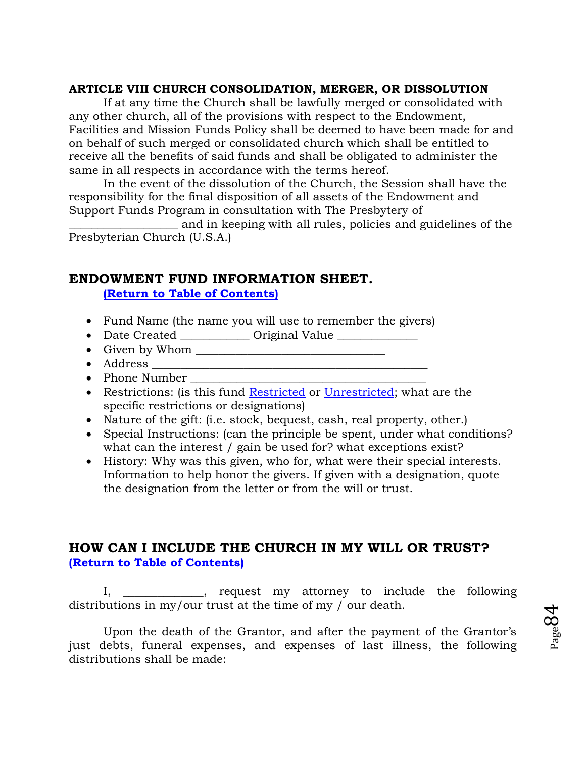#### **ARTICLE VIII CHURCH CONSOLIDATION, MERGER, OR DISSOLUTION**

If at any time the Church shall be lawfully merged or consolidated with any other church, all of the provisions with respect to the Endowment, Facilities and Mission Funds Policy shall be deemed to have been made for and on behalf of such merged or consolidated church which shall be entitled to receive all the benefits of said funds and shall be obligated to administer the same in all respects in accordance with the terms hereof.

In the event of the dissolution of the Church, the Session shall have the responsibility for the final disposition of all assets of the Endowment and Support Funds Program in consultation with The Presbytery of

\_\_\_\_\_\_\_\_\_\_\_\_\_\_\_\_\_\_\_ and in keeping with all rules, policies and guidelines of the Presbyterian Church (U.S.A.)

## **ENDOWMENT FUND INFORMATION SHEET.**

**[\(Return to Table of Contents\)](#page-1-0)**

- Fund Name (the name you will use to remember the givers)
- Date Created \_\_\_\_\_\_\_\_\_\_\_\_ Original Value \_\_\_\_\_\_\_\_\_\_\_\_\_
- Given by Whom
- Address \_\_\_\_\_\_\_\_\_\_\_\_\_\_\_\_\_\_\_\_\_\_\_\_\_\_\_\_\_\_\_\_\_\_\_\_\_\_\_\_\_\_\_\_\_\_\_\_
- Phone Number
- Restrictions: (is this fund [Restricted](#page-28-0) or [Unrestricted;](#page-29-0) what are the specific restrictions or designations)
- Nature of the gift: (i.e. stock, bequest, cash, real property, other.)
- Special Instructions: (can the principle be spent, under what conditions? what can the interest / gain be used for? what exceptions exist?
- History: Why was this given, who for, what were their special interests. Information to help honor the givers. If given with a designation, quote the designation from the letter or from the will or trust.

# **HOW CAN I INCLUDE THE CHURCH IN MY WILL OR TRUST? [\(Return to Table of Contents\)](#page-1-0)**

I, \_\_\_\_\_\_\_\_\_\_\_\_\_\_, request my attorney to include the following distributions in my/our trust at the time of my / our death.

Upon the death of the Grantor, and after the payment of the Grantor's just debts, funeral expenses, and expenses of last illness, the following distributions shall be made:

Page 84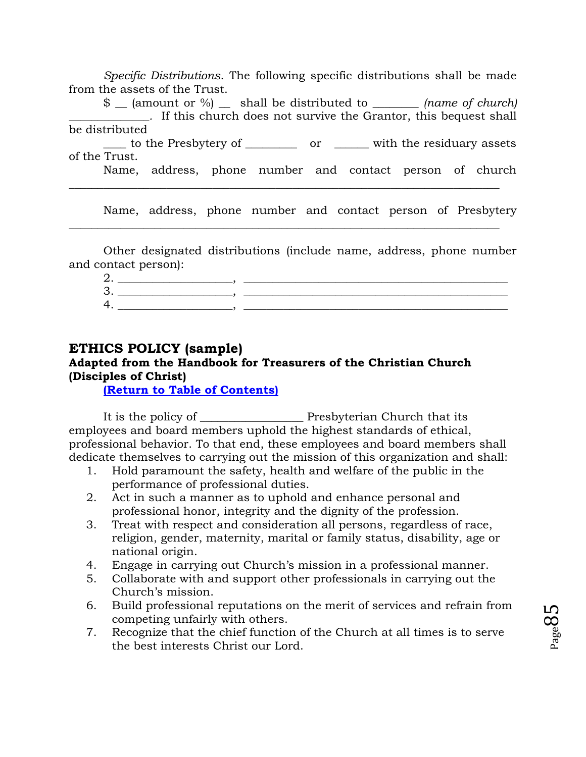*Specific Distributions.* The following specific distributions shall be made from the assets of the Trust.

\$ \_\_ (amount or %) \_\_ shall be distributed to *\_\_\_\_\_\_\_\_ (name of church) \_\_\_\_\_\_\_\_\_\_\_\_\_\_.* If this church does not survive the Grantor, this bequest shall be distributed

\_\_\_\_ to the Presbytery of \_\_\_\_\_\_\_\_\_ or \_\_\_\_\_\_ with the residuary assets of the Trust.

 $\_$  , and the set of the set of the set of the set of the set of the set of the set of the set of the set of the set of the set of the set of the set of the set of the set of the set of the set of the set of the set of th

 $\_$  , and the set of the set of the set of the set of the set of the set of the set of the set of the set of the set of the set of the set of the set of the set of the set of the set of the set of the set of the set of th

Name, address, phone number and contact person of church

Name, address, phone number and contact person of Presbytery

Other designated distributions (include name, address, phone number and contact person):

# **ETHICS POLICY (sample)**

# **Adapted from the Handbook for Treasurers of the Christian Church (Disciples of Christ)**

## **[\(Return to Table of Contents\)](#page-1-0)**

It is the policy of \_\_\_\_\_\_\_\_\_\_\_\_\_\_\_\_\_\_ Presbyterian Church that its employees and board members uphold the highest standards of ethical, professional behavior. To that end, these employees and board members shall dedicate themselves to carrying out the mission of this organization and shall:

- 1. Hold paramount the safety, health and welfare of the public in the performance of professional duties.
- 2. Act in such a manner as to uphold and enhance personal and professional honor, integrity and the dignity of the profession.
- 3. Treat with respect and consideration all persons, regardless of race, religion, gender, maternity, marital or family status, disability, age or national origin.
- 4. Engage in carrying out Church's mission in a professional manner.
- 5. Collaborate with and support other professionals in carrying out the Church's mission.
- 6. Build professional reputations on the merit of services and refrain from competing unfairly with others.
- 7. Recognize that the chief function of the Church at all times is to serve the best interests Christ our Lord.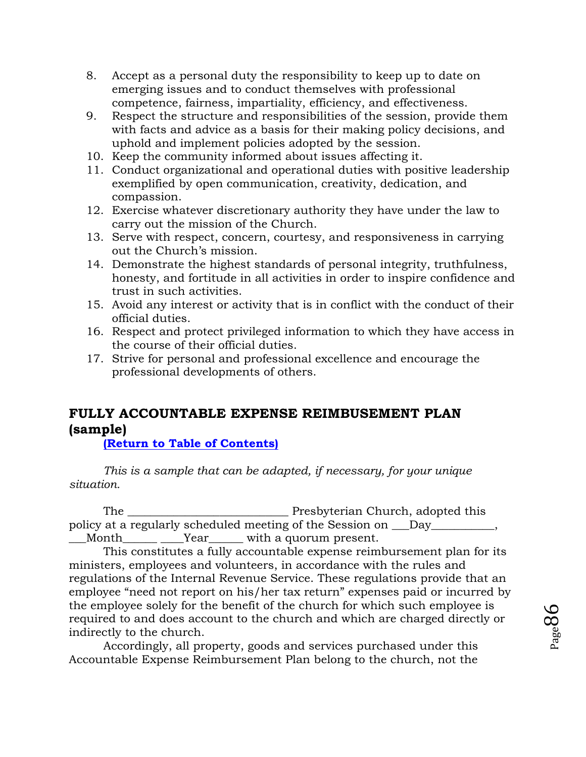- 8. Accept as a personal duty the responsibility to keep up to date on emerging issues and to conduct themselves with professional competence, fairness, impartiality, efficiency, and effectiveness.
- 9. Respect the structure and responsibilities of the session, provide them with facts and advice as a basis for their making policy decisions, and uphold and implement policies adopted by the session.
- 10. Keep the community informed about issues affecting it.
- 11. Conduct organizational and operational duties with positive leadership exemplified by open communication, creativity, dedication, and compassion.
- 12. Exercise whatever discretionary authority they have under the law to carry out the mission of the Church.
- 13. Serve with respect, concern, courtesy, and responsiveness in carrying out the Church's mission.
- 14. Demonstrate the highest standards of personal integrity, truthfulness, honesty, and fortitude in all activities in order to inspire confidence and trust in such activities.
- 15. Avoid any interest or activity that is in conflict with the conduct of their official duties.
- 16. Respect and protect privileged information to which they have access in the course of their official duties.
- 17. Strive for personal and professional excellence and encourage the professional developments of others.

# **FULLY ACCOUNTABLE EXPENSE REIMBUSEMENT PLAN (sample)**

**[\(Return to Table of Contents\)](#page-1-0)**

*This is a sample that can be adapted, if necessary, for your unique situation.*

The \_\_\_\_\_\_\_\_\_\_\_\_\_\_\_\_\_\_\_\_\_\_\_\_\_\_\_\_ Presbyterian Church, adopted this policy at a regularly scheduled meeting of the Session on  $\Box$ Day $\Box$ , \_\_\_Month\_\_\_\_\_\_ \_\_\_\_Year\_\_\_\_\_\_ with a quorum present.

This constitutes a fully accountable expense reimbursement plan for its ministers, employees and volunteers, in accordance with the rules and regulations of the Internal Revenue Service. These regulations provide that an employee "need not report on his/her tax return" expenses paid or incurred by the employee solely for the benefit of the church for which such employee is required to and does account to the church and which are charged directly or indirectly to the church.

Accordingly, all property, goods and services purchased under this Accountable Expense Reimbursement Plan belong to the church, not the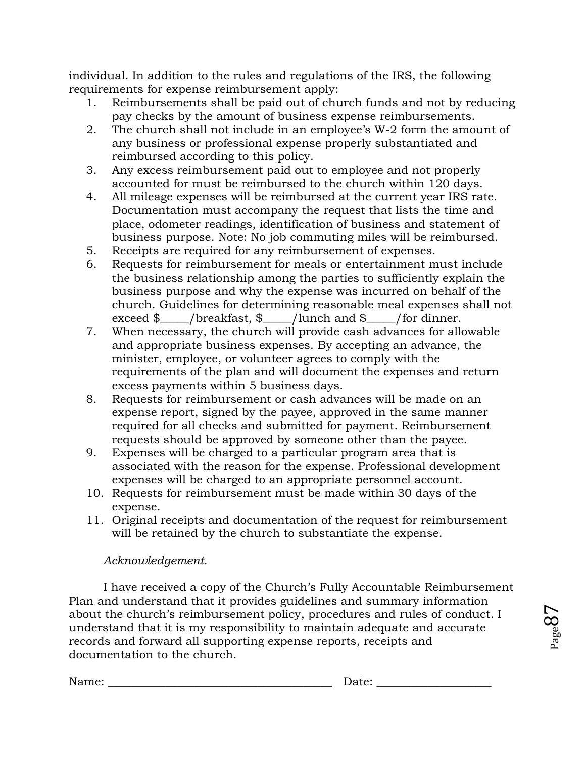individual. In addition to the rules and regulations of the IRS, the following requirements for expense reimbursement apply:

- 1. Reimbursements shall be paid out of church funds and not by reducing pay checks by the amount of business expense reimbursements.
- 2. The church shall not include in an employee's W-2 form the amount of any business or professional expense properly substantiated and reimbursed according to this policy.
- 3. Any excess reimbursement paid out to employee and not properly accounted for must be reimbursed to the church within 120 days.
- 4. All mileage expenses will be reimbursed at the current year IRS rate. Documentation must accompany the request that lists the time and place, odometer readings, identification of business and statement of business purpose. Note: No job commuting miles will be reimbursed.
- 5. Receipts are required for any reimbursement of expenses.
- 6. Requests for reimbursement for meals or entertainment must include the business relationship among the parties to sufficiently explain the business purpose and why the expense was incurred on behalf of the church. Guidelines for determining reasonable meal expenses shall not exceed  $\gamma$  /breakfast,  $\gamma$  /lunch and  $\gamma$  /for dinner.
- 7. When necessary, the church will provide cash advances for allowable and appropriate business expenses. By accepting an advance, the minister, employee, or volunteer agrees to comply with the requirements of the plan and will document the expenses and return excess payments within 5 business days.
- 8. Requests for reimbursement or cash advances will be made on an expense report, signed by the payee, approved in the same manner required for all checks and submitted for payment. Reimbursement requests should be approved by someone other than the payee.
- 9. Expenses will be charged to a particular program area that is associated with the reason for the expense. Professional development expenses will be charged to an appropriate personnel account.
- 10. Requests for reimbursement must be made within 30 days of the expense.
- 11. Original receipts and documentation of the request for reimbursement will be retained by the church to substantiate the expense.

# *Acknowledgement.*

I have received a copy of the Church's Fully Accountable Reimbursement Plan and understand that it provides guidelines and summary information about the church's reimbursement policy, procedures and rules of conduct. I understand that it is my responsibility to maintain adequate and accurate records and forward all supporting expense reports, receipts and documentation to the church.

Name: \_\_\_\_\_\_\_\_\_\_\_\_\_\_\_\_\_\_\_\_\_\_\_\_\_\_\_\_\_\_\_\_\_\_\_\_\_\_\_ Date: \_\_\_\_\_\_\_\_\_\_\_\_\_\_\_\_\_\_\_\_

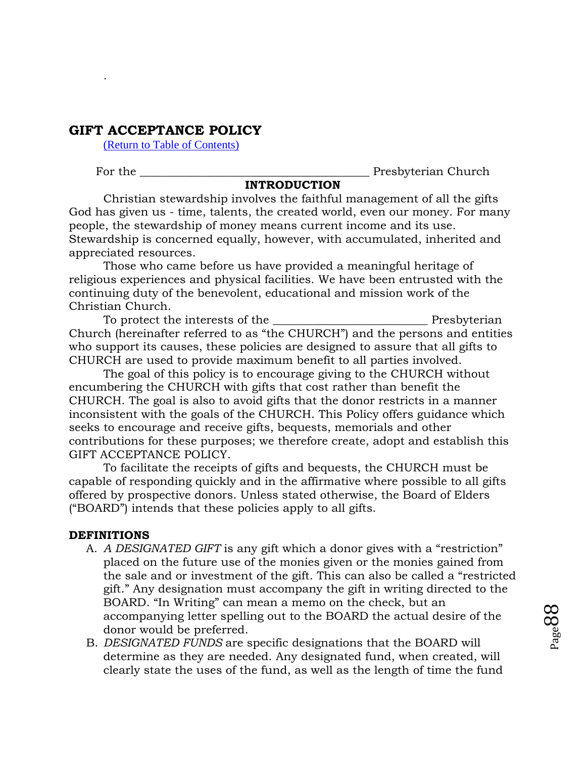# **GIFT ACCEPTANCE POLICY**

[\(Return to Table of Contents\)](#page-1-0)

*.*

For the the contraction of the contraction of the contraction of the presbyterian Church

#### **INTRODUCTION**

Christian stewardship involves the faithful management of all the gifts God has given us - time, talents, the created world, even our money. For many people, the stewardship of money means current income and its use. Stewardship is concerned equally, however, with accumulated, inherited and appreciated resources.

Those who came before us have provided a meaningful heritage of religious experiences and physical facilities. We have been entrusted with the continuing duty of the benevolent, educational and mission work of the Christian Church.

To protect the interests of the \_\_\_\_\_\_\_\_\_\_\_\_\_\_\_\_\_\_\_\_\_\_\_\_\_\_\_ Presbyterian Church (hereinafter referred to as "the CHURCH") and the persons and entities who support its causes, these policies are designed to assure that all gifts to CHURCH are used to provide maximum benefit to all parties involved.

The goal of this policy is to encourage giving to the CHURCH without encumbering the CHURCH with gifts that cost rather than benefit the CHURCH. The goal is also to avoid gifts that the donor restricts in a manner inconsistent with the goals of the CHURCH. This Policy offers guidance which seeks to encourage and receive gifts, bequests, memorials and other contributions for these purposes; we therefore create, adopt and establish this GIFT ACCEPTANCE POLICY.

To facilitate the receipts of gifts and bequests, the CHURCH must be capable of responding quickly and in the affirmative where possible to all gifts offered by prospective donors. Unless stated otherwise, the Board of Elders ("BOARD") intends that these policies apply to all gifts.

#### **DEFINITIONS**

- A. *A DESIGNATED GIFT* is any gift which a donor gives with a "restriction" placed on the future use of the monies given or the monies gained from the sale and or investment of the gift. This can also be called a "restricted gift." Any designation must accompany the gift in writing directed to the BOARD. "In Writing" can mean a memo on the check, but an accompanying letter spelling out to the BOARD the actual desire of the donor would be preferred.
- B. *DESIGNATED FUNDS* are specific designations that the BOARD will determine as they are needed. Any designated fund, when created, will clearly state the uses of the fund, as well as the length of time the fund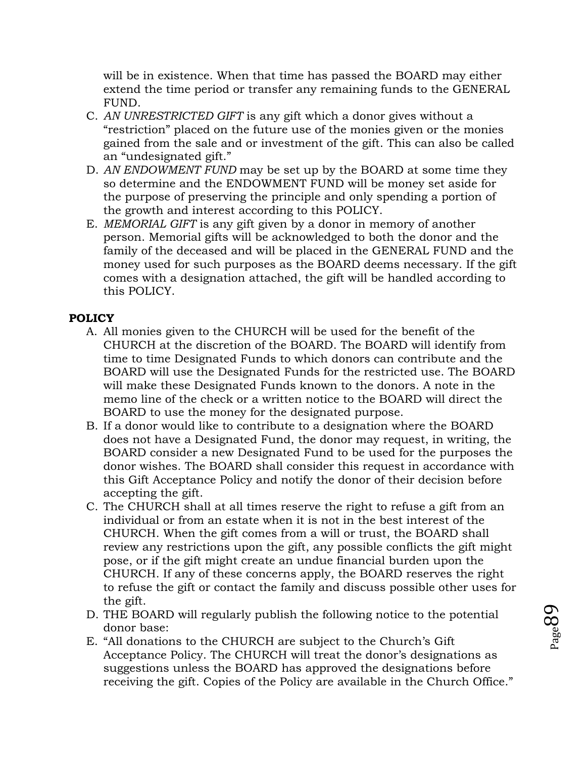will be in existence. When that time has passed the BOARD may either extend the time period or transfer any remaining funds to the GENERAL FUND.

- C. *AN UNRESTRICTED GIFT* is any gift which a donor gives without a "restriction" placed on the future use of the monies given or the monies gained from the sale and or investment of the gift. This can also be called an "undesignated gift."
- D. *AN ENDOWMENT FUND* may be set up by the BOARD at some time they so determine and the ENDOWMENT FUND will be money set aside for the purpose of preserving the principle and only spending a portion of the growth and interest according to this POLICY.
- E. *MEMORIAL GIFT* is any gift given by a donor in memory of another person. Memorial gifts will be acknowledged to both the donor and the family of the deceased and will be placed in the GENERAL FUND and the money used for such purposes as the BOARD deems necessary. If the gift comes with a designation attached, the gift will be handled according to this POLICY.

## **POLICY**

- A. All monies given to the CHURCH will be used for the benefit of the CHURCH at the discretion of the BOARD. The BOARD will identify from time to time Designated Funds to which donors can contribute and the BOARD will use the Designated Funds for the restricted use. The BOARD will make these Designated Funds known to the donors. A note in the memo line of the check or a written notice to the BOARD will direct the BOARD to use the money for the designated purpose.
- B. If a donor would like to contribute to a designation where the BOARD does not have a Designated Fund, the donor may request, in writing, the BOARD consider a new Designated Fund to be used for the purposes the donor wishes. The BOARD shall consider this request in accordance with this Gift Acceptance Policy and notify the donor of their decision before accepting the gift.
- C. The CHURCH shall at all times reserve the right to refuse a gift from an individual or from an estate when it is not in the best interest of the CHURCH. When the gift comes from a will or trust, the BOARD shall review any restrictions upon the gift, any possible conflicts the gift might pose, or if the gift might create an undue financial burden upon the CHURCH. If any of these concerns apply, the BOARD reserves the right to refuse the gift or contact the family and discuss possible other uses for the gift.
- D. THE BOARD will regularly publish the following notice to the potential donor base:
- E. "All donations to the CHURCH are subject to the Church's Gift Acceptance Policy. The CHURCH will treat the donor's designations as suggestions unless the BOARD has approved the designations before receiving the gift. Copies of the Policy are available in the Church Office."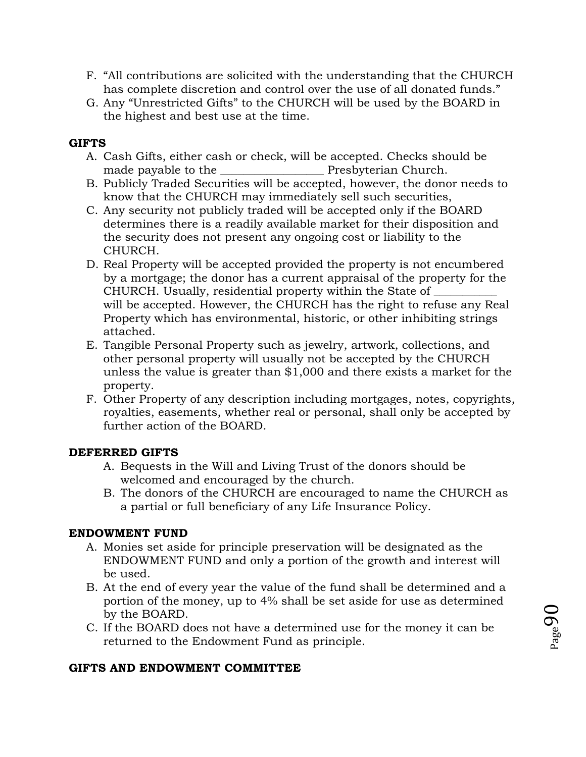- F. "All contributions are solicited with the understanding that the CHURCH has complete discretion and control over the use of all donated funds."
- G. Any "Unrestricted Gifts" to the CHURCH will be used by the BOARD in the highest and best use at the time.

# **GIFTS**

- A. Cash Gifts, either cash or check, will be accepted. Checks should be made payable to the **Exercise 20** Presbyterian Church.
- B. Publicly Traded Securities will be accepted, however, the donor needs to know that the CHURCH may immediately sell such securities,
- C. Any security not publicly traded will be accepted only if the BOARD determines there is a readily available market for their disposition and the security does not present any ongoing cost or liability to the CHURCH.
- D. Real Property will be accepted provided the property is not encumbered by a mortgage; the donor has a current appraisal of the property for the CHURCH. Usually, residential property within the State of will be accepted. However, the CHURCH has the right to refuse any Real Property which has environmental, historic, or other inhibiting strings attached.
- E. Tangible Personal Property such as jewelry, artwork, collections, and other personal property will usually not be accepted by the CHURCH unless the value is greater than \$1,000 and there exists a market for the property.
- F. Other Property of any description including mortgages, notes, copyrights, royalties, easements, whether real or personal, shall only be accepted by further action of the BOARD.

# **DEFERRED GIFTS**

- A. Bequests in the Will and Living Trust of the donors should be welcomed and encouraged by the church.
- B. The donors of the CHURCH are encouraged to name the CHURCH as a partial or full beneficiary of any Life Insurance Policy.

# **ENDOWMENT FUND**

- A. Monies set aside for principle preservation will be designated as the ENDOWMENT FUND and only a portion of the growth and interest will be used.
- B. At the end of every year the value of the fund shall be determined and a portion of the money, up to 4% shall be set aside for use as determined by the BOARD.
- C. If the BOARD does not have a determined use for the money it can be returned to the Endowment Fund as principle.

# **GIFTS AND ENDOWMENT COMMITTEE**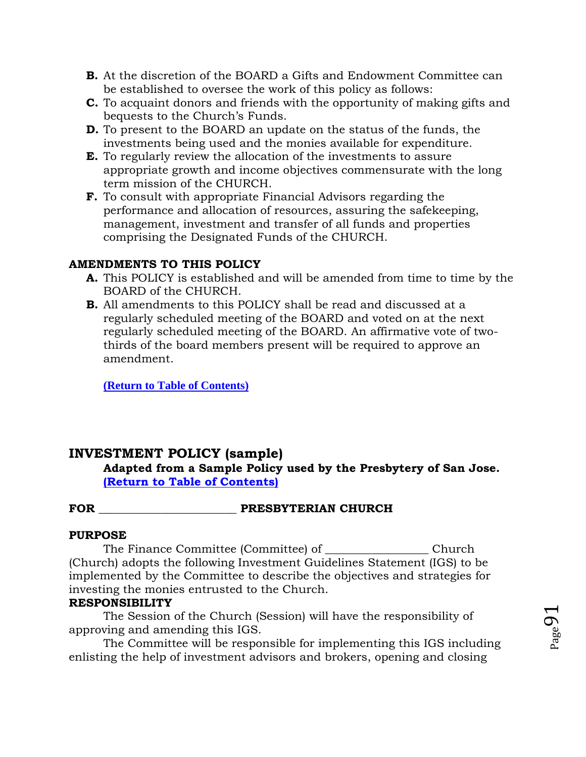- **B.** At the discretion of the BOARD a Gifts and Endowment Committee can be established to oversee the work of this policy as follows:
- **C.** To acquaint donors and friends with the opportunity of making gifts and bequests to the Church's Funds.
- **D.** To present to the BOARD an update on the status of the funds, the investments being used and the monies available for expenditure.
- **E.** To regularly review the allocation of the investments to assure appropriate growth and income objectives commensurate with the long term mission of the CHURCH.
- **F.** To consult with appropriate Financial Advisors regarding the performance and allocation of resources, assuring the safekeeping, management, investment and transfer of all funds and properties comprising the Designated Funds of the CHURCH.

# **AMENDMENTS TO THIS POLICY**

- **A.** This POLICY is established and will be amended from time to time by the BOARD of the CHURCH.
- **B.** All amendments to this POLICY shall be read and discussed at a regularly scheduled meeting of the BOARD and voted on at the next regularly scheduled meeting of the BOARD. An affirmative vote of twothirds of the board members present will be required to approve an amendment.

**[\(Return to Table of Contents\)](#page-1-0)**

# **INVESTMENT POLICY (sample)**

**Adapted from a Sample Policy used by the Presbytery of San Jose. [\(Return to Table of Contents\)](#page-1-0)**

# FOR **FOR PRESBYTERIAN CHURCH**

## **PURPOSE**

The Finance Committee (Committee) of \_\_\_\_\_\_\_\_\_\_\_\_\_\_\_\_\_\_ Church (Church) adopts the following Investment Guidelines Statement (IGS) to be implemented by the Committee to describe the objectives and strategies for investing the monies entrusted to the Church.

## **RESPONSIBILITY**

The Session of the Church (Session) will have the responsibility of approving and amending this IGS.

The Committee will be responsible for implementing this IGS including enlisting the help of investment advisors and brokers, opening and closing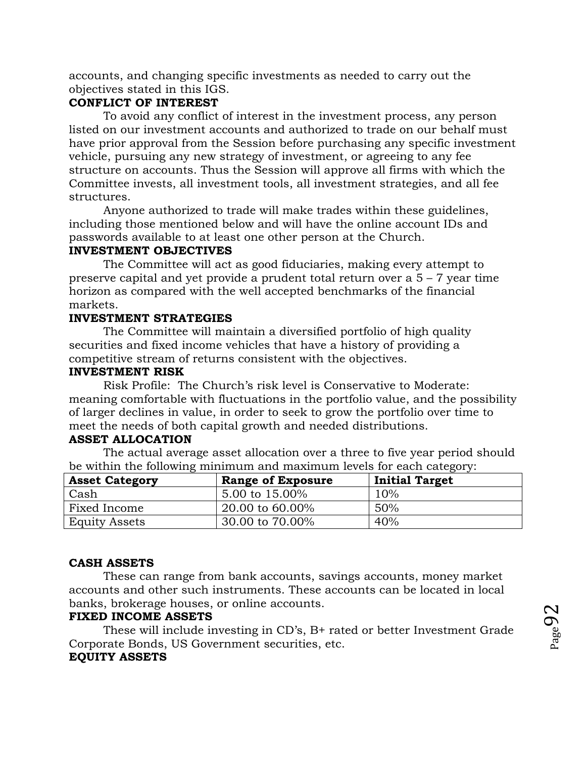accounts, and changing specific investments as needed to carry out the objectives stated in this IGS.

## **CONFLICT OF INTEREST**

To avoid any conflict of interest in the investment process, any person listed on our investment accounts and authorized to trade on our behalf must have prior approval from the Session before purchasing any specific investment vehicle, pursuing any new strategy of investment, or agreeing to any fee structure on accounts. Thus the Session will approve all firms with which the Committee invests, all investment tools, all investment strategies, and all fee structures.

Anyone authorized to trade will make trades within these guidelines, including those mentioned below and will have the online account IDs and passwords available to at least one other person at the Church.

## **INVESTMENT OBJECTIVES**

The Committee will act as good fiduciaries, making every attempt to preserve capital and yet provide a prudent total return over a 5 – 7 year time horizon as compared with the well accepted benchmarks of the financial markets.

## **INVESTMENT STRATEGIES**

The Committee will maintain a diversified portfolio of high quality securities and fixed income vehicles that have a history of providing a competitive stream of returns consistent with the objectives.

#### **INVESTMENT RISK**

Risk Profile: The Church's risk level is Conservative to Moderate: meaning comfortable with fluctuations in the portfolio value, and the possibility of larger declines in value, in order to seek to grow the portfolio over time to meet the needs of both capital growth and needed distributions.

## **ASSET ALLOCATION**

The actual average asset allocation over a three to five year period should be within the following minimum and maximum levels for each category:

| <b>Asset Category</b> | <b>Range of Exposure</b> | <b>Initial Target</b> |
|-----------------------|--------------------------|-----------------------|
| Cash                  | 5.00 to 15.00%           | 10%                   |
| Fixed Income          | 20.00 to 60.00%          | 50%                   |
| <b>Equity Assets</b>  | 30.00 to 70.00%          | 40%                   |

# **CASH ASSETS**

These can range from bank accounts, savings accounts, money market accounts and other such instruments. These accounts can be located in local banks, brokerage houses, or online accounts.

# **FIXED INCOME ASSETS**

These will include investing in CD's, B+ rated or better Investment Grade Corporate Bonds, US Government securities, etc. **EQUITY ASSETS**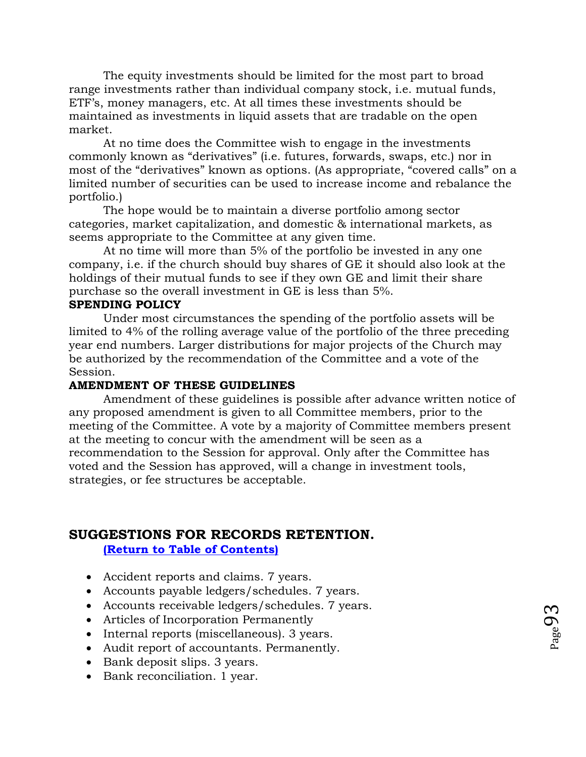The equity investments should be limited for the most part to broad range investments rather than individual company stock, i.e. mutual funds, ETF's, money managers, etc. At all times these investments should be maintained as investments in liquid assets that are tradable on the open market.

At no time does the Committee wish to engage in the investments commonly known as "derivatives" (i.e. futures, forwards, swaps, etc.) nor in most of the "derivatives" known as options. (As appropriate, "covered calls" on a limited number of securities can be used to increase income and rebalance the portfolio.)

The hope would be to maintain a diverse portfolio among sector categories, market capitalization, and domestic & international markets, as seems appropriate to the Committee at any given time.

At no time will more than 5% of the portfolio be invested in any one company, i.e. if the church should buy shares of GE it should also look at the holdings of their mutual funds to see if they own GE and limit their share purchase so the overall investment in GE is less than 5%.

#### **SPENDING POLICY**

Under most circumstances the spending of the portfolio assets will be limited to 4% of the rolling average value of the portfolio of the three preceding year end numbers. Larger distributions for major projects of the Church may be authorized by the recommendation of the Committee and a vote of the Session.

#### **AMENDMENT OF THESE GUIDELINES**

Amendment of these guidelines is possible after advance written notice of any proposed amendment is given to all Committee members, prior to the meeting of the Committee. A vote by a majority of Committee members present at the meeting to concur with the amendment will be seen as a recommendation to the Session for approval. Only after the Committee has voted and the Session has approved, will a change in investment tools, strategies, or fee structures be acceptable.

## **SUGGESTIONS FOR RECORDS RETENTION.**

#### **[\(Return to Table of Contents\)](#page-1-0)**

- Accident reports and claims. 7 years.
- Accounts payable ledgers/schedules. 7 years.
- Accounts receivable ledgers/schedules. 7 years.
- Articles of Incorporation Permanently
- Internal reports (miscellaneous). 3 years.
- Audit report of accountants. Permanently.
- Bank deposit slips. 3 years.
- Bank reconciliation. 1 year.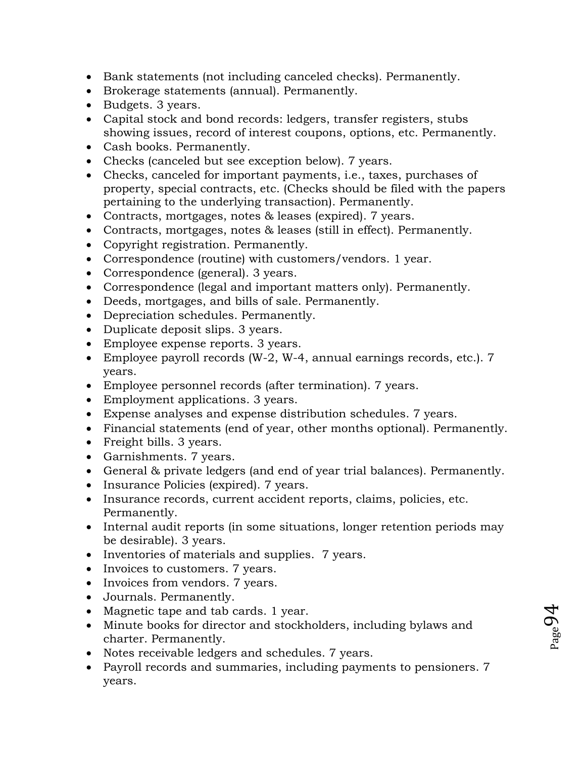- Bank statements (not including canceled checks). Permanently.
- Brokerage statements (annual). Permanently.
- Budgets. 3 years.
- Capital stock and bond records: ledgers, transfer registers, stubs showing issues, record of interest coupons, options, etc. Permanently.
- Cash books. Permanently.
- Checks (canceled but see exception below). 7 years.
- Checks, canceled for important payments, i.e., taxes, purchases of property, special contracts, etc. (Checks should be filed with the papers pertaining to the underlying transaction). Permanently.
- Contracts, mortgages, notes & leases (expired). 7 years.
- Contracts, mortgages, notes & leases (still in effect). Permanently.
- Copyright registration. Permanently.
- Correspondence (routine) with customers/vendors. 1 year.
- Correspondence (general). 3 years.
- Correspondence (legal and important matters only). Permanently.
- Deeds, mortgages, and bills of sale. Permanently.
- Depreciation schedules. Permanently.
- Duplicate deposit slips. 3 years.
- Employee expense reports. 3 years.
- Employee payroll records (W-2, W-4, annual earnings records, etc.). 7 years.
- Employee personnel records (after termination). 7 years.
- Employment applications. 3 years.
- Expense analyses and expense distribution schedules. 7 years.
- Financial statements (end of year, other months optional). Permanently.
- Freight bills. 3 years.
- Garnishments. 7 years.
- General & private ledgers (and end of year trial balances). Permanently.
- Insurance Policies (expired). 7 years.
- Insurance records, current accident reports, claims, policies, etc. Permanently.
- Internal audit reports (in some situations, longer retention periods may be desirable). 3 years.
- Inventories of materials and supplies. 7 years.
- Invoices to customers. 7 years.
- Invoices from vendors. 7 years.
- Journals. Permanently.
- Magnetic tape and tab cards. 1 year.
- Minute books for director and stockholders, including bylaws and charter. Permanently.
- Notes receivable ledgers and schedules. 7 years.
- Payroll records and summaries, including payments to pensioners. 7 years.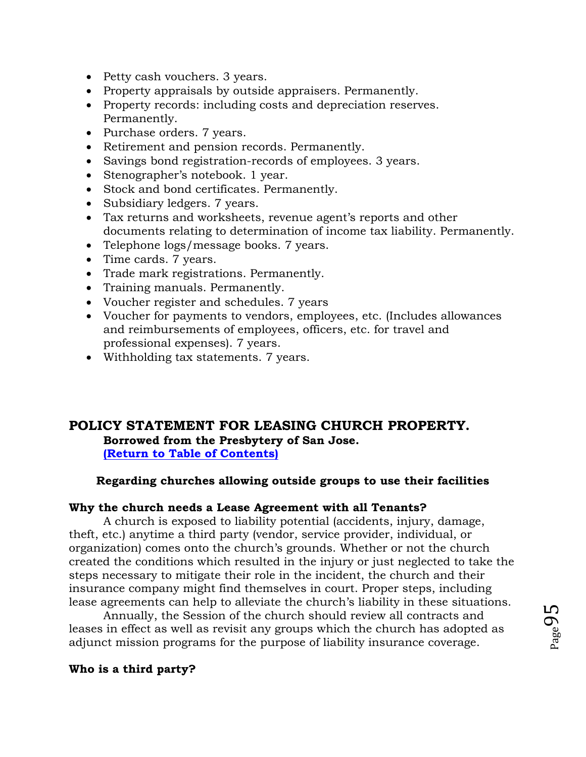- Petty cash vouchers. 3 years.
- Property appraisals by outside appraisers. Permanently.
- Property records: including costs and depreciation reserves. Permanently.
- Purchase orders. 7 years.
- Retirement and pension records. Permanently.
- Savings bond registration-records of employees. 3 years.
- Stenographer's notebook. 1 year.
- Stock and bond certificates. Permanently.
- Subsidiary ledgers. 7 years.
- Tax returns and worksheets, revenue agent's reports and other documents relating to determination of income tax liability. Permanently.
- Telephone logs/message books. 7 years.
- Time cards. 7 years.
- Trade mark registrations. Permanently.
- Training manuals. Permanently.
- Voucher register and schedules. 7 years
- Voucher for payments to vendors, employees, etc. (Includes allowances and reimbursements of employees, officers, etc. for travel and professional expenses). 7 years.
- Withholding tax statements. 7 years.

# **POLICY STATEMENT FOR LEASING CHURCH PROPERTY. Borrowed from the Presbytery of San Jose. [\(Return to Table of Contents\)](#page-1-0)**

# **Regarding churches allowing outside groups to use their facilities**

## **Why the church needs a Lease Agreement with all Tenants?**

A church is exposed to liability potential (accidents, injury, damage, theft, etc.) anytime a third party (vendor, service provider, individual, or organization) comes onto the church's grounds. Whether or not the church created the conditions which resulted in the injury or just neglected to take the steps necessary to mitigate their role in the incident, the church and their insurance company might find themselves in court. Proper steps, including lease agreements can help to alleviate the church's liability in these situations.

Annually, the Session of the church should review all contracts and leases in effect as well as revisit any groups which the church has adopted as adjunct mission programs for the purpose of liability insurance coverage.

## **Who is a third party?**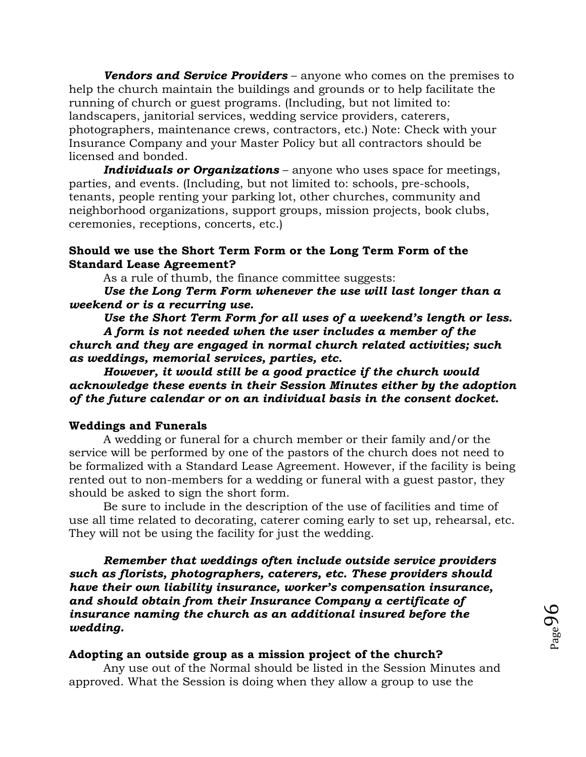*Vendors and Service Providers* – anyone who comes on the premises to help the church maintain the buildings and grounds or to help facilitate the running of church or guest programs. (Including, but not limited to: landscapers, janitorial services, wedding service providers, caterers, photographers, maintenance crews, contractors, etc.) Note: Check with your Insurance Company and your Master Policy but all contractors should be licensed and bonded.

*Individuals or Organizations* – anyone who uses space for meetings, parties, and events. (Including, but not limited to: schools, pre-schools, tenants, people renting your parking lot, other churches, community and neighborhood organizations, support groups, mission projects, book clubs, ceremonies, receptions, concerts, etc.)

#### **Should we use the Short Term Form or the Long Term Form of the Standard Lease Agreement?**

As a rule of thumb, the finance committee suggests:

*Use the Long Term Form whenever the use will last longer than a weekend or is a recurring use.*

*Use the Short Term Form for all uses of a weekend's length or less. A form is not needed when the user includes a member of the church and they are engaged in normal church related activities; such as weddings, memorial services, parties, etc.* 

*However, it would still be a good practice if the church would acknowledge these events in their Session Minutes either by the adoption of the future calendar or on an individual basis in the consent docket.*

#### **Weddings and Funerals**

A wedding or funeral for a church member or their family and/or the service will be performed by one of the pastors of the church does not need to be formalized with a Standard Lease Agreement. However, if the facility is being rented out to non-members for a wedding or funeral with a guest pastor, they should be asked to sign the short form.

Be sure to include in the description of the use of facilities and time of use all time related to decorating, caterer coming early to set up, rehearsal, etc. They will not be using the facility for just the wedding.

*Remember that weddings often include outside service providers such as florists, photographers, caterers, etc. These providers should have their own liability insurance, worker's compensation insurance, and should obtain from their Insurance Company a certificate of insurance naming the church as an additional insured before the wedding.*

#### **Adopting an outside group as a mission project of the church?**

Any use out of the Normal should be listed in the Session Minutes and approved. What the Session is doing when they allow a group to use the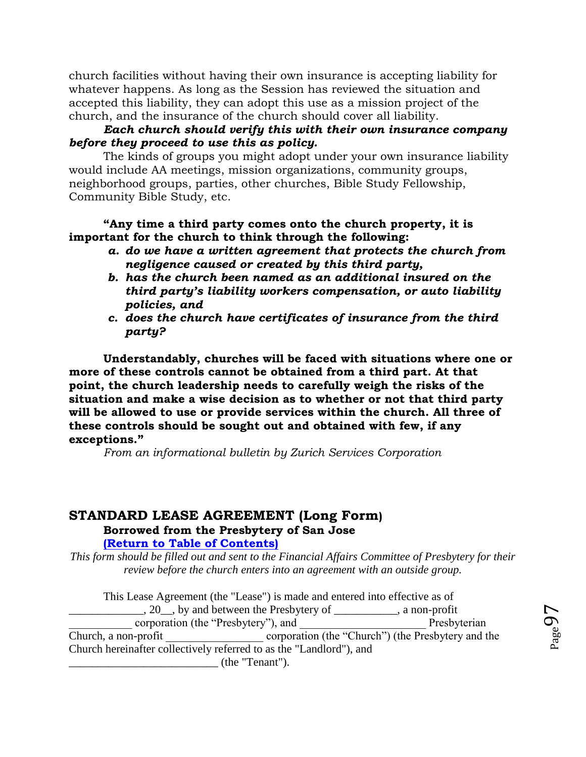church facilities without having their own insurance is accepting liability for whatever happens. As long as the Session has reviewed the situation and accepted this liability, they can adopt this use as a mission project of the church, and the insurance of the church should cover all liability.

## *Each church should verify this with their own insurance company before they proceed to use this as policy.*

The kinds of groups you might adopt under your own insurance liability would include AA meetings, mission organizations, community groups, neighborhood groups, parties, other churches, Bible Study Fellowship, Community Bible Study, etc.

## **"Any time a third party comes onto the church property, it is important for the church to think through the following:**

- *a. do we have a written agreement that protects the church from negligence caused or created by this third party,*
- *b. has the church been named as an additional insured on the third party's liability workers compensation, or auto liability policies, and*
- *c. does the church have certificates of insurance from the third party?*

**Understandably, churches will be faced with situations where one or more of these controls cannot be obtained from a third part. At that point, the church leadership needs to carefully weigh the risks of the situation and make a wise decision as to whether or not that third party will be allowed to use or provide services within the church. All three of these controls should be sought out and obtained with few, if any exceptions."**

*From an informational bulletin by Zurich Services Corporation*

## **STANDARD LEASE AGREEMENT (Long Form) Borrowed from the Presbytery of San Jose [\(Return to Table of Contents\)](#page-1-0)**

*This form should be filled out and sent to the Financial Affairs Committee of Presbytery for their review before the church enters into an agreement with an outside group.*

This Lease Agreement (the "Lease") is made and entered into effective as of  $\frac{1}{20}$ , by and between the Presbytery of  $\frac{1}{20}$ , a non-profit corporation (the "Presbytery"), and Presbyterian Church, a non-profit corporation (the "Church") (the Presbytery and the Church hereinafter collectively referred to as the "Landlord"), and \_\_\_\_\_\_\_\_\_\_\_\_\_\_\_\_\_\_\_\_\_\_\_\_\_\_ (the "Tenant").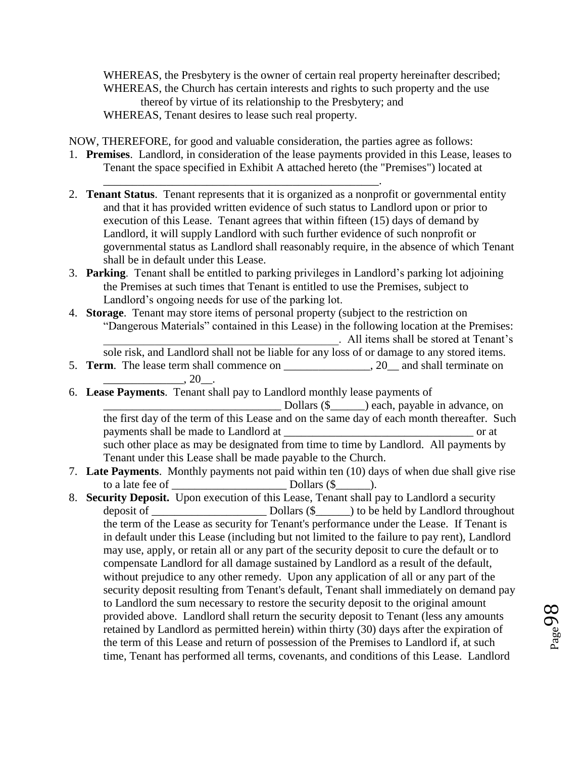WHEREAS, the Presbytery is the owner of certain real property hereinafter described; WHEREAS, the Church has certain interests and rights to such property and the use thereof by virtue of its relationship to the Presbytery; and WHEREAS, Tenant desires to lease such real property.

NOW, THEREFORE, for good and valuable consideration, the parties agree as follows:

\_\_\_\_\_\_\_\_\_\_\_\_\_\_\_\_\_\_\_\_\_\_\_\_\_\_\_\_\_\_\_\_\_\_\_\_\_\_\_\_\_\_\_\_\_\_\_\_.

- 1. **Premises**. Landlord, in consideration of the lease payments provided in this Lease, leases to Tenant the space specified in Exhibit A attached hereto (the "Premises") located at
- 2. **Tenant Status**. Tenant represents that it is organized as a nonprofit or governmental entity and that it has provided written evidence of such status to Landlord upon or prior to execution of this Lease. Tenant agrees that within fifteen (15) days of demand by Landlord, it will supply Landlord with such further evidence of such nonprofit or governmental status as Landlord shall reasonably require, in the absence of which Tenant shall be in default under this Lease.
- 3. **Parking**. Tenant shall be entitled to parking privileges in Landlord's parking lot adjoining the Premises at such times that Tenant is entitled to use the Premises, subject to Landlord's ongoing needs for use of the parking lot.
- 4. **Storage**. Tenant may store items of personal property (subject to the restriction on "Dangerous Materials" contained in this Lease) in the following location at the Premises: \_\_\_\_\_\_\_\_\_\_\_\_\_\_\_\_\_\_\_\_\_\_\_\_\_\_\_\_\_\_\_\_\_\_\_\_\_\_\_\_\_. All items shall be stored at Tenant's

sole risk, and Landlord shall not be liable for any loss of or damage to any stored items.

- 5. **Term**. The lease term shall commence on \_\_\_\_\_\_\_\_\_\_\_\_\_\_\_, 20\_\_ and shall terminate on  $\_$ , 20 $\_$ .
- 6. **Lease Payments**. Tenant shall pay to Landlord monthly lease payments of  $\text{Dollars } (\text{\$} \qquad)$  each, payable in advance, on the first day of the term of this Lease and on the same day of each month thereafter. Such

payments shall be made to Landlord at  $\Box$ such other place as may be designated from time to time by Landlord. All payments by Tenant under this Lease shall be made payable to the Church.

- 7. **Late Payments**. Monthly payments not paid within ten (10) days of when due shall give rise to a late fee of  $\Box$  Dollars  $(\$$   $\Box$
- 8. **Security Deposit.** Upon execution of this Lease, Tenant shall pay to Landlord a security deposit of \_\_\_\_\_\_\_\_\_\_\_\_\_\_\_\_\_\_\_\_ Dollars (\$\_\_\_\_\_\_) to be held by Landlord throughout the term of the Lease as security for Tenant's performance under the Lease. If Tenant is in default under this Lease (including but not limited to the failure to pay rent), Landlord may use, apply, or retain all or any part of the security deposit to cure the default or to compensate Landlord for all damage sustained by Landlord as a result of the default, without prejudice to any other remedy. Upon any application of all or any part of the security deposit resulting from Tenant's default, Tenant shall immediately on demand pay to Landlord the sum necessary to restore the security deposit to the original amount provided above. Landlord shall return the security deposit to Tenant (less any amounts retained by Landlord as permitted herein) within thirty (30) days after the expiration of the term of this Lease and return of possession of the Premises to Landlord if, at such time, Tenant has performed all terms, covenants, and conditions of this Lease. Landlord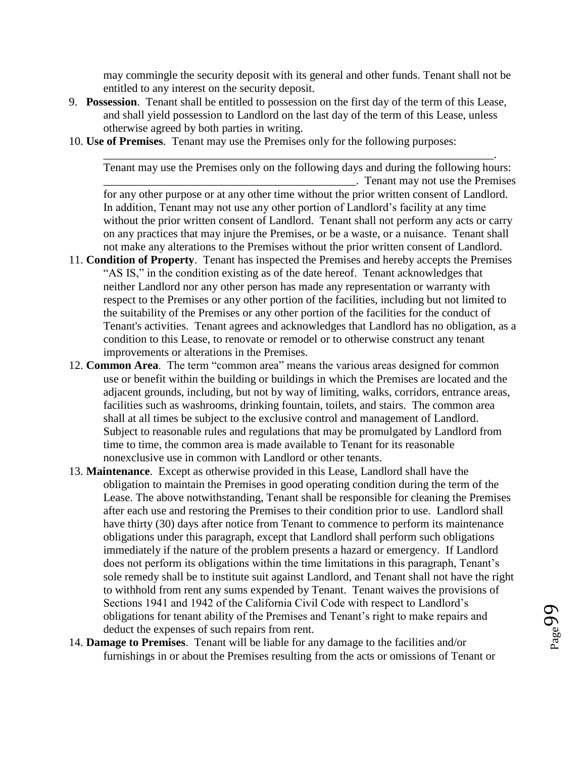may commingle the security deposit with its general and other funds. Tenant shall not be entitled to any interest on the security deposit.

- 9. **Possession**. Tenant shall be entitled to possession on the first day of the term of this Lease, and shall yield possession to Landlord on the last day of the term of this Lease, unless otherwise agreed by both parties in writing.
- 10. **Use of Premises**. Tenant may use the Premises only for the following purposes:

Tenant may use the Premises only on the following days and during the following hours: \_\_\_\_\_\_\_\_\_\_\_\_\_\_\_\_\_\_\_\_\_\_\_\_\_\_\_\_\_\_\_\_\_\_\_\_\_\_\_\_\_\_\_\_. Tenant may not use the Premises

\_\_\_\_\_\_\_\_\_\_\_\_\_\_\_\_\_\_\_\_\_\_\_\_\_\_\_\_\_\_\_\_\_\_\_\_\_\_\_\_\_\_\_\_\_\_\_\_\_\_\_\_\_\_\_\_\_\_\_\_\_\_\_\_\_\_\_\_.

for any other purpose or at any other time without the prior written consent of Landlord. In addition, Tenant may not use any other portion of Landlord's facility at any time without the prior written consent of Landlord. Tenant shall not perform any acts or carry on any practices that may injure the Premises, or be a waste, or a nuisance. Tenant shall not make any alterations to the Premises without the prior written consent of Landlord.

- 11. **Condition of Property**. Tenant has inspected the Premises and hereby accepts the Premises "AS IS," in the condition existing as of the date hereof. Tenant acknowledges that neither Landlord nor any other person has made any representation or warranty with respect to the Premises or any other portion of the facilities, including but not limited to the suitability of the Premises or any other portion of the facilities for the conduct of Tenant's activities. Tenant agrees and acknowledges that Landlord has no obligation, as a condition to this Lease, to renovate or remodel or to otherwise construct any tenant improvements or alterations in the Premises.
- 12. **Common Area**. The term "common area" means the various areas designed for common use or benefit within the building or buildings in which the Premises are located and the adjacent grounds, including, but not by way of limiting, walks, corridors, entrance areas, facilities such as washrooms, drinking fountain, toilets, and stairs. The common area shall at all times be subject to the exclusive control and management of Landlord. Subject to reasonable rules and regulations that may be promulgated by Landlord from time to time, the common area is made available to Tenant for its reasonable nonexclusive use in common with Landlord or other tenants.
- 13. **Maintenance**. Except as otherwise provided in this Lease, Landlord shall have the obligation to maintain the Premises in good operating condition during the term of the Lease. The above notwithstanding, Tenant shall be responsible for cleaning the Premises after each use and restoring the Premises to their condition prior to use. Landlord shall have thirty (30) days after notice from Tenant to commence to perform its maintenance obligations under this paragraph, except that Landlord shall perform such obligations immediately if the nature of the problem presents a hazard or emergency. If Landlord does not perform its obligations within the time limitations in this paragraph, Tenant's sole remedy shall be to institute suit against Landlord, and Tenant shall not have the right to withhold from rent any sums expended by Tenant. Tenant waives the provisions of Sections 1941 and 1942 of the California Civil Code with respect to Landlord's obligations for tenant ability of the Premises and Tenant's right to make repairs and deduct the expenses of such repairs from rent.
- 14. **Damage to Premises**. Tenant will be liable for any damage to the facilities and/or furnishings in or about the Premises resulting from the acts or omissions of Tenant or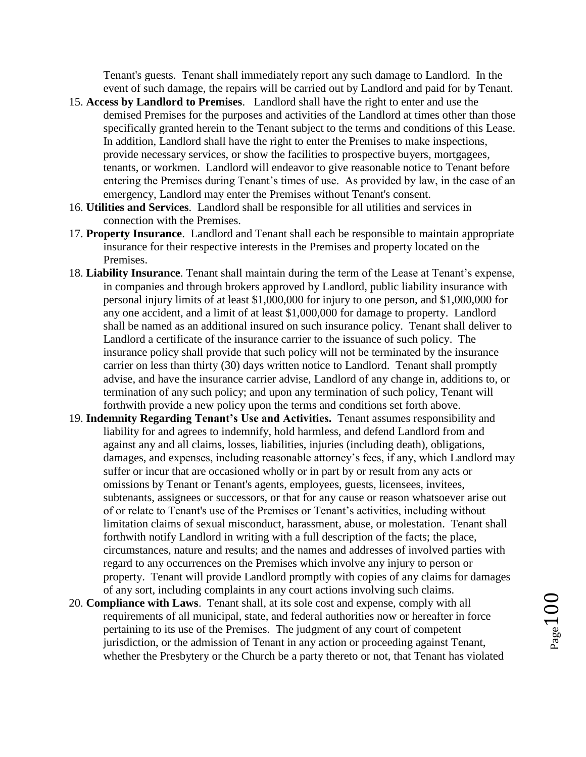Tenant's guests. Tenant shall immediately report any such damage to Landlord. In the event of such damage, the repairs will be carried out by Landlord and paid for by Tenant.

- 15. **Access by Landlord to Premises**. Landlord shall have the right to enter and use the demised Premises for the purposes and activities of the Landlord at times other than those specifically granted herein to the Tenant subject to the terms and conditions of this Lease. In addition, Landlord shall have the right to enter the Premises to make inspections, provide necessary services, or show the facilities to prospective buyers, mortgagees, tenants, or workmen. Landlord will endeavor to give reasonable notice to Tenant before entering the Premises during Tenant's times of use. As provided by law, in the case of an emergency, Landlord may enter the Premises without Tenant's consent.
- 16. **Utilities and Services**. Landlord shall be responsible for all utilities and services in connection with the Premises.
- 17. **Property Insurance**. Landlord and Tenant shall each be responsible to maintain appropriate insurance for their respective interests in the Premises and property located on the Premises.
- 18. **Liability Insurance**. Tenant shall maintain during the term of the Lease at Tenant's expense, in companies and through brokers approved by Landlord, public liability insurance with personal injury limits of at least \$1,000,000 for injury to one person, and \$1,000,000 for any one accident, and a limit of at least \$1,000,000 for damage to property. Landlord shall be named as an additional insured on such insurance policy. Tenant shall deliver to Landlord a certificate of the insurance carrier to the issuance of such policy. The insurance policy shall provide that such policy will not be terminated by the insurance carrier on less than thirty (30) days written notice to Landlord. Tenant shall promptly advise, and have the insurance carrier advise, Landlord of any change in, additions to, or termination of any such policy; and upon any termination of such policy, Tenant will forthwith provide a new policy upon the terms and conditions set forth above.
- 19. **Indemnity Regarding Tenant's Use and Activities.** Tenant assumes responsibility and liability for and agrees to indemnify, hold harmless, and defend Landlord from and against any and all claims, losses, liabilities, injuries (including death), obligations, damages, and expenses, including reasonable attorney's fees, if any, which Landlord may suffer or incur that are occasioned wholly or in part by or result from any acts or omissions by Tenant or Tenant's agents, employees, guests, licensees, invitees, subtenants, assignees or successors, or that for any cause or reason whatsoever arise out of or relate to Tenant's use of the Premises or Tenant's activities, including without limitation claims of sexual misconduct, harassment, abuse, or molestation. Tenant shall forthwith notify Landlord in writing with a full description of the facts; the place, circumstances, nature and results; and the names and addresses of involved parties with regard to any occurrences on the Premises which involve any injury to person or property. Tenant will provide Landlord promptly with copies of any claims for damages of any sort, including complaints in any court actions involving such claims.
- 20. **Compliance with Laws**. Tenant shall, at its sole cost and expense, comply with all requirements of all municipal, state, and federal authorities now or hereafter in force pertaining to its use of the Premises. The judgment of any court of competent jurisdiction, or the admission of Tenant in any action or proceeding against Tenant, whether the Presbytery or the Church be a party thereto or not, that Tenant has violated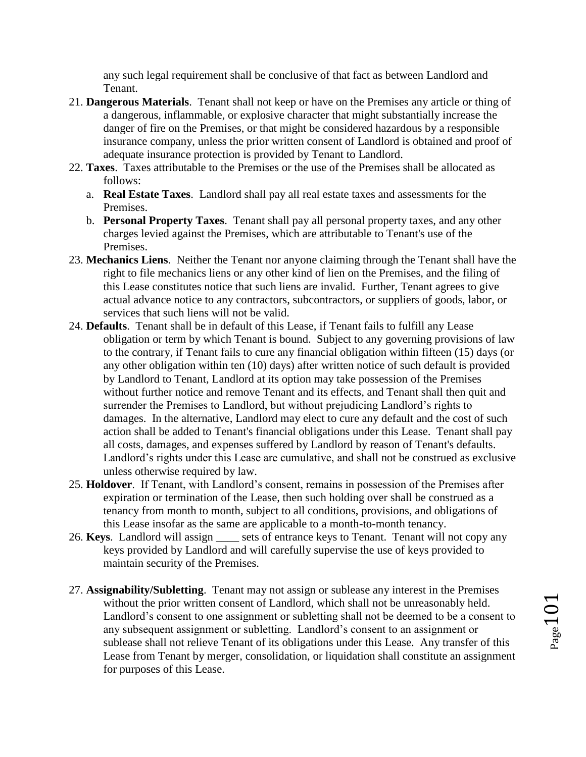any such legal requirement shall be conclusive of that fact as between Landlord and Tenant.

- 21. **Dangerous Materials**. Tenant shall not keep or have on the Premises any article or thing of a dangerous, inflammable, or explosive character that might substantially increase the danger of fire on the Premises, or that might be considered hazardous by a responsible insurance company, unless the prior written consent of Landlord is obtained and proof of adequate insurance protection is provided by Tenant to Landlord.
- 22. **Taxes**. Taxes attributable to the Premises or the use of the Premises shall be allocated as follows:
	- a. **Real Estate Taxes**. Landlord shall pay all real estate taxes and assessments for the Premises.
	- b. **Personal Property Taxes**. Tenant shall pay all personal property taxes, and any other charges levied against the Premises, which are attributable to Tenant's use of the Premises.
- 23. **Mechanics Liens**. Neither the Tenant nor anyone claiming through the Tenant shall have the right to file mechanics liens or any other kind of lien on the Premises, and the filing of this Lease constitutes notice that such liens are invalid. Further, Tenant agrees to give actual advance notice to any contractors, subcontractors, or suppliers of goods, labor, or services that such liens will not be valid.
- 24. **Defaults**. Tenant shall be in default of this Lease, if Tenant fails to fulfill any Lease obligation or term by which Tenant is bound. Subject to any governing provisions of law to the contrary, if Tenant fails to cure any financial obligation within fifteen (15) days (or any other obligation within ten (10) days) after written notice of such default is provided by Landlord to Tenant, Landlord at its option may take possession of the Premises without further notice and remove Tenant and its effects, and Tenant shall then quit and surrender the Premises to Landlord, but without prejudicing Landlord's rights to damages. In the alternative, Landlord may elect to cure any default and the cost of such action shall be added to Tenant's financial obligations under this Lease. Tenant shall pay all costs, damages, and expenses suffered by Landlord by reason of Tenant's defaults. Landlord's rights under this Lease are cumulative, and shall not be construed as exclusive unless otherwise required by law.
- 25. **Holdover**. If Tenant, with Landlord's consent, remains in possession of the Premises after expiration or termination of the Lease, then such holding over shall be construed as a tenancy from month to month, subject to all conditions, provisions, and obligations of this Lease insofar as the same are applicable to a month-to-month tenancy.
- 26. **Keys.** Landlord will assign sets of entrance keys to Tenant. Tenant will not copy any keys provided by Landlord and will carefully supervise the use of keys provided to maintain security of the Premises.
- 27. **Assignability/Subletting**. Tenant may not assign or sublease any interest in the Premises without the prior written consent of Landlord, which shall not be unreasonably held. Landlord's consent to one assignment or subletting shall not be deemed to be a consent to any subsequent assignment or subletting. Landlord's consent to an assignment or sublease shall not relieve Tenant of its obligations under this Lease. Any transfer of this Lease from Tenant by merger, consolidation, or liquidation shall constitute an assignment for purposes of this Lease.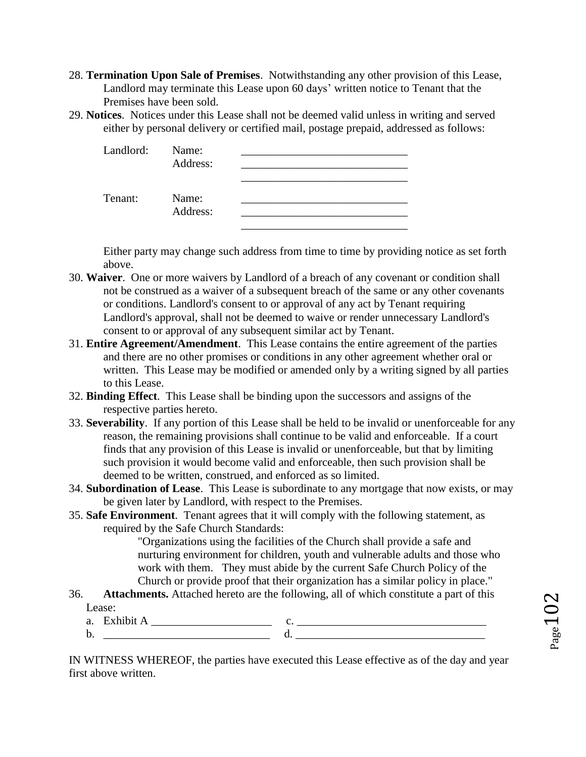- 28. **Termination Upon Sale of Premises**. Notwithstanding any other provision of this Lease, Landlord may terminate this Lease upon 60 days' written notice to Tenant that the Premises have been sold.
- 29. **Notices**. Notices under this Lease shall not be deemed valid unless in writing and served either by personal delivery or certified mail, postage prepaid, addressed as follows:

| Landlord: | Name:<br>Address: |  |
|-----------|-------------------|--|
| Tenant:   | Name:<br>Address: |  |

Either party may change such address from time to time by providing notice as set forth above.

- 30. **Waiver**. One or more waivers by Landlord of a breach of any covenant or condition shall not be construed as a waiver of a subsequent breach of the same or any other covenants or conditions. Landlord's consent to or approval of any act by Tenant requiring Landlord's approval, shall not be deemed to waive or render unnecessary Landlord's consent to or approval of any subsequent similar act by Tenant.
- 31. **Entire Agreement/Amendment**. This Lease contains the entire agreement of the parties and there are no other promises or conditions in any other agreement whether oral or written. This Lease may be modified or amended only by a writing signed by all parties to this Lease.
- 32. **Binding Effect**. This Lease shall be binding upon the successors and assigns of the respective parties hereto.
- 33. **Severability**. If any portion of this Lease shall be held to be invalid or unenforceable for any reason, the remaining provisions shall continue to be valid and enforceable. If a court finds that any provision of this Lease is invalid or unenforceable, but that by limiting such provision it would become valid and enforceable, then such provision shall be deemed to be written, construed, and enforced as so limited.
- 34. **Subordination of Lease**. This Lease is subordinate to any mortgage that now exists, or may be given later by Landlord, with respect to the Premises.
- 35. **Safe Environment**. Tenant agrees that it will comply with the following statement, as required by the Safe Church Standards:

"Organizations using the facilities of the Church shall provide a safe and nurturing environment for children, youth and vulnerable adults and those who work with them. They must abide by the current Safe Church Policy of the Church or provide proof that their organization has a similar policy in place."

36. **Attachments.** Attached hereto are the following, all of which constitute a part of this Lease:

| u |  |  |
|---|--|--|
| ້ |  |  |

IN WITNESS WHEREOF, the parties have executed this Lease effective as of the day and year first above written.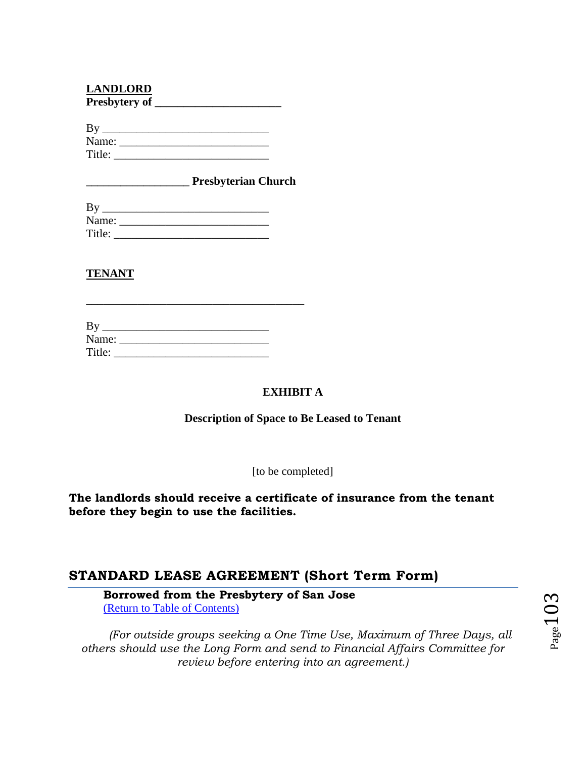## **LANDLORD**

| Presbytery of |  |
|---------------|--|
|---------------|--|

| $\mathbf{D} \mathbf{v}$ |  |  |
|-------------------------|--|--|
| Name:                   |  |  |
| Title:                  |  |  |

**\_\_\_\_\_\_\_\_\_\_\_\_\_\_\_\_\_\_ Presbyterian Church** 

| Name:  |  |
|--------|--|
| Title: |  |

# **TENANT**

| By     |  |  |
|--------|--|--|
| Name:  |  |  |
| Title: |  |  |

## **EXHIBIT A**

#### **Description of Space to Be Leased to Tenant**

[to be completed]

**The landlords should receive a certificate of insurance from the tenant before they begin to use the facilities.** 

# **STANDARD LEASE AGREEMENT (Short Term Form)**

**Borrowed from the Presbytery of San Jose** [\(Return to Table of Contents\)](#page-1-0)

*(For outside groups seeking a One Time Use, Maximum of Three Days, all others should use the Long Form and send to Financial Affairs Committee for review before entering into an agreement.)*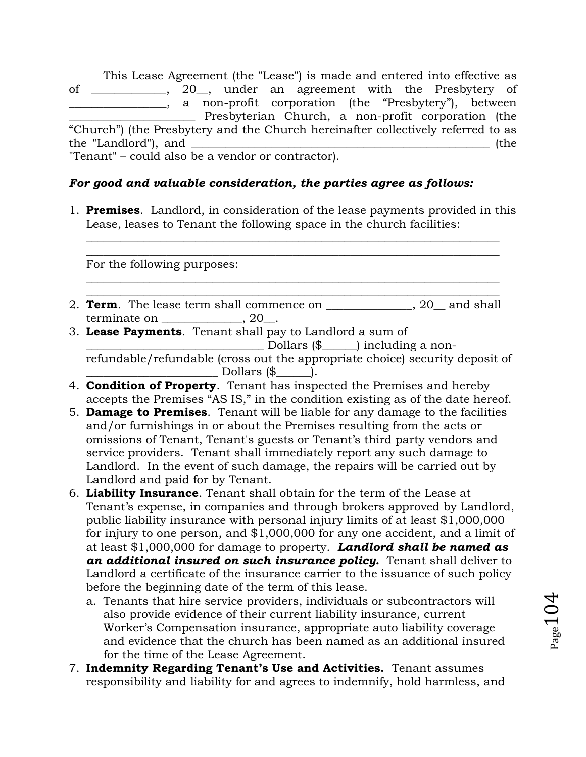This Lease Agreement (the "Lease") is made and entered into effective as of \_\_\_\_\_\_\_\_\_\_\_\_\_, 20\_\_, under an agreement with the Presbytery of \_\_\_\_\_\_\_\_\_\_\_\_\_\_\_\_\_, a non-profit corporation (the "Presbytery"), between \_\_\_\_\_\_\_\_\_\_\_\_\_\_\_\_\_\_\_\_\_\_ Presbyterian Church, a non-profit corporation (the "Church") (the Presbytery and the Church hereinafter collectively referred to as the "Landlord"), and \_\_\_\_\_\_\_\_\_\_\_\_\_\_\_\_\_\_\_\_\_\_\_\_\_\_\_\_\_\_\_\_\_\_\_\_\_\_\_\_\_\_\_\_\_\_\_\_\_\_\_\_ (the "Tenant" – could also be a vendor or contractor).

## *For good and valuable consideration, the parties agree as follows:*

1. **Premises**. Landlord, in consideration of the lease payments provided in this Lease, leases to Tenant the following space in the church facilities:

 $\_$  , and the set of the set of the set of the set of the set of the set of the set of the set of the set of the set of the set of the set of the set of the set of the set of the set of the set of the set of the set of th  $\_$  , and the set of the set of the set of the set of the set of the set of the set of the set of the set of the set of the set of the set of the set of the set of the set of the set of the set of the set of the set of th

 $\_$  , and the set of the set of the set of the set of the set of the set of the set of the set of the set of the set of the set of the set of the set of the set of the set of the set of the set of the set of the set of th

For the following purposes:

- $\_$  , and the set of the set of the set of the set of the set of the set of the set of the set of the set of the set of the set of the set of the set of the set of the set of the set of the set of the set of the set of th 2. **Term**. The lease term shall commence on \_\_\_\_\_\_\_\_\_\_\_\_\_, 20 and shall terminate on \_\_\_\_\_\_\_\_\_\_\_\_\_\_, 20\_\_.
- 3. **Lease Payments**. Tenant shall pay to Landlord a sum of \_\_\_\_\_\_\_\_\_\_\_\_\_\_\_\_\_\_\_\_\_\_\_\_\_\_\_\_\_\_\_ Dollars (\$\_\_\_\_\_\_) including a nonrefundable/refundable (cross out the appropriate choice) security deposit of  $\Box$  Dollars  $(\$\underline{\hspace{1cm}})$ .
- 4. **Condition of Property**. Tenant has inspected the Premises and hereby accepts the Premises "AS IS," in the condition existing as of the date hereof.
- 5. **Damage to Premises**. Tenant will be liable for any damage to the facilities and/or furnishings in or about the Premises resulting from the acts or omissions of Tenant, Tenant's guests or Tenant's third party vendors and service providers. Tenant shall immediately report any such damage to Landlord. In the event of such damage, the repairs will be carried out by Landlord and paid for by Tenant.
- 6. **Liability Insurance**. Tenant shall obtain for the term of the Lease at Tenant's expense, in companies and through brokers approved by Landlord, public liability insurance with personal injury limits of at least \$1,000,000 for injury to one person, and \$1,000,000 for any one accident, and a limit of at least \$1,000,000 for damage to property. *Landlord shall be named as an additional insured on such insurance policy.* Tenant shall deliver to Landlord a certificate of the insurance carrier to the issuance of such policy before the beginning date of the term of this lease.
	- a. Tenants that hire service providers, individuals or subcontractors will also provide evidence of their current liability insurance, current Worker's Compensation insurance, appropriate auto liability coverage and evidence that the church has been named as an additional insured for the time of the Lease Agreement.
- 7. **Indemnity Regarding Tenant's Use and Activities.** Tenant assumes responsibility and liability for and agrees to indemnify, hold harmless, and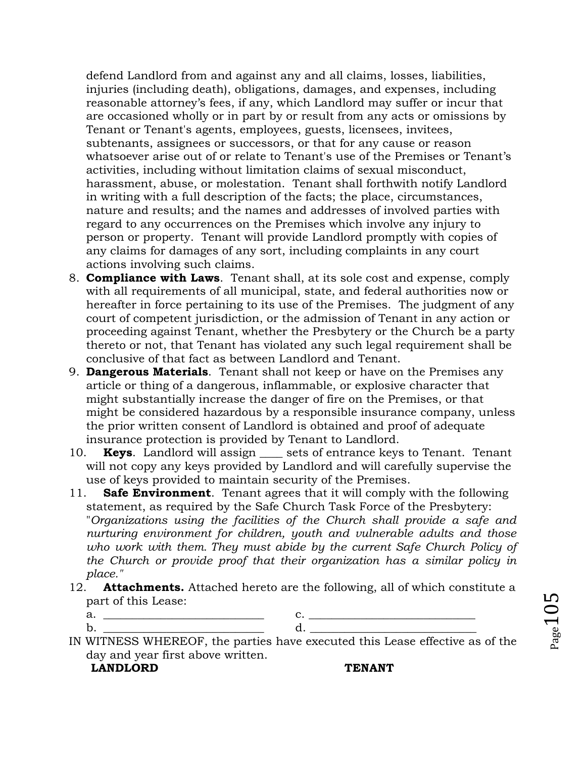defend Landlord from and against any and all claims, losses, liabilities, injuries (including death), obligations, damages, and expenses, including reasonable attorney's fees, if any, which Landlord may suffer or incur that are occasioned wholly or in part by or result from any acts or omissions by Tenant or Tenant's agents, employees, guests, licensees, invitees, subtenants, assignees or successors, or that for any cause or reason whatsoever arise out of or relate to Tenant's use of the Premises or Tenant's activities, including without limitation claims of sexual misconduct, harassment, abuse, or molestation. Tenant shall forthwith notify Landlord in writing with a full description of the facts; the place, circumstances, nature and results; and the names and addresses of involved parties with regard to any occurrences on the Premises which involve any injury to person or property. Tenant will provide Landlord promptly with copies of any claims for damages of any sort, including complaints in any court actions involving such claims.

- 8. **Compliance with Laws**. Tenant shall, at its sole cost and expense, comply with all requirements of all municipal, state, and federal authorities now or hereafter in force pertaining to its use of the Premises. The judgment of any court of competent jurisdiction, or the admission of Tenant in any action or proceeding against Tenant, whether the Presbytery or the Church be a party thereto or not, that Tenant has violated any such legal requirement shall be conclusive of that fact as between Landlord and Tenant.
- 9. **Dangerous Materials**. Tenant shall not keep or have on the Premises any article or thing of a dangerous, inflammable, or explosive character that might substantially increase the danger of fire on the Premises, or that might be considered hazardous by a responsible insurance company, unless the prior written consent of Landlord is obtained and proof of adequate insurance protection is provided by Tenant to Landlord.
- 10. **Keys.** Landlord will assign sets of entrance keys to Tenant. Tenant will not copy any keys provided by Landlord and will carefully supervise the use of keys provided to maintain security of the Premises.
- 11. **Safe Environment**. Tenant agrees that it will comply with the following statement, as required by the Safe Church Task Force of the Presbytery: "*Organizations using the facilities of the Church shall provide a safe and nurturing environment for children, youth and vulnerable adults and those who work with them. They must abide by the current Safe Church Policy of the Church or provide proof that their organization has a similar policy in place."*
- 12. **Attachments.** Attached hereto are the following, all of which constitute a part of this Lease:
	- a. **\_\_\_\_\_\_\_\_\_\_\_\_\_\_\_\_\_\_\_\_\_\_\_\_\_\_\_\_** c. **\_\_\_\_\_\_\_\_\_\_\_\_\_\_\_\_\_\_\_\_\_\_\_\_\_\_\_\_\_** b. **\_\_\_\_\_\_\_\_\_\_\_\_\_\_\_\_\_\_\_\_\_\_\_\_\_\_\_\_** d. **\_\_\_\_\_\_\_\_\_\_\_\_\_\_\_\_\_\_\_\_\_\_\_\_\_\_\_\_\_**
- IN WITNESS WHEREOF, the parties have executed this Lease effective as of the day and year first above written.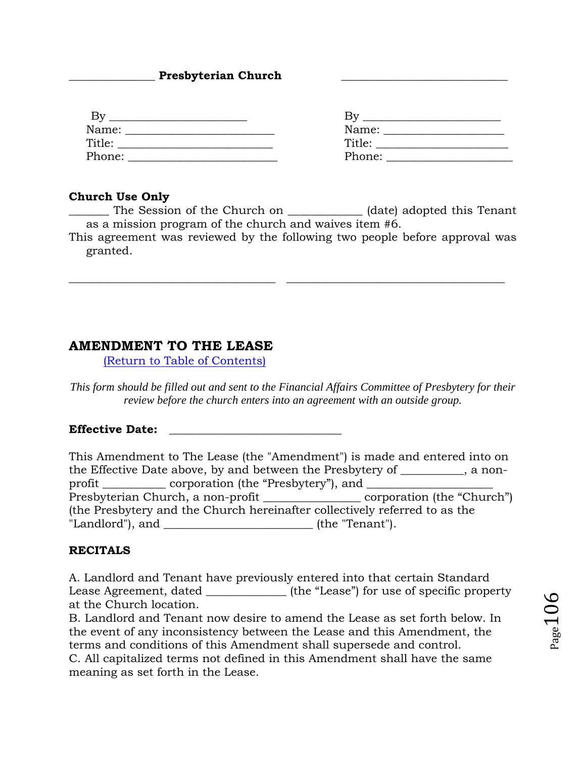#### Presbyterian Church

| By     |        |
|--------|--------|
| Name:  | Name:  |
| Title: | Title: |
| Phone: | Phone: |

#### **Church Use Only**

The Session of the Church on  $\qquad \qquad$  (date) adopted this Tenant as a mission program of the church and waives item #6.

This agreement was reviewed by the following two people before approval was granted.

\_\_\_\_\_\_\_\_\_\_\_\_\_\_\_\_\_\_\_\_\_\_\_\_\_\_\_\_\_\_\_\_\_\_\_\_ \_\_\_\_\_\_\_\_\_\_\_\_\_\_\_\_\_\_\_\_\_\_\_\_\_\_\_\_\_\_\_\_\_\_\_\_\_\_

# **AMENDMENT TO THE LEASE**

[\(Return to Table of Contents\)](#page-1-0)

*This form should be filled out and sent to the Financial Affairs Committee of Presbytery for their review before the church enters into an agreement with an outside group.*

#### **Effective Date: \_\_\_\_\_\_\_\_\_\_\_\_\_\_\_\_\_\_\_\_\_\_\_\_\_\_\_\_\_\_**

|                    |                                                           | This Amendment to The Lease (the "Amendment") is made and entered into on   |  |
|--------------------|-----------------------------------------------------------|-----------------------------------------------------------------------------|--|
|                    |                                                           | the Effective Date above, by and between the Presbytery of ________, a non- |  |
|                    | profit ____________ corporation (the "Presbytery"), and _ |                                                                             |  |
|                    |                                                           |                                                                             |  |
|                    |                                                           | (the Presbytery and the Church hereinafter collectively referred to as the  |  |
| "Landlord"), and _ |                                                           | (the "Tenant").                                                             |  |

#### **RECITALS**

A. Landlord and Tenant have previously entered into that certain Standard Lease Agreement, dated \_\_\_\_\_\_\_\_\_\_\_\_\_\_\_\_ (the "Lease") for use of specific property at the Church location.

B. Landlord and Tenant now desire to amend the Lease as set forth below. In the event of any inconsistency between the Lease and this Amendment, the terms and conditions of this Amendment shall supersede and control. C. All capitalized terms not defined in this Amendment shall have the same meaning as set forth in the Lease.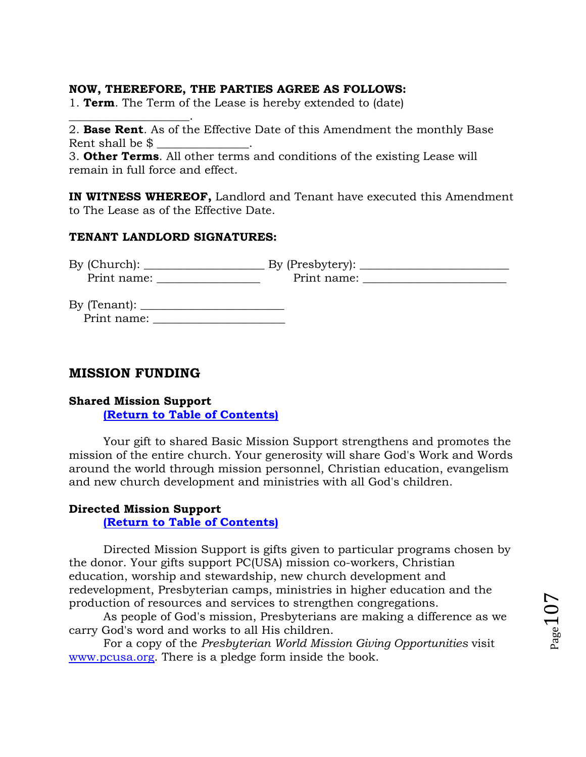## **NOW, THEREFORE, THE PARTIES AGREE AS FOLLOWS:**

1. **Term**. The Term of the Lease is hereby extended to (date)

2. **Base Rent**. As of the Effective Date of this Amendment the monthly Base Rent shall be  $\$$ 

3. **Other Terms**. All other terms and conditions of the existing Lease will remain in full force and effect.

**IN WITNESS WHEREOF,** Landlord and Tenant have executed this Amendment to The Lease as of the Effective Date.

## **TENANT LANDLORD SIGNATURES:**

| By (Church): | By (Presbytery): |  |
|--------------|------------------|--|
| Print name:  | Print name:      |  |

By (Tenant): \_\_\_\_\_\_\_\_\_\_\_\_\_\_\_\_\_\_\_\_\_\_\_\_\_ Print name: \_\_\_\_\_\_\_\_\_\_\_\_\_\_\_\_\_\_\_\_\_\_\_

# **MISSION FUNDING**

\_\_\_\_\_\_\_\_\_\_\_\_\_\_\_\_\_\_\_\_\_.

# **Shared Mission Support**

**[\(Return to Table of Contents\)](#page-1-0)**

Your gift to shared Basic Mission Support strengthens and promotes the mission of the entire church. Your generosity will share God's Work and Words around the world through mission personnel, Christian education, evangelism and new church development and ministries with all God's children.

# **Directed Mission Support**

**[\(Return to Table of Contents\)](#page-1-0)**

Directed Mission Support is gifts given to particular programs chosen by the donor. Your gifts support PC(USA) mission co-workers, Christian education, worship and stewardship, new church development and redevelopment, Presbyterian camps, ministries in higher education and the production of resources and services to strengthen congregations.

As people of God's mission, Presbyterians are making a difference as we carry God's word and works to all His children.

For a copy of the *Presbyterian World Mission Giving Opportunities* visit [www.pcusa.org.](http://www.pcusa.org/) There is a pledge form inside the book.